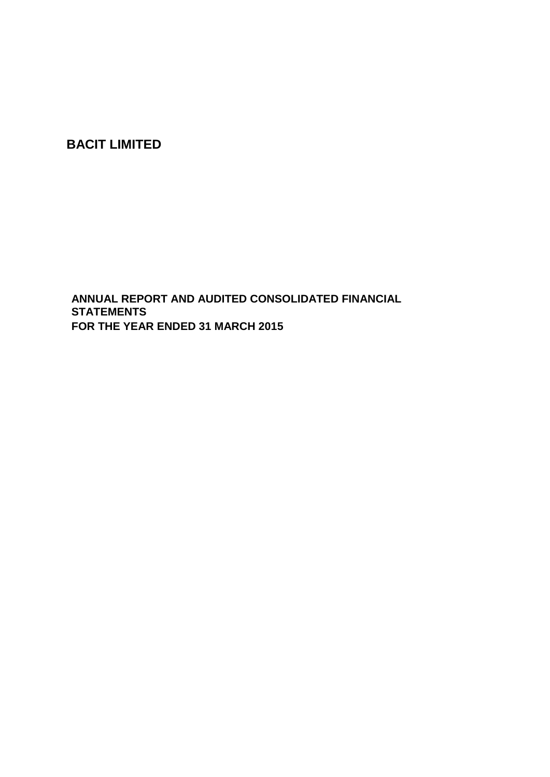**BACIT LIMITED**

**ANNUAL REPORT AND AUDITED CONSOLIDATED FINANCIAL STATEMENTS FOR THE YEAR ENDED 31 MARCH 2015**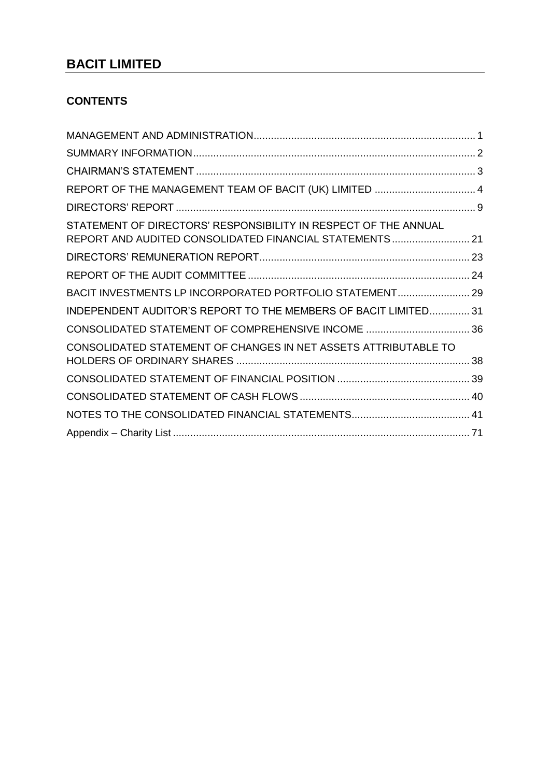# **BACIT LIMITED**

## **CONTENTS**

| REPORT OF THE MANAGEMENT TEAM OF BACIT (UK) LIMITED  4          |
|-----------------------------------------------------------------|
|                                                                 |
| REPORT AND AUDITED CONSOLIDATED FINANCIAL STATEMENTS 21         |
|                                                                 |
|                                                                 |
| BACIT INVESTMENTS LP INCORPORATED PORTFOLIO STATEMENT 29        |
| INDEPENDENT AUDITOR'S REPORT TO THE MEMBERS OF BACIT LIMITED 31 |
| CONSOLIDATED STATEMENT OF COMPREHENSIVE INCOME  36              |
|                                                                 |
|                                                                 |
|                                                                 |
|                                                                 |
|                                                                 |
|                                                                 |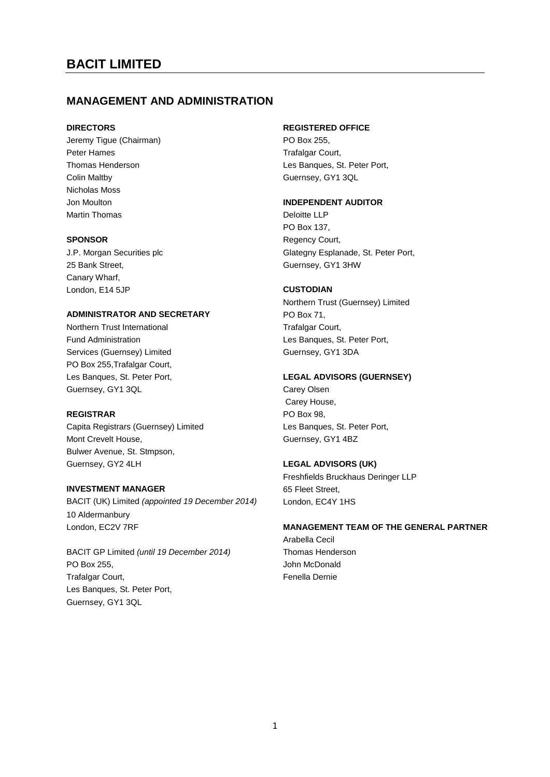## <span id="page-2-0"></span>**MANAGEMENT AND ADMINISTRATION**

Jeremy Tigue (Chairman) **PO Box 255**, Peter Hames Trafalgar Court, Colin Maltby Guernsey, GY1 3QL Nicholas Moss Martin Thomas **Deloitte LLP** 

25 Bank Street, Guernsey, GY1 3HW Canary Wharf, London, E14 5JP **CUSTODIAN**

#### **ADMINISTRATOR AND SECRETARY** PO Box 71,

Northern Trust International Trafalgar Court, Fund Administration **Les Banques, St. Peter Port,** Services (Guernsey) Limited Guernsey, GY1 3DA PO Box 255,Trafalgar Court, Guernsey, GY1 3QL Carey Olsen

#### **REGISTRAR** PO Box 98,

Capita Registrars (Guernsey) Limited Les Banques, St. Peter Port, Mont Crevelt House, Guernsey, GY1 4BZ Bulwer Avenue, St. Stmpson, Guernsey, GY2 4LH **LEGAL ADVISORS (UK)** 

#### **INVESTMENT MANAGER** 65 Fleet Street,

BACIT (UK) Limited *(appointed 19 December 2014)* London, EC4Y 1HS 10 Aldermanbury

BACIT GP Limited *(until 19 December 2014)* Thomas Henderson PO Box 255, Trafalgar Court, **Fenella Dernie** Fenella Dernie Les Banques, St. Peter Port, Guernsey, GY1 3QL

#### **DIRECTORS REGISTERED OFFICE**

Thomas Henderson **Les Banques, St. Peter Port,** 

#### Jon Moulton **INDEPENDENT AUDITOR**

PO Box 137, **SPONSOR** Regency Court, J.P. Morgan Securities plc Glategny Esplanade, St. Peter Port,

Northern Trust (Guernsey) Limited

#### Les Banques, St. Peter Port, **LEGAL ADVISORS (GUERNSEY)**

Carey House,

Freshfields Bruckhaus Deringer LLP

#### London, EC2V 7RF **MANAGEMENT TEAM OF THE GENERAL PARTNER**

Arabella Cecil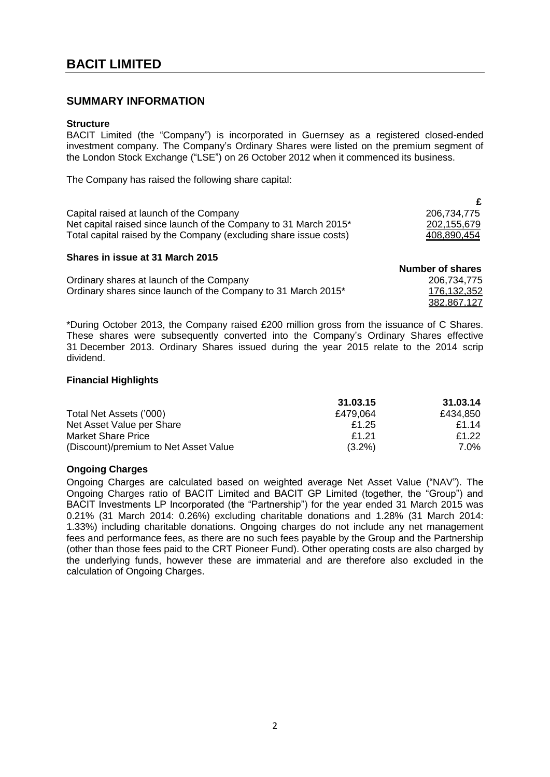## <span id="page-3-0"></span>**SUMMARY INFORMATION**

#### **Structure**

BACIT Limited (the "Company") is incorporated in Guernsey as a registered closed-ended investment company. The Company's Ordinary Shares were listed on the premium segment of the London Stock Exchange ("LSE") on 26 October 2012 when it commenced its business.

The Company has raised the following share capital:

| Capital raised at launch of the Company                           | 206,734,775        |
|-------------------------------------------------------------------|--------------------|
| Net capital raised since launch of the Company to 31 March 2015*  | 202,155,679        |
| Total capital raised by the Company (excluding share issue costs) | <u>408,890,454</u> |

## **Shares in issue at 31 March 2015**

|                                                               | Number of shares |
|---------------------------------------------------------------|------------------|
| Ordinary shares at launch of the Company                      | 206,734,775      |
| Ordinary shares since launch of the Company to 31 March 2015* | 176,132,352      |
|                                                               | 382,867,127      |

\*During October 2013, the Company raised £200 million gross from the issuance of C Shares. These shares were subsequently converted into the Company's Ordinary Shares effective 31 December 2013. Ordinary Shares issued during the year 2015 relate to the 2014 scrip dividend.

## **Financial Highlights**

|                                       | 31.03.15    | 31.03.14 |
|---------------------------------------|-------------|----------|
| Total Net Assets ('000)               | £479.064    | £434.850 |
| Net Asset Value per Share             | £1.25       | £1.14    |
| Market Share Price                    | <b>£121</b> | £1.22    |
| (Discount)/premium to Net Asset Value | $(3.2\%)$   | 7.0%     |

## **Ongoing Charges**

Ongoing Charges are calculated based on weighted average Net Asset Value ("NAV"). The Ongoing Charges ratio of BACIT Limited and BACIT GP Limited (together, the "Group") and BACIT Investments LP Incorporated (the "Partnership") for the year ended 31 March 2015 was 0.21% (31 March 2014: 0.26%) excluding charitable donations and 1.28% (31 March 2014: 1.33%) including charitable donations. Ongoing charges do not include any net management fees and performance fees, as there are no such fees payable by the Group and the Partnership (other than those fees paid to the CRT Pioneer Fund). Other operating costs are also charged by the underlying funds, however these are immaterial and are therefore also excluded in the calculation of Ongoing Charges.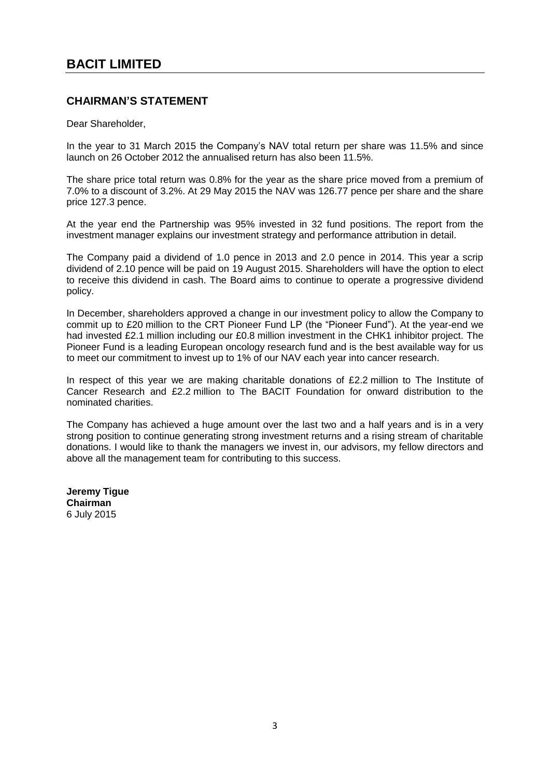## <span id="page-4-0"></span>**CHAIRMAN'S STATEMENT**

Dear Shareholder,

In the year to 31 March 2015 the Company's NAV total return per share was 11.5% and since launch on 26 October 2012 the annualised return has also been 11.5%.

The share price total return was 0.8% for the year as the share price moved from a premium of 7.0% to a discount of 3.2%. At 29 May 2015 the NAV was 126.77 pence per share and the share price 127.3 pence.

At the year end the Partnership was 95% invested in 32 fund positions. The report from the investment manager explains our investment strategy and performance attribution in detail.

The Company paid a dividend of 1.0 pence in 2013 and 2.0 pence in 2014. This year a scrip dividend of 2.10 pence will be paid on 19 August 2015. Shareholders will have the option to elect to receive this dividend in cash. The Board aims to continue to operate a progressive dividend policy.

In December, shareholders approved a change in our investment policy to allow the Company to commit up to £20 million to the CRT Pioneer Fund LP (the "Pioneer Fund"). At the year-end we had invested £2.1 million including our £0.8 million investment in the CHK1 inhibitor project. The Pioneer Fund is a leading European oncology research fund and is the best available way for us to meet our commitment to invest up to 1% of our NAV each year into cancer research.

In respect of this year we are making charitable donations of £2.2 million to The Institute of Cancer Research and £2.2 million to The BACIT Foundation for onward distribution to the nominated charities.

The Company has achieved a huge amount over the last two and a half years and is in a very strong position to continue generating strong investment returns and a rising stream of charitable donations. I would like to thank the managers we invest in, our advisors, my fellow directors and above all the management team for contributing to this success.

**Jeremy Tigue Chairman** 6 July 2015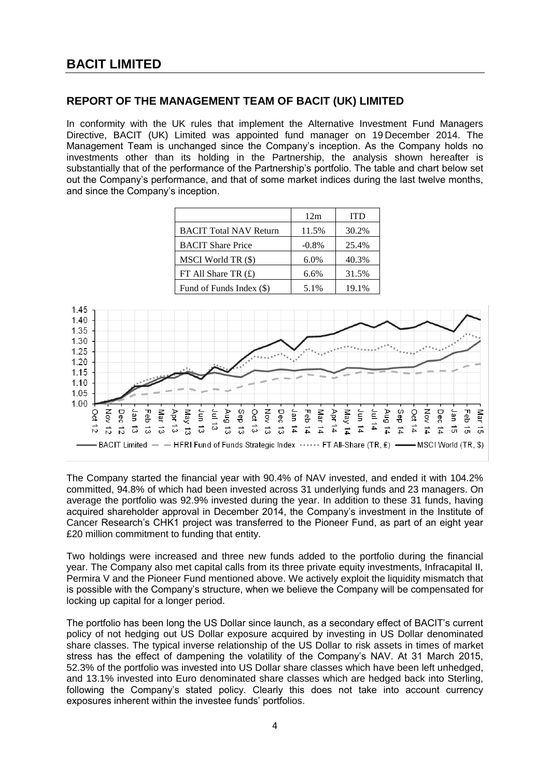## <span id="page-5-0"></span>**REPORT OF THE MANAGEMENT TEAM OF BACIT (UK) LIMITED**

In conformity with the UK rules that implement the Alternative Investment Fund Managers Directive, BACIT (UK) Limited was appointed fund manager on 19 December 2014. The Management Team is unchanged since the Company's inception. As the Company holds no investments other than its holding in the Partnership, the analysis shown hereafter is substantially that of the performance of the Partnership's portfolio. The table and chart below set out the Company's performance, and that of some market indices during the last twelve months, and since the Company's inception.

|                               | 12m      | <b>ITD</b> |
|-------------------------------|----------|------------|
| <b>BACIT Total NAV Return</b> | 11.5%    | 30.2%      |
| <b>BACIT Share Price</b>      | $-0.8\%$ | 25.4%      |
| MSCI World TR (\$)            | 6.0%     | 40.3%      |
| FT All Share TR $(E)$         | 6.6%     | 31.5%      |
| Fund of Funds Index (\$)      | 5.1%     | 19.1%      |



The Company started the financial year with 90.4% of NAV invested, and ended it with 104.2% committed, 94.8% of which had been invested across 31 underlying funds and 23 managers. On average the portfolio was 92.9% invested during the year. In addition to these 31 funds, having acquired shareholder approval in December 2014, the Company's investment in the Institute of Cancer Research's CHK1 project was transferred to the Pioneer Fund, as part of an eight year £20 million commitment to funding that entity.

Two holdings were increased and three new funds added to the portfolio during the financial year. The Company also met capital calls from its three private equity investments, Infracapital II, Permira V and the Pioneer Fund mentioned above. We actively exploit the liquidity mismatch that is possible with the Company's structure, when we believe the Company will be compensated for locking up capital for a longer period.

The portfolio has been long the US Dollar since launch, as a secondary effect of BACIT's current policy of not hedging out US Dollar exposure acquired by investing in US Dollar denominated share classes. The typical inverse relationship of the US Dollar to risk assets in times of market stress has the effect of dampening the volatility of the Company's NAV. At 31 March 2015, 52.3% of the portfolio was invested into US Dollar share classes which have been left unhedged, and 13.1% invested into Euro denominated share classes which are hedged back into Sterling, following the Company's stated policy. Clearly this does not take into account currency exposures inherent within the investee funds' portfolios.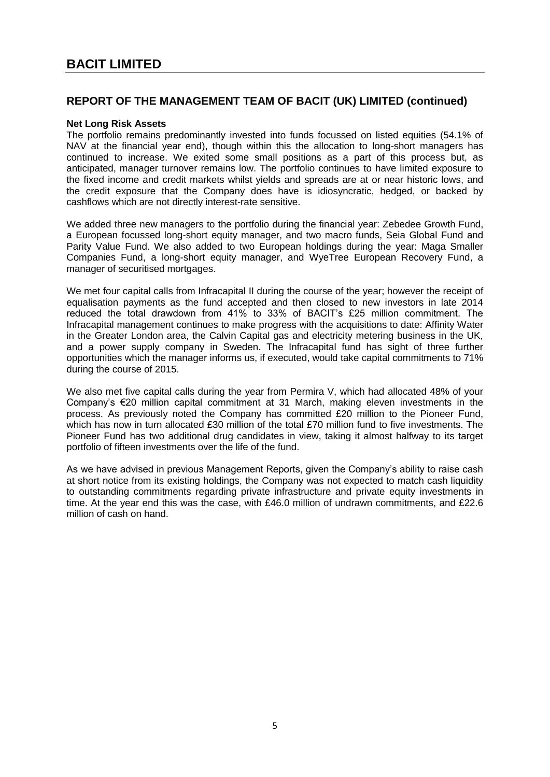## **Net Long Risk Assets**

The portfolio remains predominantly invested into funds focussed on listed equities (54.1% of NAV at the financial year end), though within this the allocation to long-short managers has continued to increase. We exited some small positions as a part of this process but, as anticipated, manager turnover remains low. The portfolio continues to have limited exposure to the fixed income and credit markets whilst yields and spreads are at or near historic lows, and the credit exposure that the Company does have is idiosyncratic, hedged, or backed by cashflows which are not directly interest-rate sensitive.

We added three new managers to the portfolio during the financial year: Zebedee Growth Fund, a European focussed long-short equity manager, and two macro funds, Seia Global Fund and Parity Value Fund. We also added to two European holdings during the year: Maga Smaller Companies Fund, a long-short equity manager, and WyeTree European Recovery Fund, a manager of securitised mortgages.

We met four capital calls from Infracapital II during the course of the year; however the receipt of equalisation payments as the fund accepted and then closed to new investors in late 2014 reduced the total drawdown from 41% to 33% of BACIT's £25 million commitment. The Infracapital management continues to make progress with the acquisitions to date: Affinity Water in the Greater London area, the Calvin Capital gas and electricity metering business in the UK, and a power supply company in Sweden. The Infracapital fund has sight of three further opportunities which the manager informs us, if executed, would take capital commitments to 71% during the course of 2015.

We also met five capital calls during the year from Permira V, which had allocated 48% of your Company's €20 million capital commitment at 31 March, making eleven investments in the process. As previously noted the Company has committed £20 million to the Pioneer Fund, which has now in turn allocated £30 million of the total £70 million fund to five investments. The Pioneer Fund has two additional drug candidates in view, taking it almost halfway to its target portfolio of fifteen investments over the life of the fund.

As we have advised in previous Management Reports, given the Company's ability to raise cash at short notice from its existing holdings, the Company was not expected to match cash liquidity to outstanding commitments regarding private infrastructure and private equity investments in time. At the year end this was the case, with £46.0 million of undrawn commitments, and £22.6 million of cash on hand.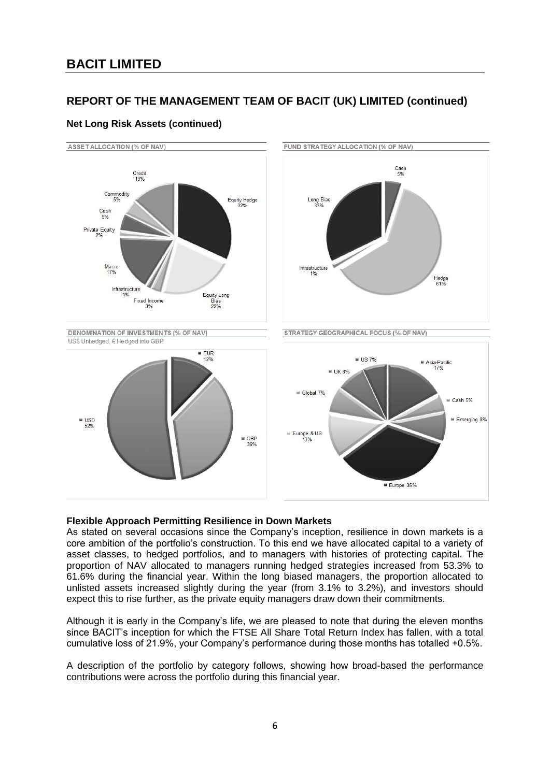

## **Net Long Risk Assets (continued)**

## **Flexible Approach Permitting Resilience in Down Markets**

As stated on several occasions since the Company's inception, resilience in down markets is a core ambition of the portfolio's construction. To this end we have allocated capital to a variety of asset classes, to hedged portfolios, and to managers with histories of protecting capital. The proportion of NAV allocated to managers running hedged strategies increased from 53.3% to 61.6% during the financial year. Within the long biased managers, the proportion allocated to unlisted assets increased slightly during the year (from 3.1% to 3.2%), and investors should expect this to rise further, as the private equity managers draw down their commitments.

Although it is early in the Company's life, we are pleased to note that during the eleven months since BACIT's inception for which the FTSE All Share Total Return Index has fallen, with a total cumulative loss of 21.9%, your Company's performance during those months has totalled +0.5%.

A description of the portfolio by category follows, showing how broad-based the performance contributions were across the portfolio during this financial year.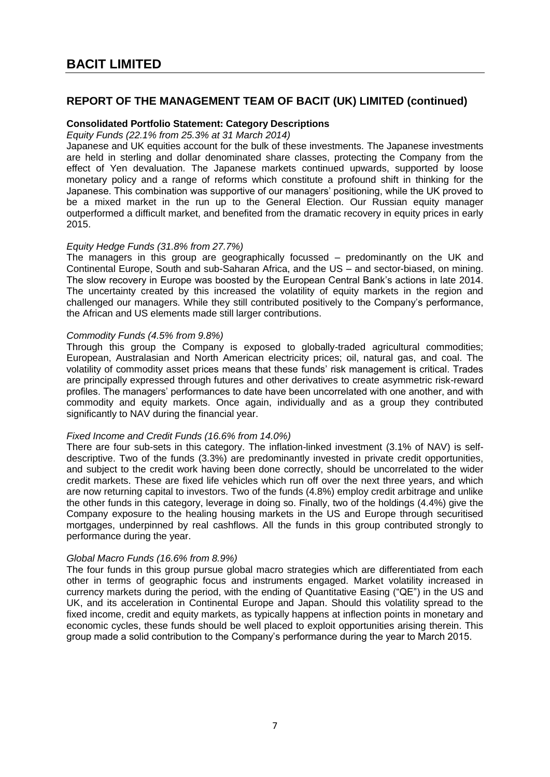## **Consolidated Portfolio Statement: Category Descriptions**

*Equity Funds (22.1% from 25.3% at 31 March 2014)*

Japanese and UK equities account for the bulk of these investments. The Japanese investments are held in sterling and dollar denominated share classes, protecting the Company from the effect of Yen devaluation. The Japanese markets continued upwards, supported by loose monetary policy and a range of reforms which constitute a profound shift in thinking for the Japanese. This combination was supportive of our managers' positioning, while the UK proved to be a mixed market in the run up to the General Election. Our Russian equity manager outperformed a difficult market, and benefited from the dramatic recovery in equity prices in early 2015.

## *Equity Hedge Funds (31.8% from 27.7%)*

The managers in this group are geographically focussed – predominantly on the UK and Continental Europe, South and sub-Saharan Africa, and the US – and sector-biased, on mining. The slow recovery in Europe was boosted by the European Central Bank's actions in late 2014. The uncertainty created by this increased the volatility of equity markets in the region and challenged our managers. While they still contributed positively to the Company's performance, the African and US elements made still larger contributions.

## *Commodity Funds (4.5% from 9.8%)*

Through this group the Company is exposed to globally-traded agricultural commodities; European, Australasian and North American electricity prices; oil, natural gas, and coal. The volatility of commodity asset prices means that these funds' risk management is critical. Trades are principally expressed through futures and other derivatives to create asymmetric risk-reward profiles. The managers' performances to date have been uncorrelated with one another, and with commodity and equity markets. Once again, individually and as a group they contributed significantly to NAV during the financial year.

## *Fixed Income and Credit Funds (16.6% from 14.0%)*

There are four sub-sets in this category. The inflation-linked investment (3.1% of NAV) is selfdescriptive. Two of the funds (3.3%) are predominantly invested in private credit opportunities, and subject to the credit work having been done correctly, should be uncorrelated to the wider credit markets. These are fixed life vehicles which run off over the next three years, and which are now returning capital to investors. Two of the funds (4.8%) employ credit arbitrage and unlike the other funds in this category, leverage in doing so. Finally, two of the holdings (4.4%) give the Company exposure to the healing housing markets in the US and Europe through securitised mortgages, underpinned by real cashflows. All the funds in this group contributed strongly to performance during the year.

## *Global Macro Funds (16.6% from 8.9%)*

The four funds in this group pursue global macro strategies which are differentiated from each other in terms of geographic focus and instruments engaged. Market volatility increased in currency markets during the period, with the ending of Quantitative Easing ("QE") in the US and UK, and its acceleration in Continental Europe and Japan. Should this volatility spread to the fixed income, credit and equity markets, as typically happens at inflection points in monetary and economic cycles, these funds should be well placed to exploit opportunities arising therein. This group made a solid contribution to the Company's performance during the year to March 2015.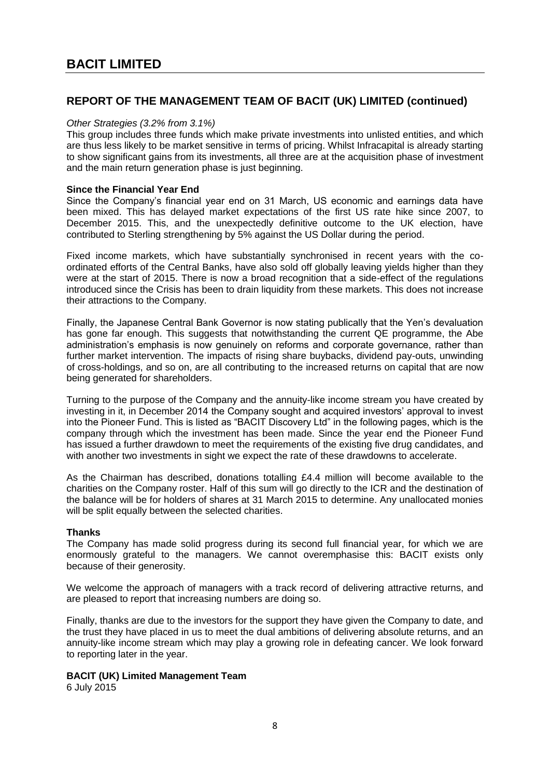## *Other Strategies (3.2% from 3.1%)*

This group includes three funds which make private investments into unlisted entities, and which are thus less likely to be market sensitive in terms of pricing. Whilst Infracapital is already starting to show significant gains from its investments, all three are at the acquisition phase of investment and the main return generation phase is just beginning.

#### **Since the Financial Year End**

Since the Company's financial year end on 31 March, US economic and earnings data have been mixed. This has delayed market expectations of the first US rate hike since 2007, to December 2015. This, and the unexpectedly definitive outcome to the UK election, have contributed to Sterling strengthening by 5% against the US Dollar during the period.

Fixed income markets, which have substantially synchronised in recent years with the coordinated efforts of the Central Banks, have also sold off globally leaving yields higher than they were at the start of 2015. There is now a broad recognition that a side-effect of the regulations introduced since the Crisis has been to drain liquidity from these markets. This does not increase their attractions to the Company.

Finally, the Japanese Central Bank Governor is now stating publically that the Yen's devaluation has gone far enough. This suggests that notwithstanding the current QE programme, the Abe administration's emphasis is now genuinely on reforms and corporate governance, rather than further market intervention. The impacts of rising share buybacks, dividend pay-outs, unwinding of cross-holdings, and so on, are all contributing to the increased returns on capital that are now being generated for shareholders.

Turning to the purpose of the Company and the annuity-like income stream you have created by investing in it, in December 2014 the Company sought and acquired investors' approval to invest into the Pioneer Fund. This is listed as "BACIT Discovery Ltd" in the following pages, which is the company through which the investment has been made. Since the year end the Pioneer Fund has issued a further drawdown to meet the requirements of the existing five drug candidates, and with another two investments in sight we expect the rate of these drawdowns to accelerate.

As the Chairman has described, donations totalling £4.4 million will become available to the charities on the Company roster. Half of this sum will go directly to the ICR and the destination of the balance will be for holders of shares at 31 March 2015 to determine. Any unallocated monies will be split equally between the selected charities.

## **Thanks**

The Company has made solid progress during its second full financial year, for which we are enormously grateful to the managers. We cannot overemphasise this: BACIT exists only because of their generosity.

We welcome the approach of managers with a track record of delivering attractive returns, and are pleased to report that increasing numbers are doing so.

Finally, thanks are due to the investors for the support they have given the Company to date, and the trust they have placed in us to meet the dual ambitions of delivering absolute returns, and an annuity-like income stream which may play a growing role in defeating cancer. We look forward to reporting later in the year.

## **BACIT (UK) Limited Management Team**

6 July 2015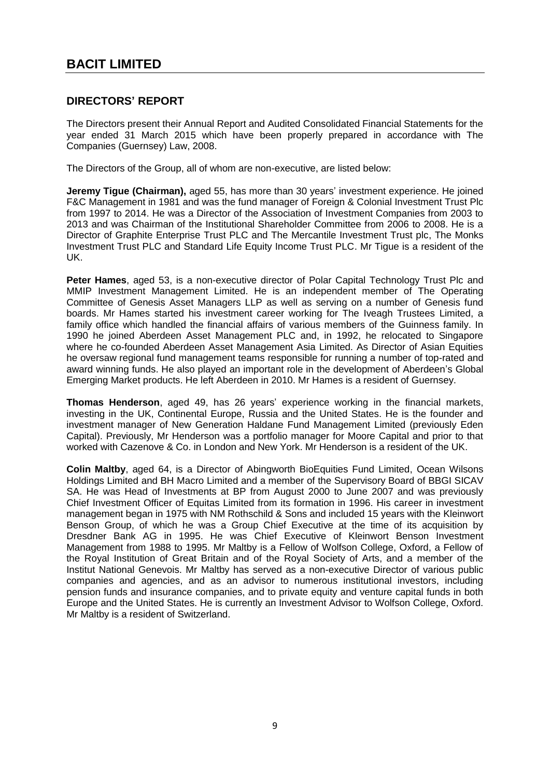## <span id="page-10-0"></span>**DIRECTORS' REPORT**

The Directors present their Annual Report and Audited Consolidated Financial Statements for the year ended 31 March 2015 which have been properly prepared in accordance with The Companies (Guernsey) Law, 2008.

The Directors of the Group, all of whom are non-executive, are listed below:

**Jeremy Tigue (Chairman),** aged 55, has more than 30 years' investment experience. He joined F&C Management in 1981 and was the fund manager of Foreign & Colonial Investment Trust Plc from 1997 to 2014. He was a Director of the Association of Investment Companies from 2003 to 2013 and was Chairman of the Institutional Shareholder Committee from 2006 to 2008. He is a Director of Graphite Enterprise Trust PLC and The Mercantile Investment Trust plc, The Monks Investment Trust PLC and Standard Life Equity Income Trust PLC. Mr Tigue is a resident of the UK.

**Peter Hames**, aged 53, is a non-executive director of Polar Capital Technology Trust Plc and MMIP Investment Management Limited. He is an independent member of The Operating Committee of Genesis Asset Managers LLP as well as serving on a number of Genesis fund boards. Mr Hames started his investment career working for The Iveagh Trustees Limited, a family office which handled the financial affairs of various members of the Guinness family. In 1990 he joined Aberdeen Asset Management PLC and, in 1992, he relocated to Singapore where he co-founded Aberdeen Asset Management Asia Limited. As Director of Asian Equities he oversaw regional fund management teams responsible for running a number of top-rated and award winning funds. He also played an important role in the development of Aberdeen's Global Emerging Market products. He left Aberdeen in 2010. Mr Hames is a resident of Guernsey.

**Thomas Henderson**, aged 49, has 26 years' experience working in the financial markets, investing in the UK, Continental Europe, Russia and the United States. He is the founder and investment manager of New Generation Haldane Fund Management Limited (previously Eden Capital). Previously, Mr Henderson was a portfolio manager for Moore Capital and prior to that worked with Cazenove & Co. in London and New York. Mr Henderson is a resident of the UK.

**Colin Maltby**, aged 64, is a Director of Abingworth BioEquities Fund Limited, Ocean Wilsons Holdings Limited and BH Macro Limited and a member of the Supervisory Board of BBGI SICAV SA. He was Head of Investments at BP from August 2000 to June 2007 and was previously Chief Investment Officer of Equitas Limited from its formation in 1996. His career in investment management began in 1975 with NM Rothschild & Sons and included 15 years with the Kleinwort Benson Group, of which he was a Group Chief Executive at the time of its acquisition by Dresdner Bank AG in 1995. He was Chief Executive of Kleinwort Benson Investment Management from 1988 to 1995. Mr Maltby is a Fellow of Wolfson College, Oxford, a Fellow of the Royal Institution of Great Britain and of the Royal Society of Arts, and a member of the Institut National Genevois. Mr Maltby has served as a non-executive Director of various public companies and agencies, and as an advisor to numerous institutional investors, including pension funds and insurance companies, and to private equity and venture capital funds in both Europe and the United States. He is currently an Investment Advisor to Wolfson College, Oxford. Mr Maltby is a resident of Switzerland.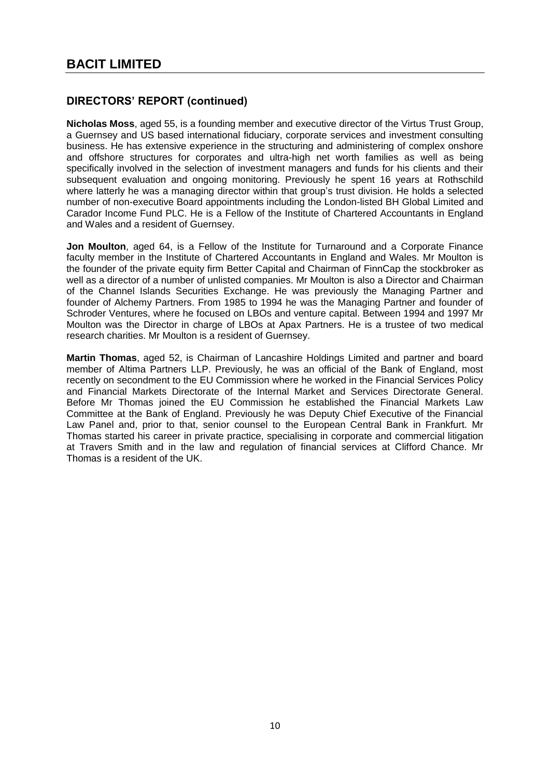**Nicholas Moss**, aged 55, is a founding member and executive director of the Virtus Trust Group, a Guernsey and US based international fiduciary, corporate services and investment consulting business. He has extensive experience in the structuring and administering of complex onshore and offshore structures for corporates and ultra-high net worth families as well as being specifically involved in the selection of investment managers and funds for his clients and their subsequent evaluation and ongoing monitoring. Previously he spent 16 years at Rothschild where latterly he was a managing director within that group's trust division. He holds a selected number of non-executive Board appointments including the London-listed BH Global Limited and Carador Income Fund PLC. He is a Fellow of the Institute of Chartered Accountants in England and Wales and a resident of Guernsey.

**Jon Moulton**, aged 64, is a Fellow of the Institute for Turnaround and a Corporate Finance faculty member in the Institute of Chartered Accountants in England and Wales. Mr Moulton is the founder of the private equity firm Better Capital and Chairman of FinnCap the stockbroker as well as a director of a number of unlisted companies. Mr Moulton is also a Director and Chairman of the Channel Islands Securities Exchange. He was previously the Managing Partner and founder of Alchemy Partners. From 1985 to 1994 he was the Managing Partner and founder of Schroder Ventures, where he focused on LBOs and venture capital. Between 1994 and 1997 Mr Moulton was the Director in charge of LBOs at Apax Partners. He is a trustee of two medical research charities. Mr Moulton is a resident of Guernsey.

**Martin Thomas**, aged 52, is Chairman of Lancashire Holdings Limited and partner and board member of Altima Partners LLP. Previously, he was an official of the Bank of England, most recently on secondment to the EU Commission where he worked in the Financial Services Policy and Financial Markets Directorate of the Internal Market and Services Directorate General. Before Mr Thomas joined the EU Commission he established the Financial Markets Law Committee at the Bank of England. Previously he was Deputy Chief Executive of the Financial Law Panel and, prior to that, senior counsel to the European Central Bank in Frankfurt. Mr Thomas started his career in private practice, specialising in corporate and commercial litigation at Travers Smith and in the law and regulation of financial services at Clifford Chance. Mr Thomas is a resident of the UK.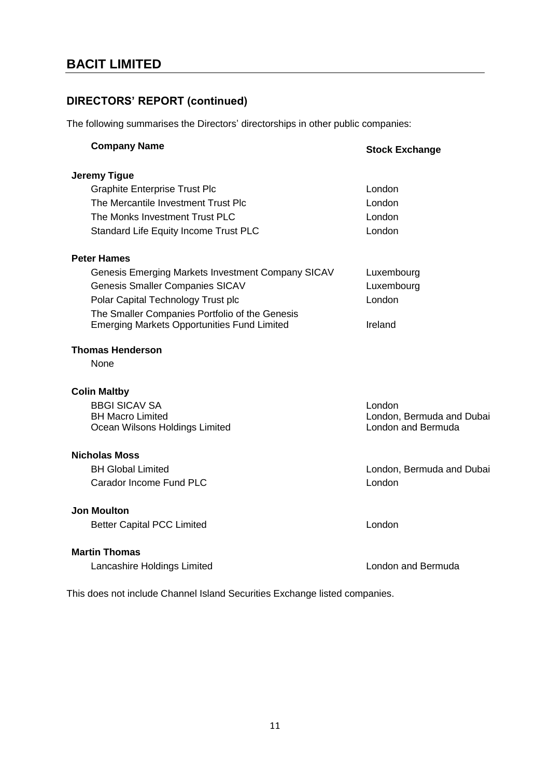The following summarises the Directors' directorships in other public companies:

| <b>Company Name</b>                                                                                  | <b>Stock Exchange</b>                           |
|------------------------------------------------------------------------------------------------------|-------------------------------------------------|
| Jeremy Tigue                                                                                         |                                                 |
| <b>Graphite Enterprise Trust Plc</b>                                                                 | London                                          |
| The Mercantile Investment Trust Plc                                                                  | London                                          |
| The Monks Investment Trust PLC                                                                       | London                                          |
| Standard Life Equity Income Trust PLC                                                                | London                                          |
| <b>Peter Hames</b>                                                                                   |                                                 |
| Genesis Emerging Markets Investment Company SICAV                                                    | Luxembourg                                      |
| <b>Genesis Smaller Companies SICAV</b>                                                               | Luxembourg                                      |
| Polar Capital Technology Trust plc                                                                   | London                                          |
| The Smaller Companies Portfolio of the Genesis<br><b>Emerging Markets Opportunities Fund Limited</b> | Ireland                                         |
| <b>Thomas Henderson</b>                                                                              |                                                 |
| None                                                                                                 |                                                 |
| <b>Colin Maltby</b>                                                                                  |                                                 |
| <b>BBGI SICAV SA</b>                                                                                 | London                                          |
| <b>BH Macro Limited</b><br>Ocean Wilsons Holdings Limited                                            | London, Bermuda and Dubai<br>London and Bermuda |
| <b>Nicholas Moss</b>                                                                                 |                                                 |
| <b>BH Global Limited</b>                                                                             | London, Bermuda and Dubai                       |
| Carador Income Fund PLC                                                                              | London                                          |
| <b>Jon Moulton</b>                                                                                   |                                                 |
| <b>Better Capital PCC Limited</b>                                                                    | London                                          |
| <b>Martin Thomas</b>                                                                                 |                                                 |
| Lancashire Holdings Limited                                                                          | London and Bermuda                              |

This does not include Channel Island Securities Exchange listed companies.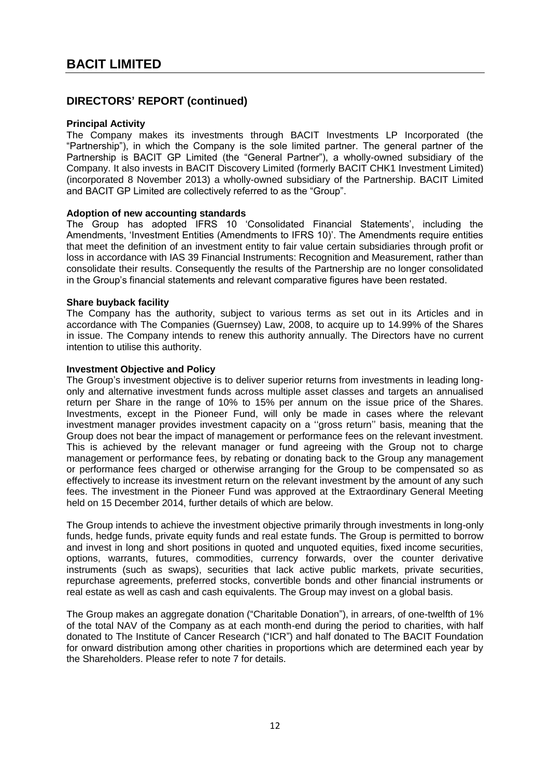## **Principal Activity**

The Company makes its investments through BACIT Investments LP Incorporated (the "Partnership"), in which the Company is the sole limited partner. The general partner of the Partnership is BACIT GP Limited (the "General Partner"), a wholly-owned subsidiary of the Company. It also invests in BACIT Discovery Limited (formerly BACIT CHK1 Investment Limited) (incorporated 8 November 2013) a wholly-owned subsidiary of the Partnership. BACIT Limited and BACIT GP Limited are collectively referred to as the "Group".

## **Adoption of new accounting standards**

The Group has adopted IFRS 10 'Consolidated Financial Statements', including the Amendments, 'Investment Entities (Amendments to IFRS 10)'. The Amendments require entities that meet the definition of an investment entity to fair value certain subsidiaries through profit or loss in accordance with IAS 39 Financial Instruments: Recognition and Measurement, rather than consolidate their results. Consequently the results of the Partnership are no longer consolidated in the Group's financial statements and relevant comparative figures have been restated.

## **Share buyback facility**

The Company has the authority, subject to various terms as set out in its Articles and in accordance with The Companies (Guernsey) Law, 2008, to acquire up to 14.99% of the Shares in issue. The Company intends to renew this authority annually. The Directors have no current intention to utilise this authority.

## **Investment Objective and Policy**

The Group's investment objective is to deliver superior returns from investments in leading longonly and alternative investment funds across multiple asset classes and targets an annualised return per Share in the range of 10% to 15% per annum on the issue price of the Shares. Investments, except in the Pioneer Fund, will only be made in cases where the relevant investment manager provides investment capacity on a ''gross return'' basis, meaning that the Group does not bear the impact of management or performance fees on the relevant investment. This is achieved by the relevant manager or fund agreeing with the Group not to charge management or performance fees, by rebating or donating back to the Group any management or performance fees charged or otherwise arranging for the Group to be compensated so as effectively to increase its investment return on the relevant investment by the amount of any such fees. The investment in the Pioneer Fund was approved at the Extraordinary General Meeting held on 15 December 2014, further details of which are below.

The Group intends to achieve the investment objective primarily through investments in long-only funds, hedge funds, private equity funds and real estate funds. The Group is permitted to borrow and invest in long and short positions in quoted and unquoted equities, fixed income securities, options, warrants, futures, commodities, currency forwards, over the counter derivative instruments (such as swaps), securities that lack active public markets, private securities. repurchase agreements, preferred stocks, convertible bonds and other financial instruments or real estate as well as cash and cash equivalents. The Group may invest on a global basis.

The Group makes an aggregate donation ("Charitable Donation"), in arrears, of one-twelfth of 1% of the total NAV of the Company as at each month-end during the period to charities, with half donated to The Institute of Cancer Research ("ICR") and half donated to The BACIT Foundation for onward distribution among other charities in proportions which are determined each year by the Shareholders. Please refer to note 7 for details.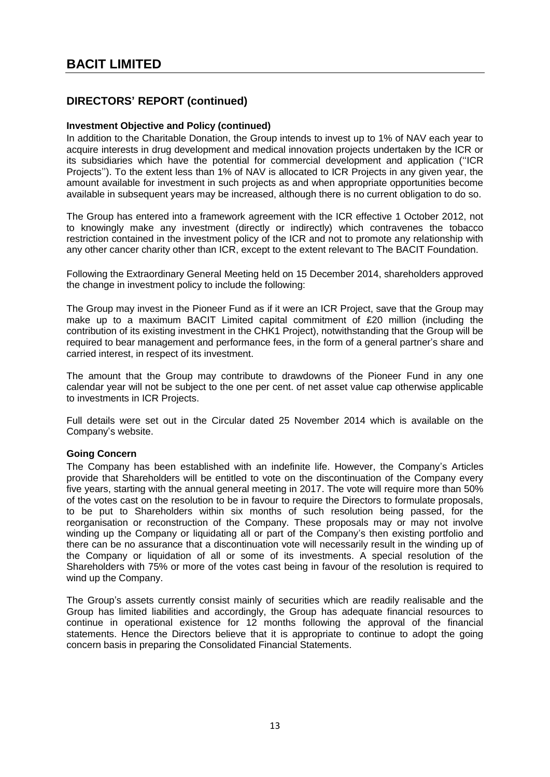## **Investment Objective and Policy (continued)**

In addition to the Charitable Donation, the Group intends to invest up to 1% of NAV each year to acquire interests in drug development and medical innovation projects undertaken by the ICR or its subsidiaries which have the potential for commercial development and application (''ICR Projects''). To the extent less than 1% of NAV is allocated to ICR Projects in any given year, the amount available for investment in such projects as and when appropriate opportunities become available in subsequent years may be increased, although there is no current obligation to do so.

The Group has entered into a framework agreement with the ICR effective 1 October 2012, not to knowingly make any investment (directly or indirectly) which contravenes the tobacco restriction contained in the investment policy of the ICR and not to promote any relationship with any other cancer charity other than ICR, except to the extent relevant to The BACIT Foundation.

Following the Extraordinary General Meeting held on 15 December 2014, shareholders approved the change in investment policy to include the following:

The Group may invest in the Pioneer Fund as if it were an ICR Project, save that the Group may make up to a maximum BACIT Limited capital commitment of £20 million (including the contribution of its existing investment in the CHK1 Project), notwithstanding that the Group will be required to bear management and performance fees, in the form of a general partner's share and carried interest, in respect of its investment.

The amount that the Group may contribute to drawdowns of the Pioneer Fund in any one calendar year will not be subject to the one per cent. of net asset value cap otherwise applicable to investments in ICR Projects.

Full details were set out in the Circular dated 25 November 2014 which is available on the Company's website.

## **Going Concern**

The Company has been established with an indefinite life. However, the Company's Articles provide that Shareholders will be entitled to vote on the discontinuation of the Company every five years, starting with the annual general meeting in 2017. The vote will require more than 50% of the votes cast on the resolution to be in favour to require the Directors to formulate proposals, to be put to Shareholders within six months of such resolution being passed, for the reorganisation or reconstruction of the Company. These proposals may or may not involve winding up the Company or liquidating all or part of the Company's then existing portfolio and there can be no assurance that a discontinuation vote will necessarily result in the winding up of the Company or liquidation of all or some of its investments. A special resolution of the Shareholders with 75% or more of the votes cast being in favour of the resolution is required to wind up the Company.

The Group's assets currently consist mainly of securities which are readily realisable and the Group has limited liabilities and accordingly, the Group has adequate financial resources to continue in operational existence for 12 months following the approval of the financial statements. Hence the Directors believe that it is appropriate to continue to adopt the going concern basis in preparing the Consolidated Financial Statements.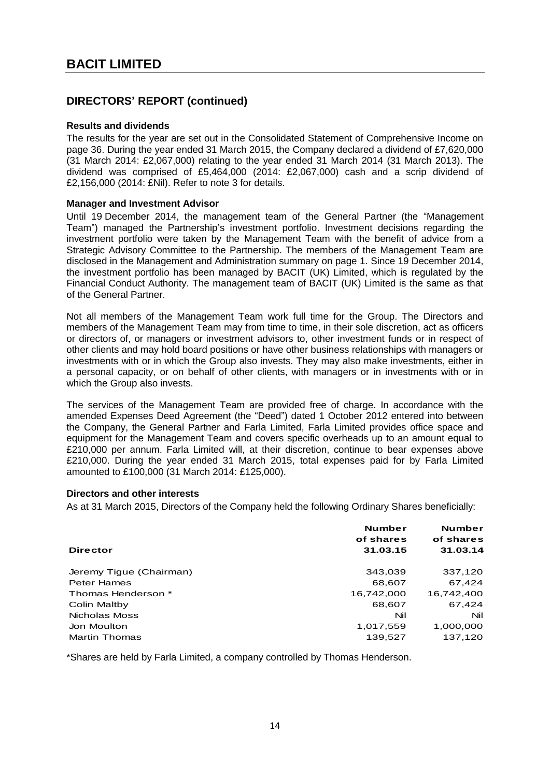## **Results and dividends**

The results for the year are set out in the Consolidated Statement of Comprehensive Income on page 36. During the year ended 31 March 2015, the Company declared a dividend of £7,620,000 (31 March 2014: £2,067,000) relating to the year ended 31 March 2014 (31 March 2013). The dividend was comprised of £5,464,000 (2014: £2,067,000) cash and a scrip dividend of £2,156,000 (2014: £Nil). Refer to note 3 for details.

## **Manager and Investment Advisor**

Until 19 December 2014, the management team of the General Partner (the "Management Team") managed the Partnership's investment portfolio. Investment decisions regarding the investment portfolio were taken by the Management Team with the benefit of advice from a Strategic Advisory Committee to the Partnership. The members of the Management Team are disclosed in the Management and Administration summary on page 1. Since 19 December 2014, the investment portfolio has been managed by BACIT (UK) Limited, which is regulated by the Financial Conduct Authority. The management team of BACIT (UK) Limited is the same as that of the General Partner.

Not all members of the Management Team work full time for the Group. The Directors and members of the Management Team may from time to time, in their sole discretion, act as officers or directors of, or managers or investment advisors to, other investment funds or in respect of other clients and may hold board positions or have other business relationships with managers or investments with or in which the Group also invests. They may also make investments, either in a personal capacity, or on behalf of other clients, with managers or in investments with or in which the Group also invests.

The services of the Management Team are provided free of charge. In accordance with the amended Expenses Deed Agreement (the "Deed") dated 1 October 2012 entered into between the Company, the General Partner and Farla Limited, Farla Limited provides office space and equipment for the Management Team and covers specific overheads up to an amount equal to £210,000 per annum. Farla Limited will, at their discretion, continue to bear expenses above £210,000. During the year ended 31 March 2015, total expenses paid for by Farla Limited amounted to £100,000 (31 March 2014: £125,000).

## **Directors and other interests**

As at 31 March 2015, Directors of the Company held the following Ordinary Shares beneficially:

|                         | <b>Number</b><br>of shares | <b>Number</b><br>of shares |
|-------------------------|----------------------------|----------------------------|
| <b>Director</b>         | 31.03.15                   | 31.03.14                   |
| Jeremy Tigue (Chairman) | 343,039                    | 337,120                    |
| <b>Peter Hames</b>      | 68,607                     | 67,424                     |
| Thomas Henderson *      | 16.742.000                 | 16.742.400                 |
| Colin Maltby            | 68,607                     | 67.424                     |
| Nicholas Moss           | Nil                        | Nil                        |
| Jon Moulton             | 1,017,559                  | 1,000,000                  |
| <b>Martin Thomas</b>    | 139,527                    | 137,120                    |

\*Shares are held by Farla Limited, a company controlled by Thomas Henderson.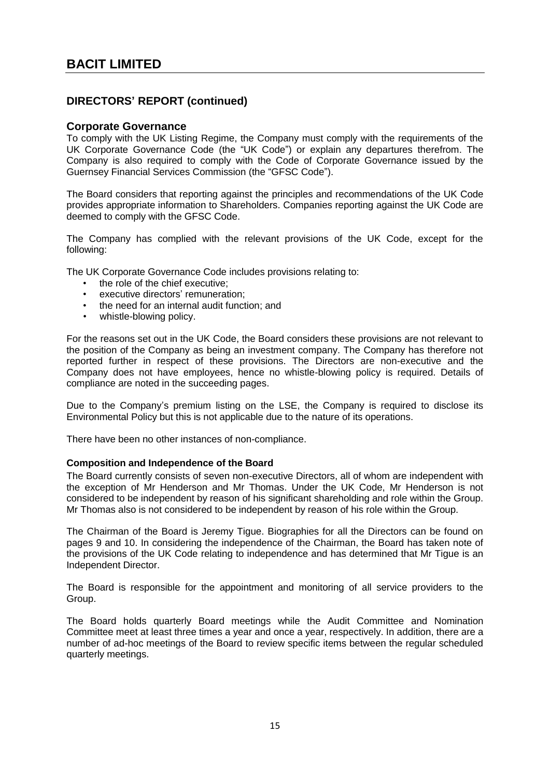## **Corporate Governance**

To comply with the UK Listing Regime, the Company must comply with the requirements of the UK Corporate Governance Code (the "UK Code") or explain any departures therefrom. The Company is also required to comply with the Code of Corporate Governance issued by the Guernsey Financial Services Commission (the "GFSC Code").

The Board considers that reporting against the principles and recommendations of the UK Code provides appropriate information to Shareholders. Companies reporting against the UK Code are deemed to comply with the GFSC Code.

The Company has complied with the relevant provisions of the UK Code, except for the following:

The UK Corporate Governance Code includes provisions relating to:

- the role of the chief executive;
- executive directors' remuneration:
- the need for an internal audit function; and
- whistle-blowing policy.

For the reasons set out in the UK Code, the Board considers these provisions are not relevant to the position of the Company as being an investment company. The Company has therefore not reported further in respect of these provisions. The Directors are non-executive and the Company does not have employees, hence no whistle-blowing policy is required. Details of compliance are noted in the succeeding pages.

Due to the Company's premium listing on the LSE, the Company is required to disclose its Environmental Policy but this is not applicable due to the nature of its operations.

There have been no other instances of non-compliance.

#### **Composition and Independence of the Board**

The Board currently consists of seven non-executive Directors, all of whom are independent with the exception of Mr Henderson and Mr Thomas. Under the UK Code, Mr Henderson is not considered to be independent by reason of his significant shareholding and role within the Group. Mr Thomas also is not considered to be independent by reason of his role within the Group.

The Chairman of the Board is Jeremy Tigue. Biographies for all the Directors can be found on pages 9 and 10. In considering the independence of the Chairman, the Board has taken note of the provisions of the UK Code relating to independence and has determined that Mr Tigue is an Independent Director.

The Board is responsible for the appointment and monitoring of all service providers to the Group.

The Board holds quarterly Board meetings while the Audit Committee and Nomination Committee meet at least three times a year and once a year, respectively. In addition, there are a number of ad-hoc meetings of the Board to review specific items between the regular scheduled quarterly meetings.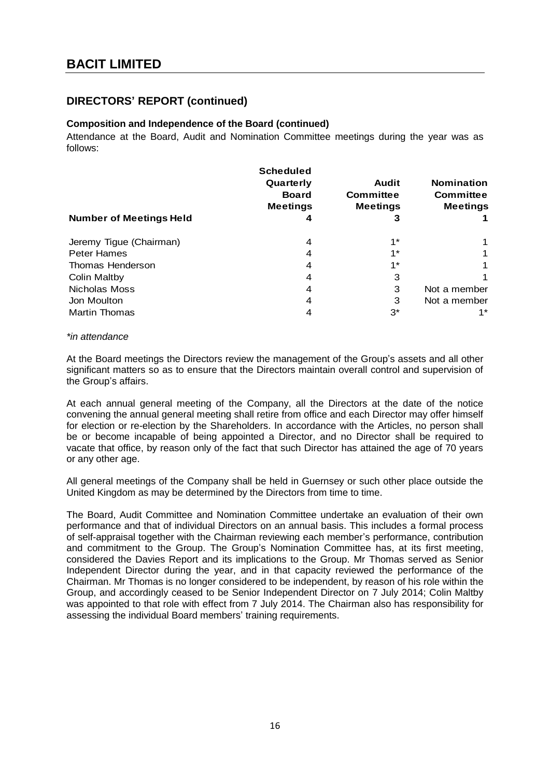## **Composition and Independence of the Board (continued)**

Attendance at the Board, Audit and Nomination Committee meetings during the year was as follows:

| <b>Number of Meetings Held</b> | <b>Scheduled</b><br>Quarterly<br><b>Board</b><br><b>Meetings</b><br>4 | <b>Audit</b><br>Committee<br><b>Meetings</b><br>3 | <b>Nomination</b><br><b>Committee</b><br><b>Meetings</b> |
|--------------------------------|-----------------------------------------------------------------------|---------------------------------------------------|----------------------------------------------------------|
| Jeremy Tigue (Chairman)        | 4                                                                     | $1^{\star}$                                       |                                                          |
| <b>Peter Hames</b>             | 4                                                                     | $1^{\star}$                                       |                                                          |
| Thomas Henderson               | 4                                                                     | $1^{\star}$                                       |                                                          |
| <b>Colin Maltby</b>            | 4                                                                     | 3                                                 |                                                          |
| Nicholas Moss                  | 4                                                                     | 3                                                 | Not a member                                             |
| Jon Moulton                    | 4                                                                     | 3                                                 | Not a member                                             |
| <b>Martin Thomas</b>           |                                                                       | $3^*$                                             | 1 *                                                      |

#### *\*in attendance*

At the Board meetings the Directors review the management of the Group's assets and all other significant matters so as to ensure that the Directors maintain overall control and supervision of the Group's affairs.

At each annual general meeting of the Company, all the Directors at the date of the notice convening the annual general meeting shall retire from office and each Director may offer himself for election or re-election by the Shareholders. In accordance with the Articles, no person shall be or become incapable of being appointed a Director, and no Director shall be required to vacate that office, by reason only of the fact that such Director has attained the age of 70 years or any other age.

All general meetings of the Company shall be held in Guernsey or such other place outside the United Kingdom as may be determined by the Directors from time to time.

The Board, Audit Committee and Nomination Committee undertake an evaluation of their own performance and that of individual Directors on an annual basis. This includes a formal process of self-appraisal together with the Chairman reviewing each member's performance, contribution and commitment to the Group. The Group's Nomination Committee has, at its first meeting, considered the Davies Report and its implications to the Group. Mr Thomas served as Senior Independent Director during the year, and in that capacity reviewed the performance of the Chairman. Mr Thomas is no longer considered to be independent, by reason of his role within the Group, and accordingly ceased to be Senior Independent Director on 7 July 2014; Colin Maltby was appointed to that role with effect from 7 July 2014. The Chairman also has responsibility for assessing the individual Board members' training requirements.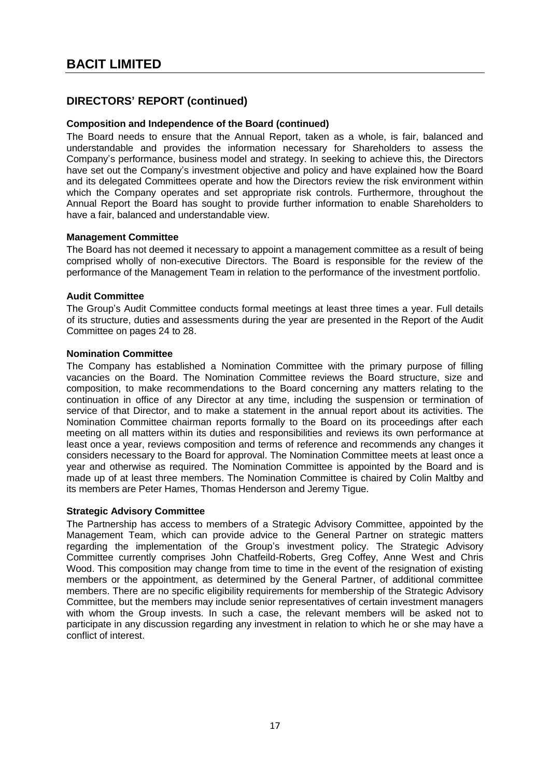## **Composition and Independence of the Board (continued)**

The Board needs to ensure that the Annual Report, taken as a whole, is fair, balanced and understandable and provides the information necessary for Shareholders to assess the Company's performance, business model and strategy. In seeking to achieve this, the Directors have set out the Company's investment objective and policy and have explained how the Board and its delegated Committees operate and how the Directors review the risk environment within which the Company operates and set appropriate risk controls. Furthermore, throughout the Annual Report the Board has sought to provide further information to enable Shareholders to have a fair, balanced and understandable view.

## **Management Committee**

The Board has not deemed it necessary to appoint a management committee as a result of being comprised wholly of non-executive Directors. The Board is responsible for the review of the performance of the Management Team in relation to the performance of the investment portfolio.

## **Audit Committee**

The Group's Audit Committee conducts formal meetings at least three times a year. Full details of its structure, duties and assessments during the year are presented in the Report of the Audit Committee on pages 24 to 28.

## **Nomination Committee**

The Company has established a Nomination Committee with the primary purpose of filling vacancies on the Board. The Nomination Committee reviews the Board structure, size and composition, to make recommendations to the Board concerning any matters relating to the continuation in office of any Director at any time, including the suspension or termination of service of that Director, and to make a statement in the annual report about its activities. The Nomination Committee chairman reports formally to the Board on its proceedings after each meeting on all matters within its duties and responsibilities and reviews its own performance at least once a year, reviews composition and terms of reference and recommends any changes it considers necessary to the Board for approval. The Nomination Committee meets at least once a year and otherwise as required. The Nomination Committee is appointed by the Board and is made up of at least three members. The Nomination Committee is chaired by Colin Maltby and its members are Peter Hames, Thomas Henderson and Jeremy Tigue.

## **Strategic Advisory Committee**

The Partnership has access to members of a Strategic Advisory Committee, appointed by the Management Team, which can provide advice to the General Partner on strategic matters regarding the implementation of the Group's investment policy. The Strategic Advisory Committee currently comprises John Chatfeild-Roberts, Greg Coffey, Anne West and Chris Wood. This composition may change from time to time in the event of the resignation of existing members or the appointment, as determined by the General Partner, of additional committee members. There are no specific eligibility requirements for membership of the Strategic Advisory Committee, but the members may include senior representatives of certain investment managers with whom the Group invests. In such a case, the relevant members will be asked not to participate in any discussion regarding any investment in relation to which he or she may have a conflict of interest.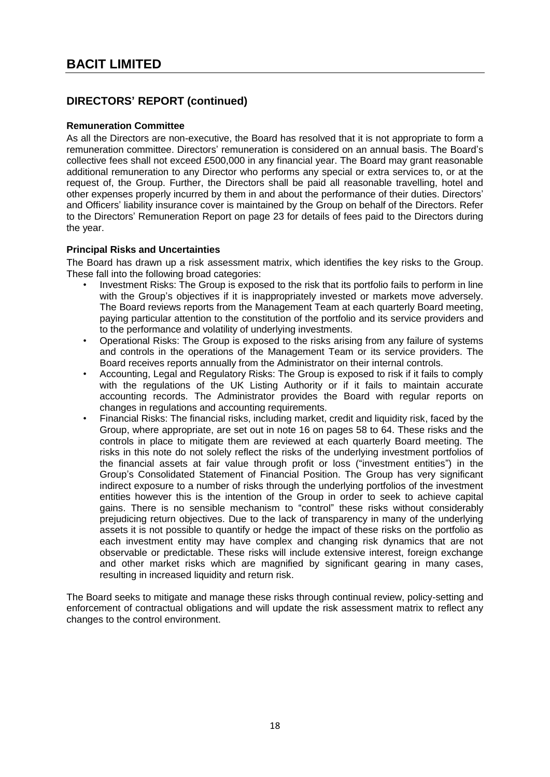## **Remuneration Committee**

As all the Directors are non-executive, the Board has resolved that it is not appropriate to form a remuneration committee. Directors' remuneration is considered on an annual basis. The Board's collective fees shall not exceed £500,000 in any financial year. The Board may grant reasonable additional remuneration to any Director who performs any special or extra services to, or at the request of, the Group. Further, the Directors shall be paid all reasonable travelling, hotel and other expenses properly incurred by them in and about the performance of their duties. Directors' and Officers' liability insurance cover is maintained by the Group on behalf of the Directors. Refer to the Directors' Remuneration Report on page 23 for details of fees paid to the Directors during the year.

## **Principal Risks and Uncertainties**

The Board has drawn up a risk assessment matrix, which identifies the key risks to the Group. These fall into the following broad categories:

- Investment Risks: The Group is exposed to the risk that its portfolio fails to perform in line with the Group's objectives if it is inappropriately invested or markets move adversely. The Board reviews reports from the Management Team at each quarterly Board meeting, paying particular attention to the constitution of the portfolio and its service providers and to the performance and volatility of underlying investments.
- Operational Risks: The Group is exposed to the risks arising from any failure of systems and controls in the operations of the Management Team or its service providers. The Board receives reports annually from the Administrator on their internal controls.
- Accounting, Legal and Regulatory Risks: The Group is exposed to risk if it fails to comply with the regulations of the UK Listing Authority or if it fails to maintain accurate accounting records. The Administrator provides the Board with regular reports on changes in regulations and accounting requirements.
- Financial Risks: The financial risks, including market, credit and liquidity risk, faced by the Group, where appropriate, are set out in note 16 on pages 58 to 64. These risks and the controls in place to mitigate them are reviewed at each quarterly Board meeting. The risks in this note do not solely reflect the risks of the underlying investment portfolios of the financial assets at fair value through profit or loss ("investment entities") in the Group's Consolidated Statement of Financial Position. The Group has very significant indirect exposure to a number of risks through the underlying portfolios of the investment entities however this is the intention of the Group in order to seek to achieve capital gains. There is no sensible mechanism to "control" these risks without considerably prejudicing return objectives. Due to the lack of transparency in many of the underlying assets it is not possible to quantify or hedge the impact of these risks on the portfolio as each investment entity may have complex and changing risk dynamics that are not observable or predictable. These risks will include extensive interest, foreign exchange and other market risks which are magnified by significant gearing in many cases, resulting in increased liquidity and return risk.

The Board seeks to mitigate and manage these risks through continual review, policy-setting and enforcement of contractual obligations and will update the risk assessment matrix to reflect any changes to the control environment.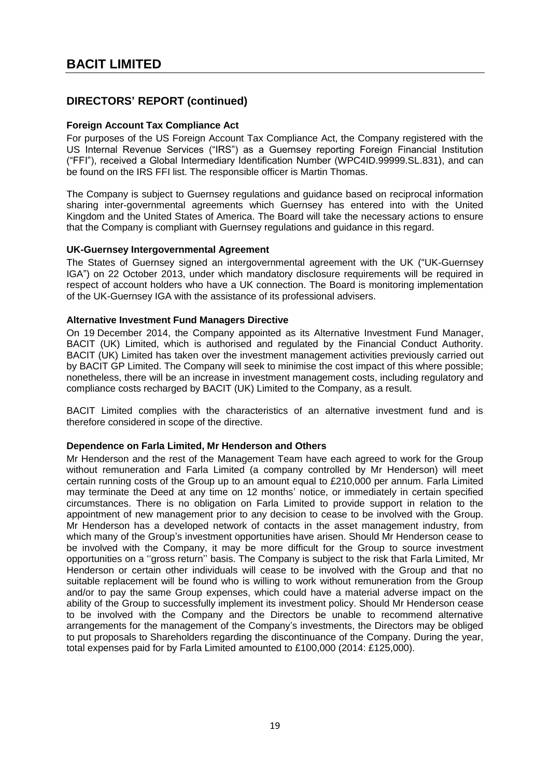## **Foreign Account Tax Compliance Act**

For purposes of the US Foreign Account Tax Compliance Act, the Company registered with the US Internal Revenue Services ("IRS") as a Guernsey reporting Foreign Financial Institution ("FFI"), received a Global Intermediary Identification Number (WPC4ID.99999.SL.831), and can be found on the IRS FFI list. The responsible officer is Martin Thomas.

The Company is subject to Guernsey regulations and guidance based on reciprocal information sharing inter-governmental agreements which Guernsey has entered into with the United Kingdom and the United States of America. The Board will take the necessary actions to ensure that the Company is compliant with Guernsey regulations and guidance in this regard.

## **UK-Guernsey Intergovernmental Agreement**

The States of Guernsey signed an intergovernmental agreement with the UK ("UK-Guernsey IGA") on 22 October 2013, under which mandatory disclosure requirements will be required in respect of account holders who have a UK connection. The Board is monitoring implementation of the UK-Guernsey IGA with the assistance of its professional advisers.

## **Alternative Investment Fund Managers Directive**

On 19 December 2014, the Company appointed as its Alternative Investment Fund Manager, BACIT (UK) Limited, which is authorised and regulated by the Financial Conduct Authority. BACIT (UK) Limited has taken over the investment management activities previously carried out by BACIT GP Limited. The Company will seek to minimise the cost impact of this where possible; nonetheless, there will be an increase in investment management costs, including regulatory and compliance costs recharged by BACIT (UK) Limited to the Company, as a result.

BACIT Limited complies with the characteristics of an alternative investment fund and is therefore considered in scope of the directive.

## **Dependence on Farla Limited, Mr Henderson and Others**

Mr Henderson and the rest of the Management Team have each agreed to work for the Group without remuneration and Farla Limited (a company controlled by Mr Henderson) will meet certain running costs of the Group up to an amount equal to £210,000 per annum. Farla Limited may terminate the Deed at any time on 12 months' notice, or immediately in certain specified circumstances. There is no obligation on Farla Limited to provide support in relation to the appointment of new management prior to any decision to cease to be involved with the Group. Mr Henderson has a developed network of contacts in the asset management industry, from which many of the Group's investment opportunities have arisen. Should Mr Henderson cease to be involved with the Company, it may be more difficult for the Group to source investment opportunities on a ''gross return'' basis. The Company is subject to the risk that Farla Limited, Mr Henderson or certain other individuals will cease to be involved with the Group and that no suitable replacement will be found who is willing to work without remuneration from the Group and/or to pay the same Group expenses, which could have a material adverse impact on the ability of the Group to successfully implement its investment policy. Should Mr Henderson cease to be involved with the Company and the Directors be unable to recommend alternative arrangements for the management of the Company's investments, the Directors may be obliged to put proposals to Shareholders regarding the discontinuance of the Company. During the year, total expenses paid for by Farla Limited amounted to £100,000 (2014: £125,000).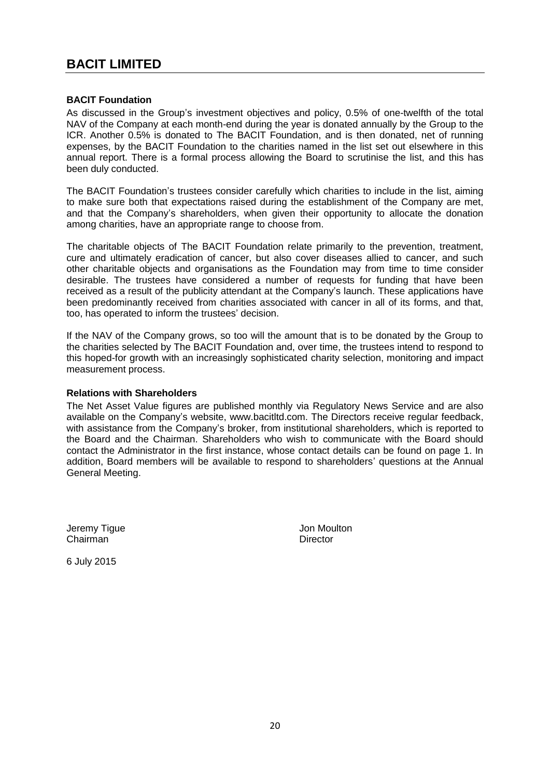## **BACIT Foundation**

As discussed in the Group's investment objectives and policy, 0.5% of one-twelfth of the total NAV of the Company at each month-end during the year is donated annually by the Group to the ICR. Another 0.5% is donated to The BACIT Foundation, and is then donated, net of running expenses, by the BACIT Foundation to the charities named in the list set out elsewhere in this annual report. There is a formal process allowing the Board to scrutinise the list, and this has been duly conducted.

The BACIT Foundation's trustees consider carefully which charities to include in the list, aiming to make sure both that expectations raised during the establishment of the Company are met, and that the Company's shareholders, when given their opportunity to allocate the donation among charities, have an appropriate range to choose from.

The charitable objects of The BACIT Foundation relate primarily to the prevention, treatment, cure and ultimately eradication of cancer, but also cover diseases allied to cancer, and such other charitable objects and organisations as the Foundation may from time to time consider desirable. The trustees have considered a number of requests for funding that have been received as a result of the publicity attendant at the Company's launch. These applications have been predominantly received from charities associated with cancer in all of its forms, and that, too, has operated to inform the trustees' decision.

If the NAV of the Company grows, so too will the amount that is to be donated by the Group to the charities selected by The BACIT Foundation and, over time, the trustees intend to respond to this hoped-for growth with an increasingly sophisticated charity selection, monitoring and impact measurement process.

## **Relations with Shareholders**

The Net Asset Value figures are published monthly via Regulatory News Service and are also available on the Company's website, www.bacitltd.com. The Directors receive regular feedback, with assistance from the Company's broker, from institutional shareholders, which is reported to the Board and the Chairman. Shareholders who wish to communicate with the Board should contact the Administrator in the first instance, whose contact details can be found on page 1. In addition, Board members will be available to respond to shareholders' questions at the Annual General Meeting.

Jeremy Tigue Jon Moulton Chairman Director

6 July 2015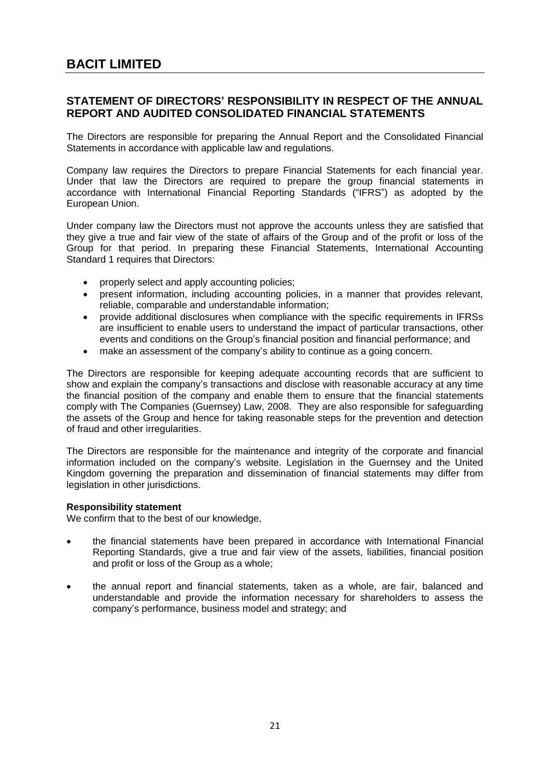## <span id="page-22-0"></span>**STATEMENT OF DIRECTORS' RESPONSIBILITY IN RESPECT OF THE ANNUAL REPORT AND AUDITED CONSOLIDATED FINANCIAL STATEMENTS**

The Directors are responsible for preparing the Annual Report and the Consolidated Financial Statements in accordance with applicable law and regulations.

Company law requires the Directors to prepare Financial Statements for each financial year. Under that law the Directors are required to prepare the group financial statements in accordance with International Financial Reporting Standards ("IFRS") as adopted by the European Union.

Under company law the Directors must not approve the accounts unless they are satisfied that they give a true and fair view of the state of affairs of the Group and of the profit or loss of the Group for that period. In preparing these Financial Statements, International Accounting Standard 1 requires that Directors:

- properly select and apply accounting policies;
- present information, including accounting policies, in a manner that provides relevant, reliable, comparable and understandable information;
- provide additional disclosures when compliance with the specific requirements in IFRSs are insufficient to enable users to understand the impact of particular transactions, other events and conditions on the Group's financial position and financial performance; and
- make an assessment of the company's ability to continue as a going concern.

The Directors are responsible for keeping adequate accounting records that are sufficient to show and explain the company's transactions and disclose with reasonable accuracy at any time the financial position of the company and enable them to ensure that the financial statements comply with The Companies (Guernsey) Law, 2008. They are also responsible for safeguarding the assets of the Group and hence for taking reasonable steps for the prevention and detection of fraud and other irregularities.

The Directors are responsible for the maintenance and integrity of the corporate and financial information included on the company's website. Legislation in the Guernsey and the United Kingdom governing the preparation and dissemination of financial statements may differ from legislation in other jurisdictions.

## **Responsibility statement**

We confirm that to the best of our knowledge,

- the financial statements have been prepared in accordance with International Financial Reporting Standards, give a true and fair view of the assets, liabilities, financial position and profit or loss of the Group as a whole;
- the annual report and financial statements, taken as a whole, are fair, balanced and understandable and provide the information necessary for shareholders to assess the company's performance, business model and strategy; and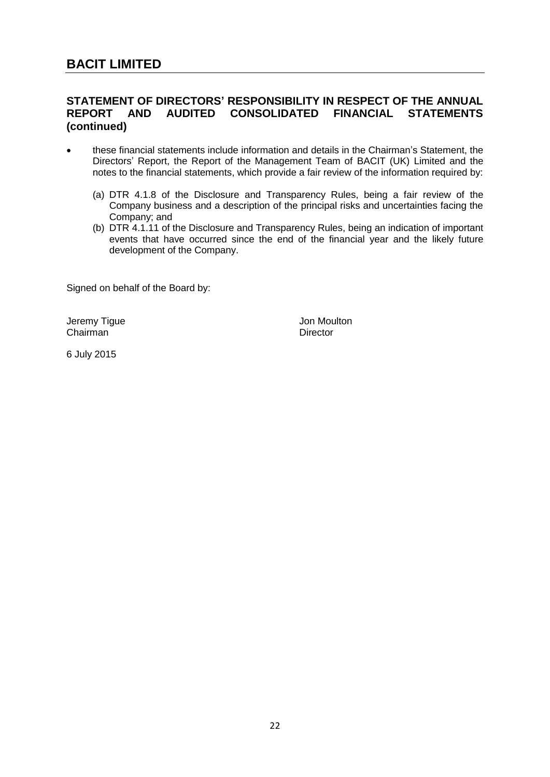## **STATEMENT OF DIRECTORS' RESPONSIBILITY IN RESPECT OF THE ANNUAL REPORT AND AUDITED CONSOLIDATED FINANCIAL STATEMENTS (continued)**

- these financial statements include information and details in the Chairman's Statement, the Directors' Report, the Report of the Management Team of BACIT (UK) Limited and the notes to the financial statements, which provide a fair review of the information required by:
	- (a) DTR 4.1.8 of the Disclosure and Transparency Rules, being a fair review of the Company business and a description of the principal risks and uncertainties facing the Company; and
	- (b) DTR 4.1.11 of the Disclosure and Transparency Rules, being an indication of important events that have occurred since the end of the financial year and the likely future development of the Company.

Signed on behalf of the Board by:

Jeremy Tigue **Jon Moulton** Chairman Director

6 July 2015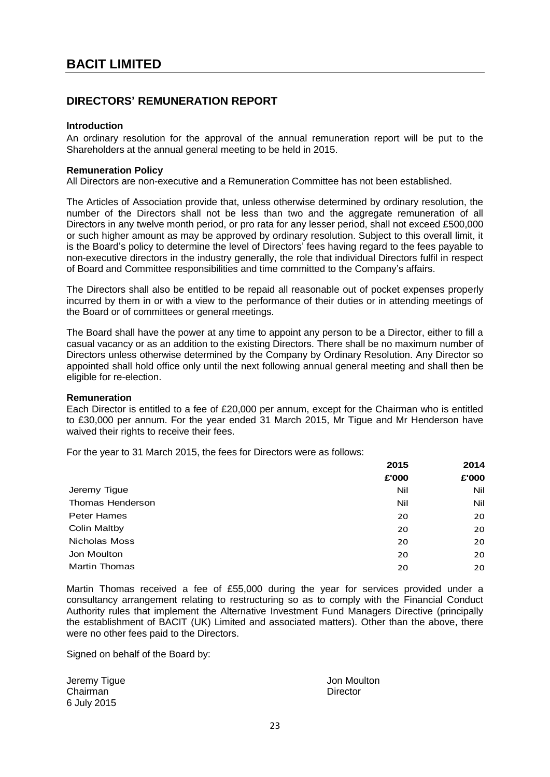## <span id="page-24-0"></span>**DIRECTORS' REMUNERATION REPORT**

#### **Introduction**

An ordinary resolution for the approval of the annual remuneration report will be put to the Shareholders at the annual general meeting to be held in 2015.

#### **Remuneration Policy**

All Directors are non-executive and a Remuneration Committee has not been established.

The Articles of Association provide that, unless otherwise determined by ordinary resolution, the number of the Directors shall not be less than two and the aggregate remuneration of all Directors in any twelve month period, or pro rata for any lesser period, shall not exceed £500,000 or such higher amount as may be approved by ordinary resolution. Subject to this overall limit, it is the Board's policy to determine the level of Directors' fees having regard to the fees payable to non-executive directors in the industry generally, the role that individual Directors fulfil in respect of Board and Committee responsibilities and time committed to the Company's affairs.

The Directors shall also be entitled to be repaid all reasonable out of pocket expenses properly incurred by them in or with a view to the performance of their duties or in attending meetings of the Board or of committees or general meetings.

The Board shall have the power at any time to appoint any person to be a Director, either to fill a casual vacancy or as an addition to the existing Directors. There shall be no maximum number of Directors unless otherwise determined by the Company by Ordinary Resolution. Any Director so appointed shall hold office only until the next following annual general meeting and shall then be eligible for re-election.

#### **Remuneration**

Each Director is entitled to a fee of £20,000 per annum, except for the Chairman who is entitled to £30,000 per annum. For the year ended 31 March 2015, Mr Tigue and Mr Henderson have waived their rights to receive their fees.

For the year to 31 March 2015, the fees for Directors were as follows:

|                      | 2015  | 2014  |
|----------------------|-------|-------|
|                      | £'000 | £'000 |
| Jeremy Tigue         | Nil   | Nil   |
| Thomas Henderson     | Nil   | Nil   |
| <b>Peter Hames</b>   | 20    | 20    |
| Colin Maltby         | 20    | 20    |
| Nicholas Moss        | 20    | 20    |
| Jon Moulton          | 20    | 20    |
| <b>Martin Thomas</b> | 20    | 20    |
|                      |       |       |

Martin Thomas received a fee of £55,000 during the year for services provided under a consultancy arrangement relating to restructuring so as to comply with the Financial Conduct Authority rules that implement the Alternative Investment Fund Managers Directive (principally the establishment of BACIT (UK) Limited and associated matters). Other than the above, there were no other fees paid to the Directors.

Signed on behalf of the Board by:

Jeremy Tigue Chairman 6 July 2015

Jon Moulton **Director**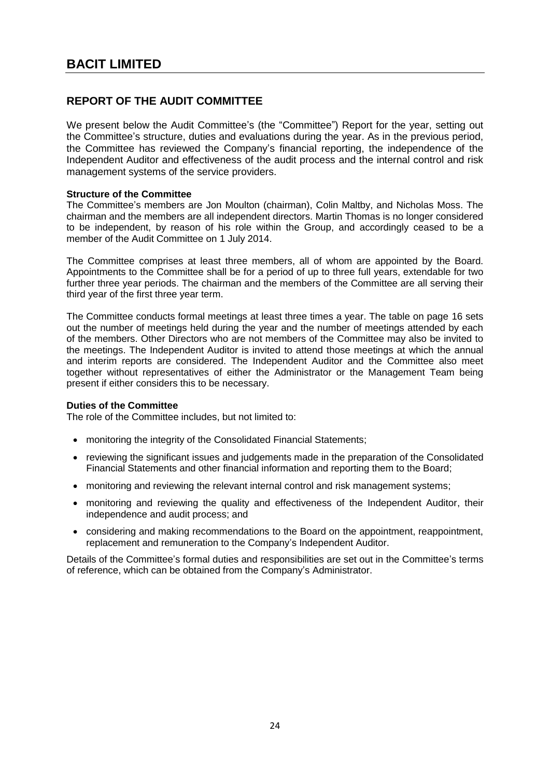## <span id="page-25-0"></span>**REPORT OF THE AUDIT COMMITTEE**

We present below the Audit Committee's (the "Committee") Report for the year, setting out the Committee's structure, duties and evaluations during the year. As in the previous period, the Committee has reviewed the Company's financial reporting, the independence of the Independent Auditor and effectiveness of the audit process and the internal control and risk management systems of the service providers.

## **Structure of the Committee**

The Committee's members are Jon Moulton (chairman), Colin Maltby, and Nicholas Moss. The chairman and the members are all independent directors. Martin Thomas is no longer considered to be independent, by reason of his role within the Group, and accordingly ceased to be a member of the Audit Committee on 1 July 2014.

The Committee comprises at least three members, all of whom are appointed by the Board. Appointments to the Committee shall be for a period of up to three full years, extendable for two further three year periods. The chairman and the members of the Committee are all serving their third year of the first three year term.

The Committee conducts formal meetings at least three times a year. The table on page 16 sets out the number of meetings held during the year and the number of meetings attended by each of the members. Other Directors who are not members of the Committee may also be invited to the meetings. The Independent Auditor is invited to attend those meetings at which the annual and interim reports are considered. The Independent Auditor and the Committee also meet together without representatives of either the Administrator or the Management Team being present if either considers this to be necessary.

## **Duties of the Committee**

The role of the Committee includes, but not limited to:

- monitoring the integrity of the Consolidated Financial Statements;
- reviewing the significant issues and judgements made in the preparation of the Consolidated Financial Statements and other financial information and reporting them to the Board;
- monitoring and reviewing the relevant internal control and risk management systems;
- monitoring and reviewing the quality and effectiveness of the Independent Auditor, their independence and audit process; and
- considering and making recommendations to the Board on the appointment, reappointment, replacement and remuneration to the Company's Independent Auditor.

Details of the Committee's formal duties and responsibilities are set out in the Committee's terms of reference, which can be obtained from the Company's Administrator.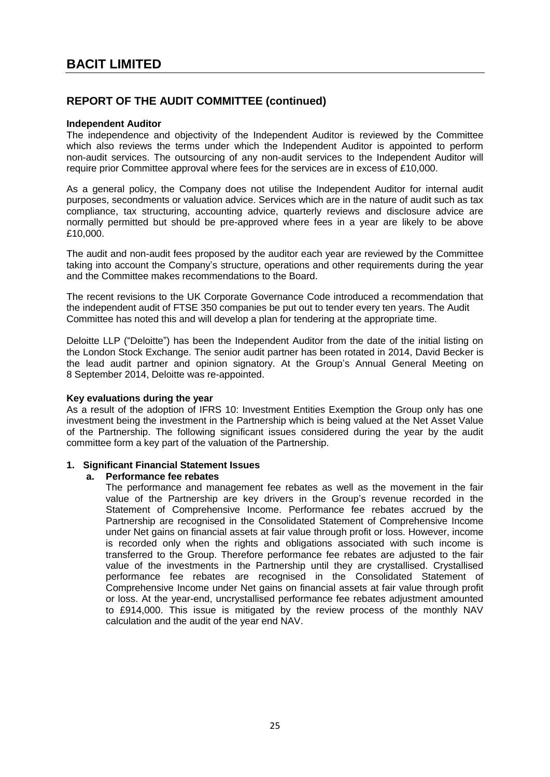## **Independent Auditor**

The independence and objectivity of the Independent Auditor is reviewed by the Committee which also reviews the terms under which the Independent Auditor is appointed to perform non-audit services. The outsourcing of any non-audit services to the Independent Auditor will require prior Committee approval where fees for the services are in excess of £10,000.

As a general policy, the Company does not utilise the Independent Auditor for internal audit purposes, secondments or valuation advice. Services which are in the nature of audit such as tax compliance, tax structuring, accounting advice, quarterly reviews and disclosure advice are normally permitted but should be pre-approved where fees in a year are likely to be above £10,000.

The audit and non-audit fees proposed by the auditor each year are reviewed by the Committee taking into account the Company's structure, operations and other requirements during the year and the Committee makes recommendations to the Board.

The recent revisions to the UK Corporate Governance Code introduced a recommendation that the independent audit of FTSE 350 companies be put out to tender every ten years. The Audit Committee has noted this and will develop a plan for tendering at the appropriate time.

Deloitte LLP ("Deloitte") has been the Independent Auditor from the date of the initial listing on the London Stock Exchange. The senior audit partner has been rotated in 2014, David Becker is the lead audit partner and opinion signatory. At the Group's Annual General Meeting on 8 September 2014, Deloitte was re-appointed.

## **Key evaluations during the year**

As a result of the adoption of IFRS 10: Investment Entities Exemption the Group only has one investment being the investment in the Partnership which is being valued at the Net Asset Value of the Partnership. The following significant issues considered during the year by the audit committee form a key part of the valuation of the Partnership.

## **1. Significant Financial Statement Issues**

#### **a. Performance fee rebates**

The performance and management fee rebates as well as the movement in the fair value of the Partnership are key drivers in the Group's revenue recorded in the Statement of Comprehensive Income. Performance fee rebates accrued by the Partnership are recognised in the Consolidated Statement of Comprehensive Income under Net gains on financial assets at fair value through profit or loss. However, income is recorded only when the rights and obligations associated with such income is transferred to the Group. Therefore performance fee rebates are adjusted to the fair value of the investments in the Partnership until they are crystallised. Crystallised performance fee rebates are recognised in the Consolidated Statement of Comprehensive Income under Net gains on financial assets at fair value through profit or loss. At the year-end, uncrystallised performance fee rebates adjustment amounted to £914,000. This issue is mitigated by the review process of the monthly NAV calculation and the audit of the year end NAV.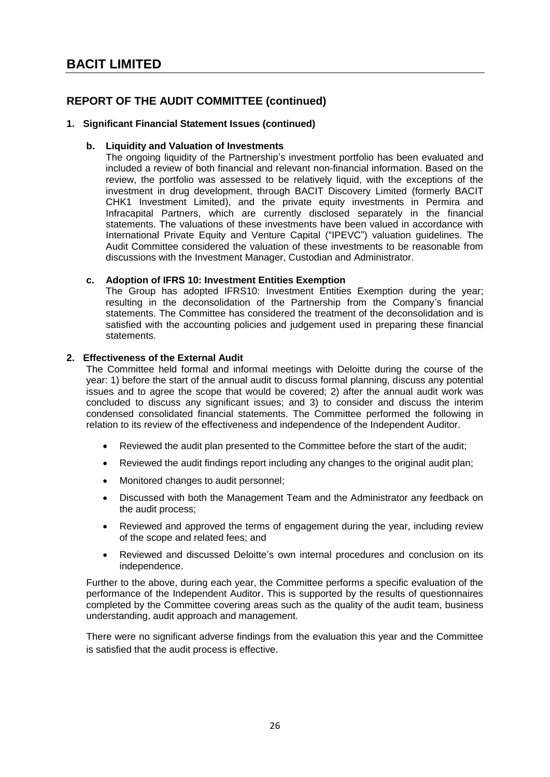## **1. Significant Financial Statement Issues (continued)**

## **b. Liquidity and Valuation of Investments**

The ongoing liquidity of the Partnership's investment portfolio has been evaluated and included a review of both financial and relevant non-financial information. Based on the review, the portfolio was assessed to be relatively liquid, with the exceptions of the investment in drug development, through BACIT Discovery Limited (formerly BACIT CHK1 Investment Limited), and the private equity investments in Permira and Infracapital Partners, which are currently disclosed separately in the financial statements. The valuations of these investments have been valued in accordance with International Private Equity and Venture Capital ("IPEVC") valuation guidelines. The Audit Committee considered the valuation of these investments to be reasonable from discussions with the Investment Manager, Custodian and Administrator.

## **c. Adoption of IFRS 10: Investment Entities Exemption**

The Group has adopted IFRS10: Investment Entities Exemption during the year; resulting in the deconsolidation of the Partnership from the Company's financial statements. The Committee has considered the treatment of the deconsolidation and is satisfied with the accounting policies and judgement used in preparing these financial statements.

## **2. Effectiveness of the External Audit**

The Committee held formal and informal meetings with Deloitte during the course of the year: 1) before the start of the annual audit to discuss formal planning, discuss any potential issues and to agree the scope that would be covered; 2) after the annual audit work was concluded to discuss any significant issues; and 3) to consider and discuss the interim condensed consolidated financial statements. The Committee performed the following in relation to its review of the effectiveness and independence of the Independent Auditor.

- Reviewed the audit plan presented to the Committee before the start of the audit;
- Reviewed the audit findings report including any changes to the original audit plan;
- Monitored changes to audit personnel;
- Discussed with both the Management Team and the Administrator any feedback on the audit process;
- Reviewed and approved the terms of engagement during the year, including review of the scope and related fees; and
- Reviewed and discussed Deloitte's own internal procedures and conclusion on its independence.

Further to the above, during each year, the Committee performs a specific evaluation of the performance of the Independent Auditor. This is supported by the results of questionnaires completed by the Committee covering areas such as the quality of the audit team, business understanding, audit approach and management.

There were no significant adverse findings from the evaluation this year and the Committee is satisfied that the audit process is effective.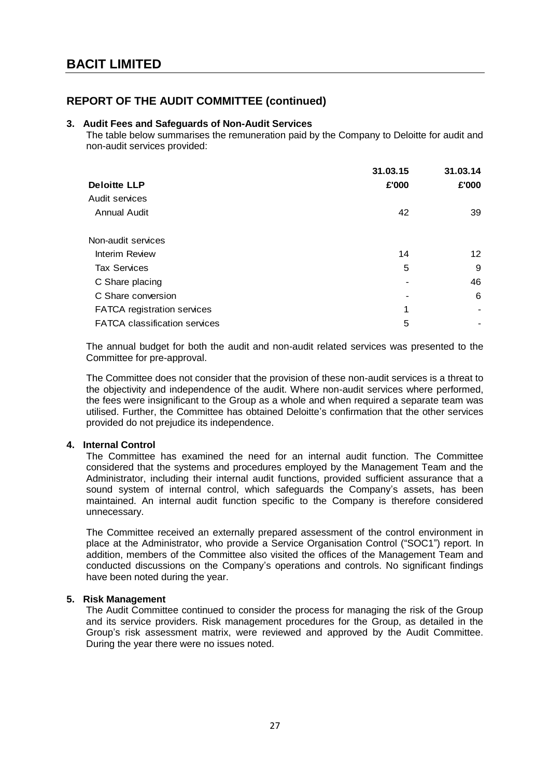## **3. Audit Fees and Safeguards of Non-Audit Services**

The table below summarises the remuneration paid by the Company to Deloitte for audit and non-audit services provided:

|                                      | 31.03.15 | 31.03.14        |
|--------------------------------------|----------|-----------------|
| <b>Deloitte LLP</b>                  | £'000    | £'000           |
| Audit services                       |          |                 |
| <b>Annual Audit</b>                  | 42       | 39              |
| Non-audit services                   |          |                 |
| <b>Interim Review</b>                | 14       | 12 <sup>°</sup> |
| <b>Tax Services</b>                  | 5        | 9               |
| C Share placing                      | -        | 46              |
| C Share conversion                   | -        | 6               |
| FATCA registration services          | 1        |                 |
| <b>FATCA classification services</b> | 5        |                 |

The annual budget for both the audit and non-audit related services was presented to the Committee for pre-approval.

The Committee does not consider that the provision of these non-audit services is a threat to the objectivity and independence of the audit. Where non-audit services where performed, the fees were insignificant to the Group as a whole and when required a separate team was utilised. Further, the Committee has obtained Deloitte's confirmation that the other services provided do not prejudice its independence.

## **4. Internal Control**

The Committee has examined the need for an internal audit function. The Committee considered that the systems and procedures employed by the Management Team and the Administrator, including their internal audit functions, provided sufficient assurance that a sound system of internal control, which safeguards the Company's assets, has been maintained. An internal audit function specific to the Company is therefore considered unnecessary.

The Committee received an externally prepared assessment of the control environment in place at the Administrator, who provide a Service Organisation Control ("SOC1") report. In addition, members of the Committee also visited the offices of the Management Team and conducted discussions on the Company's operations and controls. No significant findings have been noted during the year.

## **5. Risk Management**

The Audit Committee continued to consider the process for managing the risk of the Group and its service providers. Risk management procedures for the Group, as detailed in the Group's risk assessment matrix, were reviewed and approved by the Audit Committee. During the year there were no issues noted.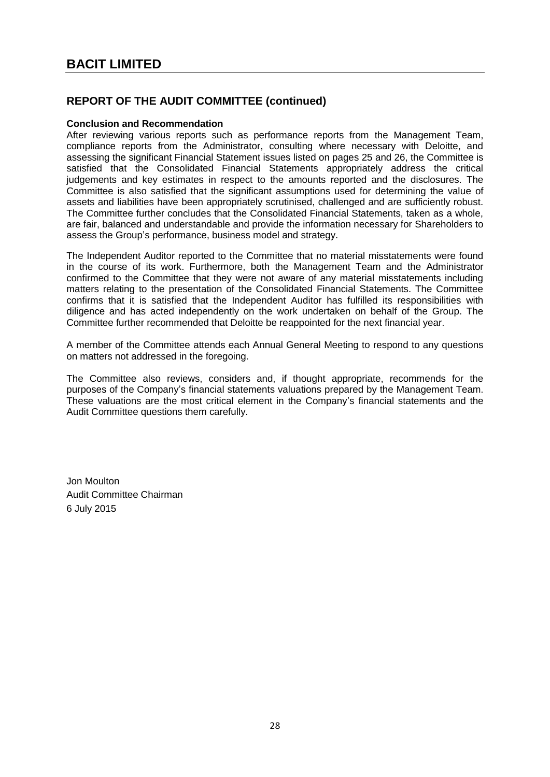## **Conclusion and Recommendation**

After reviewing various reports such as performance reports from the Management Team, compliance reports from the Administrator, consulting where necessary with Deloitte, and assessing the significant Financial Statement issues listed on pages 25 and 26, the Committee is satisfied that the Consolidated Financial Statements appropriately address the critical judgements and key estimates in respect to the amounts reported and the disclosures. The Committee is also satisfied that the significant assumptions used for determining the value of assets and liabilities have been appropriately scrutinised, challenged and are sufficiently robust. The Committee further concludes that the Consolidated Financial Statements, taken as a whole, are fair, balanced and understandable and provide the information necessary for Shareholders to assess the Group's performance, business model and strategy.

The Independent Auditor reported to the Committee that no material misstatements were found in the course of its work. Furthermore, both the Management Team and the Administrator confirmed to the Committee that they were not aware of any material misstatements including matters relating to the presentation of the Consolidated Financial Statements. The Committee confirms that it is satisfied that the Independent Auditor has fulfilled its responsibilities with diligence and has acted independently on the work undertaken on behalf of the Group. The Committee further recommended that Deloitte be reappointed for the next financial year.

A member of the Committee attends each Annual General Meeting to respond to any questions on matters not addressed in the foregoing.

The Committee also reviews, considers and, if thought appropriate, recommends for the purposes of the Company's financial statements valuations prepared by the Management Team. These valuations are the most critical element in the Company's financial statements and the Audit Committee questions them carefully.

Jon Moulton Audit Committee Chairman 6 July 2015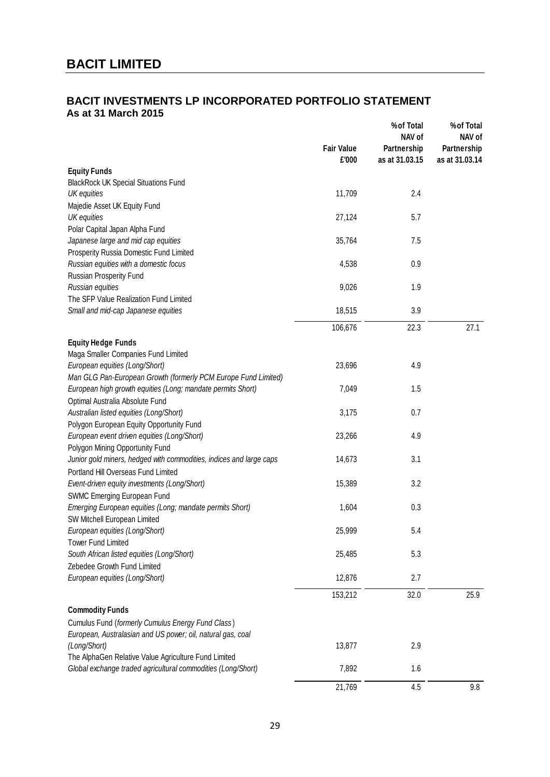## <span id="page-30-0"></span>**BACIT INVESTMENTS LP INCORPORATED PORTFOLIO STATEMENT As at 31 March 2015**

|                                                                                                                      | <b>Fair Value</b><br>£'000 | % of Total<br>NAV of<br>Partnership<br>as at 31.03.15 | % of Total<br>NAV of<br>Partnership<br>as at 31.03.14 |
|----------------------------------------------------------------------------------------------------------------------|----------------------------|-------------------------------------------------------|-------------------------------------------------------|
| <b>Equity Funds</b>                                                                                                  |                            |                                                       |                                                       |
| <b>BlackRock UK Special Situations Fund</b>                                                                          |                            |                                                       |                                                       |
| UK equities                                                                                                          | 11,709                     | 2.4                                                   |                                                       |
| Majedie Asset UK Equity Fund                                                                                         |                            |                                                       |                                                       |
| UK equities                                                                                                          | 27,124                     | 5.7                                                   |                                                       |
| Polar Capital Japan Alpha Fund                                                                                       |                            |                                                       |                                                       |
| Japanese large and mid cap equities                                                                                  | 35,764                     | 7.5                                                   |                                                       |
| Prosperity Russia Domestic Fund Limited                                                                              |                            |                                                       |                                                       |
| Russian equities with a domestic focus                                                                               | 4,538                      | 0.9                                                   |                                                       |
| Russian Prosperity Fund                                                                                              |                            |                                                       |                                                       |
| Russian equities                                                                                                     | 9,026                      | 1.9                                                   |                                                       |
| The SFP Value Realization Fund Limited                                                                               |                            |                                                       |                                                       |
| Small and mid-cap Japanese equities                                                                                  | 18,515                     | 3.9                                                   |                                                       |
|                                                                                                                      | 106,676                    | 22.3                                                  | 27.1                                                  |
| <b>Equity Hedge Funds</b>                                                                                            |                            |                                                       |                                                       |
| Maga Smaller Companies Fund Limited                                                                                  |                            |                                                       |                                                       |
| European equities (Long/Short)                                                                                       | 23,696                     | 4.9                                                   |                                                       |
| Man GLG Pan-European Growth (formerly PCM Europe Fund Limited)                                                       |                            |                                                       |                                                       |
| European high growth equities (Long; mandate permits Short)                                                          | 7,049                      | 1.5                                                   |                                                       |
| Optimal Australia Absolute Fund                                                                                      |                            |                                                       |                                                       |
| Australian listed equities (Long/Short)                                                                              | 3,175                      | 0.7                                                   |                                                       |
| Polygon European Equity Opportunity Fund                                                                             |                            |                                                       |                                                       |
| European event driven equities (Long/Short)                                                                          | 23,266                     | 4.9                                                   |                                                       |
| Polygon Mining Opportunity Fund                                                                                      |                            |                                                       |                                                       |
| Junior gold miners, hedged with commodities, indices and large caps                                                  | 14,673                     | 3.1                                                   |                                                       |
| Portland Hill Overseas Fund Limited                                                                                  |                            |                                                       |                                                       |
| Event-driven equity investments (Long/Short)                                                                         | 15,389                     | 3.2                                                   |                                                       |
| SWMC Emerging European Fund                                                                                          |                            |                                                       |                                                       |
| Emerging European equities (Long; mandate permits Short)                                                             | 1,604                      | 0.3                                                   |                                                       |
| SW Mitchell European Limited                                                                                         |                            |                                                       |                                                       |
| European equities (Long/Short)                                                                                       | 25,999                     | 5.4                                                   |                                                       |
| <b>Tower Fund Limited</b>                                                                                            |                            |                                                       |                                                       |
| South African listed equities (Long/Short)                                                                           | 25,485                     | 5.3                                                   |                                                       |
| Zebedee Growth Fund Limited                                                                                          |                            |                                                       |                                                       |
| European equities (Long/Short)                                                                                       | 12,876                     | 2.7                                                   |                                                       |
|                                                                                                                      | 153,212                    | 32.0                                                  | 25.9                                                  |
|                                                                                                                      |                            |                                                       |                                                       |
| <b>Commodity Funds</b>                                                                                               |                            |                                                       |                                                       |
| Cumulus Fund (formerly Cumulus Energy Fund Class)                                                                    |                            |                                                       |                                                       |
| European, Australasian and US power; oil, natural gas, coal                                                          |                            |                                                       |                                                       |
| (Long/Short)                                                                                                         | 13,877                     | 2.9                                                   |                                                       |
| The AlphaGen Relative Value Agriculture Fund Limited<br>Global exchange traded agricultural commodities (Long/Short) | 7,892                      | 1.6                                                   |                                                       |
|                                                                                                                      |                            |                                                       |                                                       |
|                                                                                                                      | 21,769                     | 4.5                                                   | 9.8                                                   |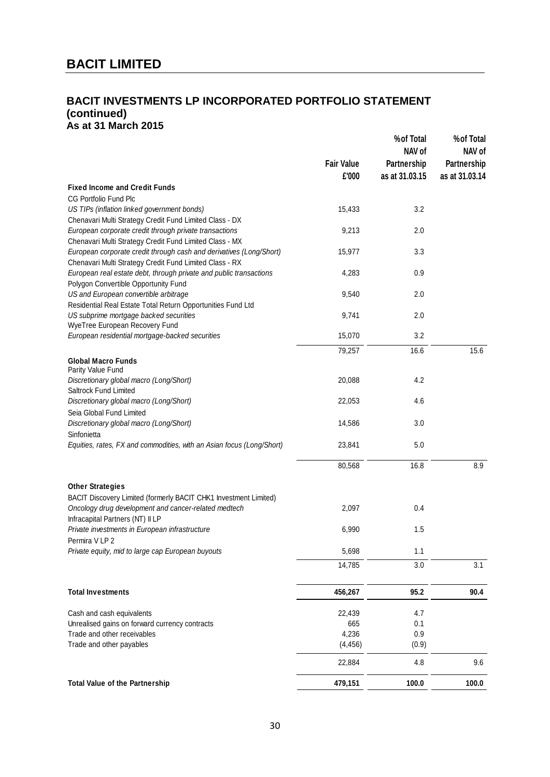## **BACIT INVESTMENTS LP INCORPORATED PORTFOLIO STATEMENT (continued) As at 31 March 2015**

| NAV of<br><b>Fair Value</b><br>Partnership<br>£'000<br>as at 31.03.15<br><b>Fixed Income and Credit Funds</b><br><b>CG Portfolio Fund Plc</b><br>US TIPs (inflation linked government bonds)<br>15,433<br>3.2<br>Chenavari Multi Strategy Credit Fund Limited Class - DX<br>European corporate credit through private transactions<br>9,213<br>2.0<br>Chenavari Multi Strategy Credit Fund Limited Class - MX<br>European corporate credit through cash and derivatives (Long/Short)<br>15,977<br>3.3<br>Chenavari Multi Strategy Credit Fund Limited Class - RX<br>European real estate debt, through private and public transactions<br>4,283<br>0.9<br>Polygon Convertible Opportunity Fund<br>US and European convertible arbitrage<br>9,540<br>2.0 | %of Total<br>NAV of           |
|---------------------------------------------------------------------------------------------------------------------------------------------------------------------------------------------------------------------------------------------------------------------------------------------------------------------------------------------------------------------------------------------------------------------------------------------------------------------------------------------------------------------------------------------------------------------------------------------------------------------------------------------------------------------------------------------------------------------------------------------------------|-------------------------------|
|                                                                                                                                                                                                                                                                                                                                                                                                                                                                                                                                                                                                                                                                                                                                                         | Partnership<br>as at 31.03.14 |
|                                                                                                                                                                                                                                                                                                                                                                                                                                                                                                                                                                                                                                                                                                                                                         |                               |
|                                                                                                                                                                                                                                                                                                                                                                                                                                                                                                                                                                                                                                                                                                                                                         |                               |
|                                                                                                                                                                                                                                                                                                                                                                                                                                                                                                                                                                                                                                                                                                                                                         |                               |
|                                                                                                                                                                                                                                                                                                                                                                                                                                                                                                                                                                                                                                                                                                                                                         |                               |
|                                                                                                                                                                                                                                                                                                                                                                                                                                                                                                                                                                                                                                                                                                                                                         |                               |
|                                                                                                                                                                                                                                                                                                                                                                                                                                                                                                                                                                                                                                                                                                                                                         |                               |
|                                                                                                                                                                                                                                                                                                                                                                                                                                                                                                                                                                                                                                                                                                                                                         |                               |
|                                                                                                                                                                                                                                                                                                                                                                                                                                                                                                                                                                                                                                                                                                                                                         |                               |
|                                                                                                                                                                                                                                                                                                                                                                                                                                                                                                                                                                                                                                                                                                                                                         |                               |
|                                                                                                                                                                                                                                                                                                                                                                                                                                                                                                                                                                                                                                                                                                                                                         |                               |
| Residential Real Estate Total Return Opportunities Fund Ltd                                                                                                                                                                                                                                                                                                                                                                                                                                                                                                                                                                                                                                                                                             |                               |
| US subprime mortgage backed securities<br>9,741<br>2.0                                                                                                                                                                                                                                                                                                                                                                                                                                                                                                                                                                                                                                                                                                  |                               |
| WyeTree European Recovery Fund                                                                                                                                                                                                                                                                                                                                                                                                                                                                                                                                                                                                                                                                                                                          |                               |
| European residential mortgage-backed securities<br>15,070<br>3.2                                                                                                                                                                                                                                                                                                                                                                                                                                                                                                                                                                                                                                                                                        |                               |
| 79,257<br>16.6                                                                                                                                                                                                                                                                                                                                                                                                                                                                                                                                                                                                                                                                                                                                          | 15.6                          |
| <b>Global Macro Funds</b>                                                                                                                                                                                                                                                                                                                                                                                                                                                                                                                                                                                                                                                                                                                               |                               |
| Parity Value Fund                                                                                                                                                                                                                                                                                                                                                                                                                                                                                                                                                                                                                                                                                                                                       |                               |
| 4.2<br>Discretionary global macro (Long/Short)<br>20,088                                                                                                                                                                                                                                                                                                                                                                                                                                                                                                                                                                                                                                                                                                |                               |
| Saltrock Fund Limited<br>Discretionary global macro (Long/Short)<br>22,053<br>4.6                                                                                                                                                                                                                                                                                                                                                                                                                                                                                                                                                                                                                                                                       |                               |
| Seia Global Fund Limited                                                                                                                                                                                                                                                                                                                                                                                                                                                                                                                                                                                                                                                                                                                                |                               |
| Discretionary global macro (Long/Short)<br>14,586<br>3.0                                                                                                                                                                                                                                                                                                                                                                                                                                                                                                                                                                                                                                                                                                |                               |
| Sinfonietta                                                                                                                                                                                                                                                                                                                                                                                                                                                                                                                                                                                                                                                                                                                                             |                               |
| Equities, rates, FX and commodities, with an Asian focus (Long/Short)<br>23,841<br>5.0                                                                                                                                                                                                                                                                                                                                                                                                                                                                                                                                                                                                                                                                  |                               |
|                                                                                                                                                                                                                                                                                                                                                                                                                                                                                                                                                                                                                                                                                                                                                         |                               |
| 80,568<br>16.8                                                                                                                                                                                                                                                                                                                                                                                                                                                                                                                                                                                                                                                                                                                                          | 8.9                           |
|                                                                                                                                                                                                                                                                                                                                                                                                                                                                                                                                                                                                                                                                                                                                                         |                               |
| <b>Other Strategies</b>                                                                                                                                                                                                                                                                                                                                                                                                                                                                                                                                                                                                                                                                                                                                 |                               |
| BACIT Discovery Limited (formerly BACIT CHK1 Investment Limited)                                                                                                                                                                                                                                                                                                                                                                                                                                                                                                                                                                                                                                                                                        |                               |
| Oncology drug development and cancer-related medtech<br>2,097<br>0.4<br>Infracapital Partners (NT) II LP                                                                                                                                                                                                                                                                                                                                                                                                                                                                                                                                                                                                                                                |                               |
| Private investments in European infrastructure<br>6,990<br>1.5                                                                                                                                                                                                                                                                                                                                                                                                                                                                                                                                                                                                                                                                                          |                               |
| Permira V LP 2                                                                                                                                                                                                                                                                                                                                                                                                                                                                                                                                                                                                                                                                                                                                          |                               |
| 5,698<br>1.1<br>Private equity, mid to large cap European buyouts                                                                                                                                                                                                                                                                                                                                                                                                                                                                                                                                                                                                                                                                                       |                               |
| 14,785<br>3.0                                                                                                                                                                                                                                                                                                                                                                                                                                                                                                                                                                                                                                                                                                                                           | 3.1                           |
|                                                                                                                                                                                                                                                                                                                                                                                                                                                                                                                                                                                                                                                                                                                                                         |                               |
|                                                                                                                                                                                                                                                                                                                                                                                                                                                                                                                                                                                                                                                                                                                                                         |                               |
| <b>Total Investments</b><br>95.2<br>456,267                                                                                                                                                                                                                                                                                                                                                                                                                                                                                                                                                                                                                                                                                                             | 90.4                          |
| Cash and cash equivalents<br>22,439<br>4.7                                                                                                                                                                                                                                                                                                                                                                                                                                                                                                                                                                                                                                                                                                              |                               |
| Unrealised gains on forward currency contracts<br>665<br>0.1                                                                                                                                                                                                                                                                                                                                                                                                                                                                                                                                                                                                                                                                                            |                               |
| Trade and other receivables<br>4,236<br>0.9                                                                                                                                                                                                                                                                                                                                                                                                                                                                                                                                                                                                                                                                                                             |                               |
| Trade and other payables<br>(4, 456)<br>(0.9)                                                                                                                                                                                                                                                                                                                                                                                                                                                                                                                                                                                                                                                                                                           |                               |
| 22,884<br>4.8                                                                                                                                                                                                                                                                                                                                                                                                                                                                                                                                                                                                                                                                                                                                           | 9.6                           |
| 479,151<br>100.0<br><b>Total Value of the Partnership</b>                                                                                                                                                                                                                                                                                                                                                                                                                                                                                                                                                                                                                                                                                               | 100.0                         |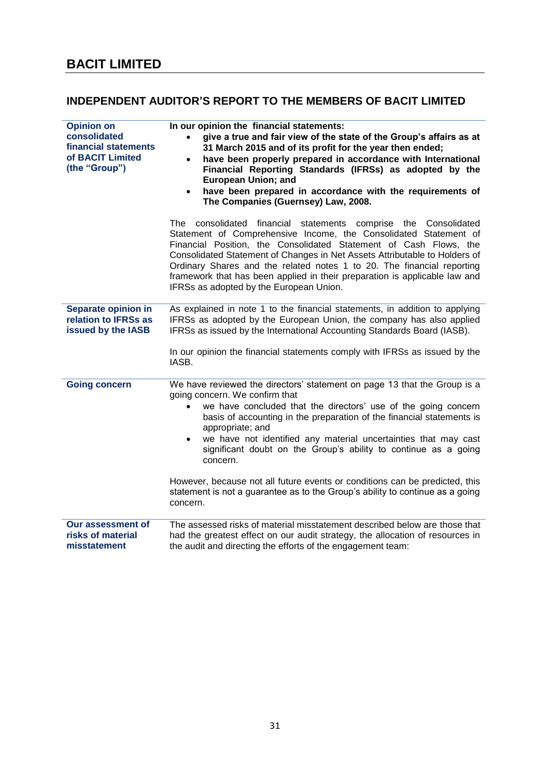## <span id="page-32-0"></span>**INDEPENDENT AUDITOR'S REPORT TO THE MEMBERS OF BACIT LIMITED**

| <b>Opinion on</b><br>consolidated<br>financial statements<br>of BACIT Limited<br>(the "Group") | In our opinion the financial statements:<br>give a true and fair view of the state of the Group's affairs as at<br>31 March 2015 and of its profit for the year then ended;<br>have been properly prepared in accordance with International<br>$\bullet$<br>Financial Reporting Standards (IFRSs) as adopted by the<br><b>European Union; and</b><br>have been prepared in accordance with the requirements of<br>The Companies (Guernsey) Law, 2008.                                                                                                                                                                |
|------------------------------------------------------------------------------------------------|----------------------------------------------------------------------------------------------------------------------------------------------------------------------------------------------------------------------------------------------------------------------------------------------------------------------------------------------------------------------------------------------------------------------------------------------------------------------------------------------------------------------------------------------------------------------------------------------------------------------|
|                                                                                                | financial<br>statements comprise the Consolidated<br>The consolidated<br>Statement of Comprehensive Income, the Consolidated Statement of<br>Financial Position, the Consolidated Statement of Cash Flows, the<br>Consolidated Statement of Changes in Net Assets Attributable to Holders of<br>Ordinary Shares and the related notes 1 to 20. The financial reporting<br>framework that has been applied in their preparation is applicable law and<br>IFRSs as adopted by the European Union.                                                                                                                      |
| Separate opinion in<br>relation to IFRSs as<br>issued by the IASB                              | As explained in note 1 to the financial statements, in addition to applying<br>IFRSs as adopted by the European Union, the company has also applied<br>IFRSs as issued by the International Accounting Standards Board (IASB).<br>In our opinion the financial statements comply with IFRSs as issued by the<br>IASB.                                                                                                                                                                                                                                                                                                |
| <b>Going concern</b>                                                                           | We have reviewed the directors' statement on page 13 that the Group is a<br>going concern. We confirm that<br>we have concluded that the directors' use of the going concern<br>$\bullet$<br>basis of accounting in the preparation of the financial statements is<br>appropriate; and<br>we have not identified any material uncertainties that may cast<br>significant doubt on the Group's ability to continue as a going<br>concern.<br>However, because not all future events or conditions can be predicted, this<br>statement is not a guarantee as to the Group's ability to continue as a going<br>concern. |
| <b>Our assessment of</b><br>risks of material<br>misstatement                                  | The assessed risks of material misstatement described below are those that<br>had the greatest effect on our audit strategy, the allocation of resources in<br>the audit and directing the efforts of the engagement team:                                                                                                                                                                                                                                                                                                                                                                                           |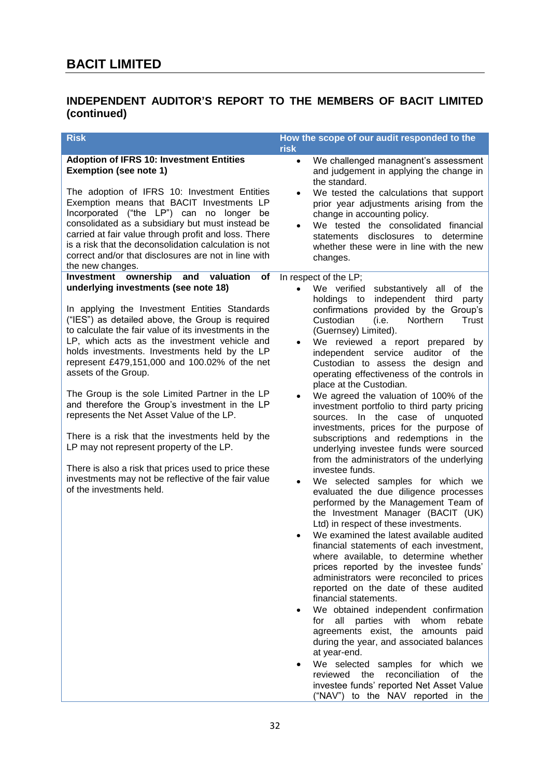## **INDEPENDENT AUDITOR'S REPORT TO THE MEMBERS OF BACIT LIMITED (continued)**

| <b>Risk</b>                                                                                                                                                                                                                                                                                                                                                                                                                                                                                                                                                                                                                                                                                                                                                                                                                        | How the scope of our audit responded to the<br><b>risk</b>                                                                                                                                                                                                                                                                                                                                                                                                                                                                                                                                                                                                                                                                                                                                                                                                                                                                                                                                                                                                                                                                                                                                                                                                                                                                                                                                                                                                                                                                                                                                                                                                                     |
|------------------------------------------------------------------------------------------------------------------------------------------------------------------------------------------------------------------------------------------------------------------------------------------------------------------------------------------------------------------------------------------------------------------------------------------------------------------------------------------------------------------------------------------------------------------------------------------------------------------------------------------------------------------------------------------------------------------------------------------------------------------------------------------------------------------------------------|--------------------------------------------------------------------------------------------------------------------------------------------------------------------------------------------------------------------------------------------------------------------------------------------------------------------------------------------------------------------------------------------------------------------------------------------------------------------------------------------------------------------------------------------------------------------------------------------------------------------------------------------------------------------------------------------------------------------------------------------------------------------------------------------------------------------------------------------------------------------------------------------------------------------------------------------------------------------------------------------------------------------------------------------------------------------------------------------------------------------------------------------------------------------------------------------------------------------------------------------------------------------------------------------------------------------------------------------------------------------------------------------------------------------------------------------------------------------------------------------------------------------------------------------------------------------------------------------------------------------------------------------------------------------------------|
| <b>Adoption of IFRS 10: Investment Entities</b><br><b>Exemption (see note 1)</b><br>The adoption of IFRS 10: Investment Entities<br>Exemption means that BACIT Investments LP<br>Incorporated ("the LP") can no longer<br>be<br>consolidated as a subsidiary but must instead be<br>carried at fair value through profit and loss. There<br>is a risk that the deconsolidation calculation is not<br>correct and/or that disclosures are not in line with<br>the new changes.                                                                                                                                                                                                                                                                                                                                                      | We challenged managnent's assessment<br>$\bullet$<br>and judgement in applying the change in<br>the standard.<br>We tested the calculations that support<br>$\bullet$<br>prior year adjustments arising from the<br>change in accounting policy.<br>We tested the consolidated financial<br>disclosures to determine<br>statements<br>whether these were in line with the new<br>changes.                                                                                                                                                                                                                                                                                                                                                                                                                                                                                                                                                                                                                                                                                                                                                                                                                                                                                                                                                                                                                                                                                                                                                                                                                                                                                      |
| ownership and<br>Investment<br>valuation<br><b>of</b><br>underlying investments (see note 18)<br>In applying the Investment Entities Standards<br>("IES") as detailed above, the Group is required<br>to calculate the fair value of its investments in the<br>LP, which acts as the investment vehicle and<br>holds investments. Investments held by the LP<br>represent £479,151,000 and 100.02% of the net<br>assets of the Group.<br>The Group is the sole Limited Partner in the LP<br>and therefore the Group's investment in the LP<br>represents the Net Asset Value of the LP.<br>There is a risk that the investments held by the<br>LP may not represent property of the LP.<br>There is also a risk that prices used to price these<br>investments may not be reflective of the fair value<br>of the investments held. | In respect of the LP;<br>We verified<br>substantively<br>$\bullet$<br>all of the<br>independent<br>holdings to<br>third<br>party<br>confirmations provided by the Group's<br>Northern<br>Custodian<br>(i.e.<br>Trust<br>(Guernsey) Limited).<br>We reviewed a report prepared by<br>$\bullet$<br>independent<br>service<br>auditor<br>of<br>the<br>Custodian to assess the design and<br>operating effectiveness of the controls in<br>place at the Custodian.<br>We agreed the valuation of 100% of the<br>$\bullet$<br>investment portfolio to third party pricing<br>sources. In the case of unquoted<br>investments, prices for the purpose of<br>subscriptions and redemptions in the<br>underlying investee funds were sourced<br>from the administrators of the underlying<br>investee funds.<br>We selected samples for which we<br>$\bullet$<br>evaluated the due diligence processes<br>performed by the Management Team of<br>the Investment Manager (BACIT (UK)<br>Ltd) in respect of these investments.<br>We examined the latest available audited<br>financial statements of each investment,<br>where available, to determine whether<br>prices reported by the investee funds'<br>administrators were reconciled to prices<br>reported on the date of these audited<br>financial statements.<br>We obtained independent confirmation<br>all parties with whom<br>rebate<br>for<br>agreements exist, the amounts paid<br>during the year, and associated balances<br>at year-end.<br>We selected samples for which<br>we<br>٠<br>reviewed<br>the reconciliation<br>0f<br>the<br>investee funds' reported Net Asset Value<br>("NAV") to the NAV reported in the |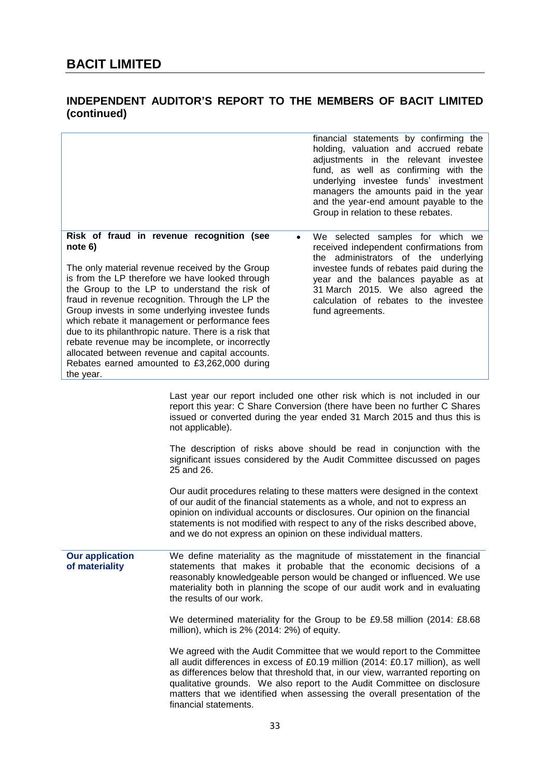## **INDEPENDENT AUDITOR'S REPORT TO THE MEMBERS OF BACIT LIMITED (continued)**

|                                                                                                                                                                                                                                                                                                                                                                                                                                                                                                                                                                                                   | financial statements by confirming the<br>holding, valuation and accrued rebate<br>adjustments in the relevant investee<br>fund, as well as confirming with the<br>underlying investee funds' investment<br>managers the amounts paid in the year<br>and the year-end amount payable to the<br>Group in relation to these rebates. |
|---------------------------------------------------------------------------------------------------------------------------------------------------------------------------------------------------------------------------------------------------------------------------------------------------------------------------------------------------------------------------------------------------------------------------------------------------------------------------------------------------------------------------------------------------------------------------------------------------|------------------------------------------------------------------------------------------------------------------------------------------------------------------------------------------------------------------------------------------------------------------------------------------------------------------------------------|
| Risk of fraud in revenue recognition (see<br>note 6)<br>The only material revenue received by the Group<br>is from the LP therefore we have looked through<br>the Group to the LP to understand the risk of<br>fraud in revenue recognition. Through the LP the<br>Group invests in some underlying investee funds<br>which rebate it management or performance fees<br>due to its philanthropic nature. There is a risk that<br>rebate revenue may be incomplete, or incorrectly<br>allocated between revenue and capital accounts.<br>Rebates earned amounted to £3,262,000 during<br>the year. | We selected samples for which we<br>$\bullet$<br>received independent confirmations from<br>the administrators of the underlying<br>investee funds of rebates paid during the<br>year and the balances payable as at<br>31 March 2015. We also agreed the<br>calculation of rebates to the investee<br>fund agreements.            |

Last year our report included one other risk which is not included in our report this year: C Share Conversion (there have been no further C Shares issued or converted during the year ended 31 March 2015 and thus this is not applicable).

The description of risks above should be read in conjunction with the significant issues considered by the Audit Committee discussed on pages 25 and 26.

Our audit procedures relating to these matters were designed in the context of our audit of the financial statements as a whole, and not to express an opinion on individual accounts or disclosures. Our opinion on the financial statements is not modified with respect to any of the risks described above, and we do not express an opinion on these individual matters.

**Our application of materiality** We define materiality as the magnitude of misstatement in the financial statements that makes it probable that the economic decisions of a reasonably knowledgeable person would be changed or influenced. We use materiality both in planning the scope of our audit work and in evaluating the results of our work.

> We determined materiality for the Group to be £9.58 million (2014: £8.68 million), which is 2% (2014: 2%) of equity.

> We agreed with the Audit Committee that we would report to the Committee all audit differences in excess of £0.19 million (2014: £0.17 million), as well as differences below that threshold that, in our view, warranted reporting on qualitative grounds. We also report to the Audit Committee on disclosure matters that we identified when assessing the overall presentation of the financial statements.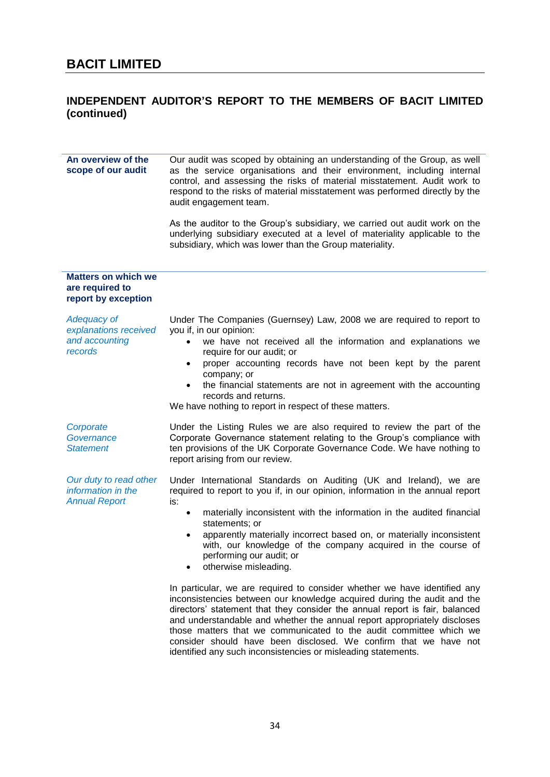## **INDEPENDENT AUDITOR'S REPORT TO THE MEMBERS OF BACIT LIMITED (continued)**

| An overview of the<br>scope of our audit                                 | Our audit was scoped by obtaining an understanding of the Group, as well<br>as the service organisations and their environment, including internal<br>control, and assessing the risks of material misstatement. Audit work to<br>respond to the risks of material misstatement was performed directly by the<br>audit engagement team.                                                                                                                                                                                                                                                                                                                                                                              |
|--------------------------------------------------------------------------|----------------------------------------------------------------------------------------------------------------------------------------------------------------------------------------------------------------------------------------------------------------------------------------------------------------------------------------------------------------------------------------------------------------------------------------------------------------------------------------------------------------------------------------------------------------------------------------------------------------------------------------------------------------------------------------------------------------------|
|                                                                          | As the auditor to the Group's subsidiary, we carried out audit work on the<br>underlying subsidiary executed at a level of materiality applicable to the<br>subsidiary, which was lower than the Group materiality.                                                                                                                                                                                                                                                                                                                                                                                                                                                                                                  |
| <b>Matters on which we</b><br>are required to<br>report by exception     |                                                                                                                                                                                                                                                                                                                                                                                                                                                                                                                                                                                                                                                                                                                      |
| <b>Adequacy of</b><br>explanations received<br>and accounting<br>records | Under The Companies (Guernsey) Law, 2008 we are required to report to<br>you if, in our opinion:<br>we have not received all the information and explanations we<br>$\bullet$<br>require for our audit; or<br>proper accounting records have not been kept by the parent<br>$\bullet$<br>company; or<br>the financial statements are not in agreement with the accounting<br>$\bullet$<br>records and returns.<br>We have nothing to report in respect of these matters.                                                                                                                                                                                                                                             |
| Corporate<br>Governance<br><b>Statement</b>                              | Under the Listing Rules we are also required to review the part of the<br>Corporate Governance statement relating to the Group's compliance with<br>ten provisions of the UK Corporate Governance Code. We have nothing to<br>report arising from our review.                                                                                                                                                                                                                                                                                                                                                                                                                                                        |
| Our duty to read other<br>information in the<br><b>Annual Report</b>     | Under International Standards on Auditing (UK and Ireland), we are<br>required to report to you if, in our opinion, information in the annual report<br>is:<br>materially inconsistent with the information in the audited financial<br>$\bullet$<br>statements; or<br>apparently materially incorrect based on, or materially inconsistent<br>$\bullet$<br>with, our knowledge of the company acquired in the course of<br>performing our audit; or<br>otherwise misleading.<br>In particular, we are required to consider whether we have identified any<br>inconsistencies between our knowledge acquired during the audit and the<br>directors' statement that they consider the annual report is fair, balanced |
|                                                                          | and understandable and whether the annual report appropriately discloses<br>those matters that we communicated to the audit committee which we<br>consider should have been disclosed. We confirm that we have not<br>identified any such inconsistencies or misleading statements.                                                                                                                                                                                                                                                                                                                                                                                                                                  |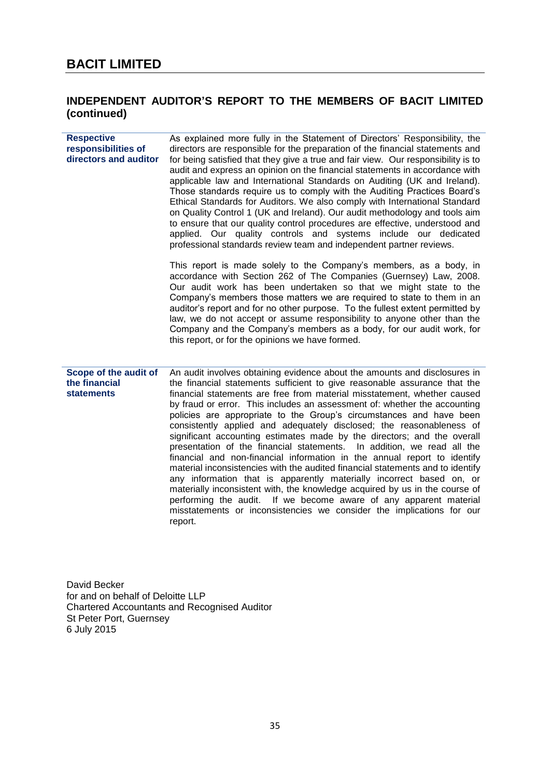# **INDEPENDENT AUDITOR'S REPORT TO THE MEMBERS OF BACIT LIMITED (continued)**

| <b>Respective</b><br>responsibilities of<br>directors and auditor | As explained more fully in the Statement of Directors' Responsibility, the<br>directors are responsible for the preparation of the financial statements and<br>for being satisfied that they give a true and fair view. Our responsibility is to<br>audit and express an opinion on the financial statements in accordance with<br>applicable law and International Standards on Auditing (UK and Ireland).<br>Those standards require us to comply with the Auditing Practices Board's<br>Ethical Standards for Auditors. We also comply with International Standard<br>on Quality Control 1 (UK and Ireland). Our audit methodology and tools aim<br>to ensure that our quality control procedures are effective, understood and<br>applied. Our quality controls and systems include our dedicated<br>professional standards review team and independent partner reviews.                                                                                                                                                                                                                         |
|-------------------------------------------------------------------|------------------------------------------------------------------------------------------------------------------------------------------------------------------------------------------------------------------------------------------------------------------------------------------------------------------------------------------------------------------------------------------------------------------------------------------------------------------------------------------------------------------------------------------------------------------------------------------------------------------------------------------------------------------------------------------------------------------------------------------------------------------------------------------------------------------------------------------------------------------------------------------------------------------------------------------------------------------------------------------------------------------------------------------------------------------------------------------------------|
|                                                                   | This report is made solely to the Company's members, as a body, in<br>accordance with Section 262 of The Companies (Guernsey) Law, 2008.<br>Our audit work has been undertaken so that we might state to the<br>Company's members those matters we are required to state to them in an<br>auditor's report and for no other purpose. To the fullest extent permitted by<br>law, we do not accept or assume responsibility to anyone other than the<br>Company and the Company's members as a body, for our audit work, for<br>this report, or for the opinions we have formed.                                                                                                                                                                                                                                                                                                                                                                                                                                                                                                                       |
| Scope of the audit of<br>the financial<br><b>statements</b>       | An audit involves obtaining evidence about the amounts and disclosures in<br>the financial statements sufficient to give reasonable assurance that the<br>financial statements are free from material misstatement, whether caused<br>by fraud or error. This includes an assessment of: whether the accounting<br>policies are appropriate to the Group's circumstances and have been<br>consistently applied and adequately disclosed; the reasonableness of<br>significant accounting estimates made by the directors; and the overall<br>presentation of the financial statements.<br>In addition, we read all the<br>financial and non-financial information in the annual report to identify<br>material inconsistencies with the audited financial statements and to identify<br>any information that is apparently materially incorrect based on, or<br>materially inconsistent with, the knowledge acquired by us in the course of<br>performing the audit. If we become aware of any apparent material<br>misstatements or inconsistencies we consider the implications for our<br>report. |

David Becker for and on behalf of Deloitte LLP Chartered Accountants and Recognised Auditor St Peter Port, Guernsey 6 July 2015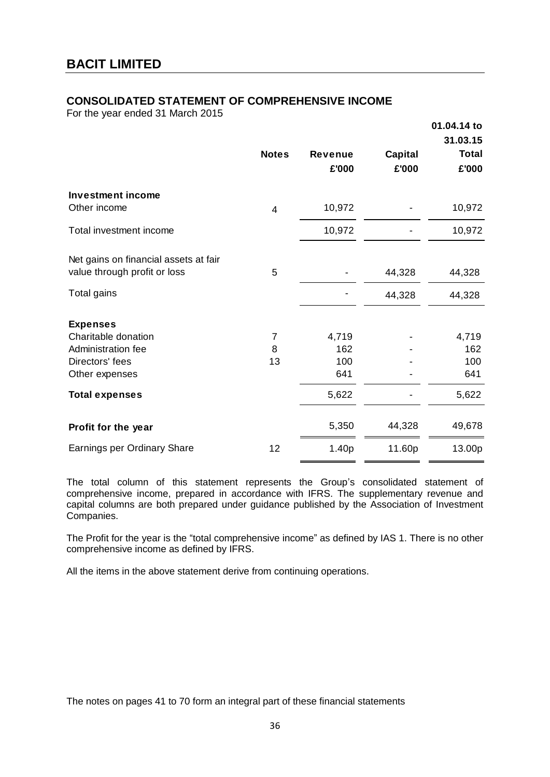### **CONSOLIDATED STATEMENT OF COMPREHENSIVE INCOME**

For the year ended 31 March 2015

|                                                                       |                |                         |                         | 01.04.14 to<br>31.03.15 |
|-----------------------------------------------------------------------|----------------|-------------------------|-------------------------|-------------------------|
|                                                                       | <b>Notes</b>   | <b>Revenue</b><br>£'000 | <b>Capital</b><br>£'000 | <b>Total</b><br>£'000   |
| <b>Investment income</b><br>Other income                              | $\overline{4}$ | 10,972                  |                         | 10,972                  |
| Total investment income                                               |                | 10,972                  |                         | 10,972                  |
| Net gains on financial assets at fair<br>value through profit or loss | 5              |                         | 44,328                  | 44,328                  |
| Total gains                                                           |                |                         | 44,328                  | 44,328                  |
| <b>Expenses</b>                                                       |                |                         |                         |                         |
| Charitable donation                                                   | $\overline{7}$ | 4,719                   |                         | 4,719                   |
| Administration fee                                                    | 8              | 162                     |                         | 162                     |
| Directors' fees                                                       | 13             | 100                     |                         | 100                     |
| Other expenses                                                        |                | 641                     |                         | 641                     |
| <b>Total expenses</b>                                                 |                | 5,622                   |                         | 5,622                   |
| Profit for the year                                                   |                | 5,350                   | 44,328                  | 49,678                  |
| Earnings per Ordinary Share                                           | 12             | 1.40p                   | 11.60p                  | 13.00p                  |

The total column of this statement represents the Group's consolidated statement of comprehensive income, prepared in accordance with IFRS. The supplementary revenue and capital columns are both prepared under guidance published by the Association of Investment Companies.

The Profit for the year is the "total comprehensive income" as defined by IAS 1. There is no other comprehensive income as defined by IFRS.

All the items in the above statement derive from continuing operations.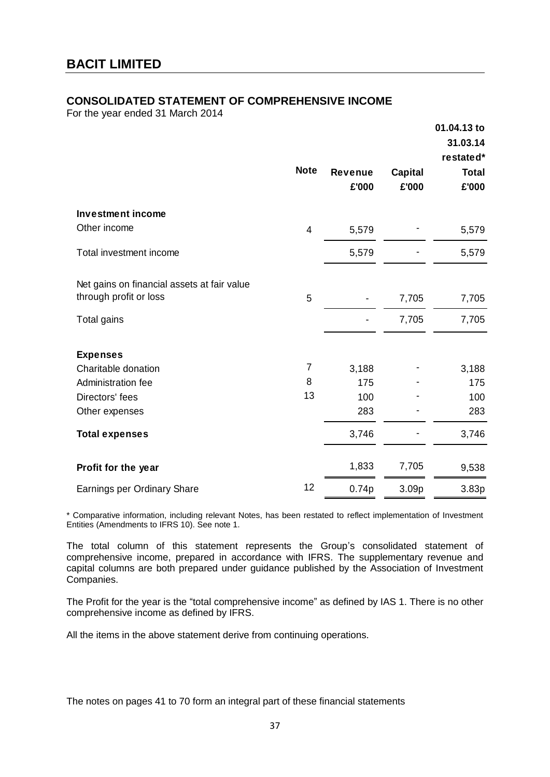### **CONSOLIDATED STATEMENT OF COMPREHENSIVE INCOME**

For the year ended 31 March 2014

|                                             |                |                         |                         | 01.04.13 to<br>31.03.14<br>restated* |
|---------------------------------------------|----------------|-------------------------|-------------------------|--------------------------------------|
|                                             | <b>Note</b>    | <b>Revenue</b><br>£'000 | <b>Capital</b><br>£'000 | <b>Total</b><br>£'000                |
| <b>Investment income</b>                    |                |                         |                         |                                      |
| Other income                                | $\overline{4}$ | 5,579                   |                         | 5,579                                |
| Total investment income                     |                | 5,579                   |                         | 5,579                                |
| Net gains on financial assets at fair value |                |                         |                         |                                      |
| through profit or loss                      | 5              |                         | 7,705                   | 7,705                                |
| Total gains                                 |                |                         | 7,705                   | 7,705                                |
| <b>Expenses</b>                             |                |                         |                         |                                      |
| Charitable donation                         | 7              | 3,188                   |                         | 3,188                                |
| Administration fee                          | 8              | 175                     |                         | 175                                  |
| Directors' fees                             | 13             | 100                     |                         | 100                                  |
| Other expenses                              |                | 283                     |                         | 283                                  |
| <b>Total expenses</b>                       |                | 3,746                   |                         | 3,746                                |
| Profit for the year                         |                | 1,833                   | 7,705                   | 9,538                                |
| Earnings per Ordinary Share                 | 12             | 0.74p                   | 3.09p                   | 3.83p                                |

\* Comparative information, including relevant Notes, has been restated to reflect implementation of Investment Entities (Amendments to IFRS 10). See note 1.

The total column of this statement represents the Group's consolidated statement of comprehensive income, prepared in accordance with IFRS. The supplementary revenue and capital columns are both prepared under guidance published by the Association of Investment Companies.

The Profit for the year is the "total comprehensive income" as defined by IAS 1. There is no other comprehensive income as defined by IFRS.

All the items in the above statement derive from continuing operations.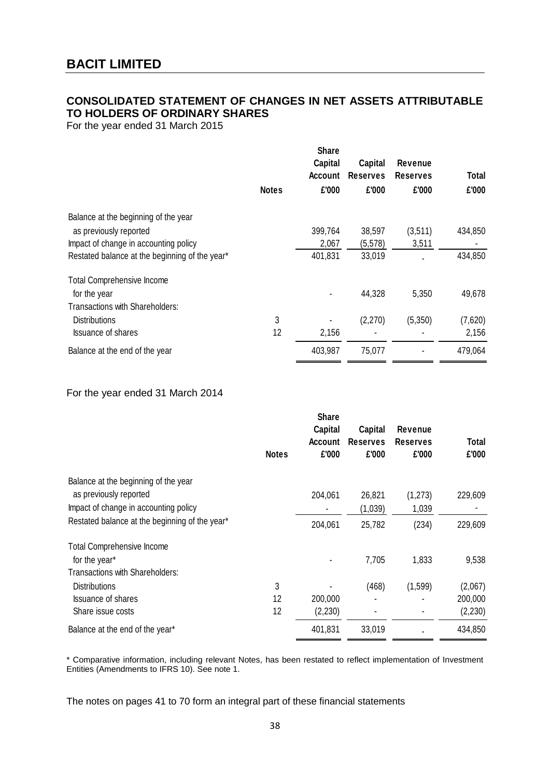# **CONSOLIDATED STATEMENT OF CHANGES IN NET ASSETS ATTRIBUTABLE TO HOLDERS OF ORDINARY SHARES**

For the year ended 31 March 2015

|                                                |              | <b>Share</b><br>Capital<br><b>Account</b> | <b>Capital</b><br><b>Reserves</b> | Revenue<br><b>Reserves</b> | <b>Total</b> |
|------------------------------------------------|--------------|-------------------------------------------|-----------------------------------|----------------------------|--------------|
|                                                | <b>Notes</b> | £'000                                     | £'000                             | £'000                      | £'000        |
| Balance at the beginning of the year           |              |                                           |                                   |                            |              |
| as previously reported                         |              | 399,764                                   | 38,597                            | (3,511)                    | 434,850      |
| Impact of change in accounting policy          |              | 2,067                                     | (5, 578)                          | 3,511                      |              |
| Restated balance at the beginning of the year* |              | 401,831                                   | 33,019                            |                            | 434,850      |
| <b>Total Comprehensive Income</b>              |              |                                           |                                   |                            |              |
| for the year                                   |              |                                           | 44,328                            | 5,350                      | 49,678       |
| Transactions with Shareholders:                |              |                                           |                                   |                            |              |
| <b>Distributions</b>                           | 3            |                                           | (2,270)                           | (5,350)                    | (7,620)      |
| <b>Issuance of shares</b>                      | 12           | 2,156                                     |                                   |                            | 2,156        |
| Balance at the end of the year                 |              | 403,987                                   | 75,077                            |                            | 479,064      |

### For the year ended 31 March 2014

| Capital<br><b>Account</b><br>£'000<br><b>Notes</b>        | Capital<br><b>Reserves</b><br>£'000 | Revenue<br><b>Reserves</b><br>£'000 | <b>Total</b><br>£'000 |
|-----------------------------------------------------------|-------------------------------------|-------------------------------------|-----------------------|
| Balance at the beginning of the year                      |                                     |                                     |                       |
| as previously reported<br>204,061                         | 26,821                              | (1, 273)                            | 229,609               |
| Impact of change in accounting policy                     | (1,039)                             | 1,039                               |                       |
| Restated balance at the beginning of the year*<br>204,061 | 25,782                              | (234)                               | 229,609               |
| <b>Total Comprehensive Income</b>                         |                                     |                                     |                       |
| for the year*                                             | 7,705                               | 1,833                               | 9,538                 |
| <b>Transactions with Shareholders:</b>                    |                                     |                                     |                       |
| 3<br><b>Distributions</b>                                 | (468)                               | (1,599)                             | (2,067)               |
| <b>Issuance of shares</b><br>12<br>200,000                |                                     |                                     | 200,000               |
| 12<br>(2,230)<br>Share issue costs                        |                                     |                                     | (2, 230)              |
| 401,831<br>Balance at the end of the year*                | 33,019                              |                                     | 434,850               |

\* Comparative information, including relevant Notes, has been restated to reflect implementation of Investment Entities (Amendments to IFRS 10). See note 1.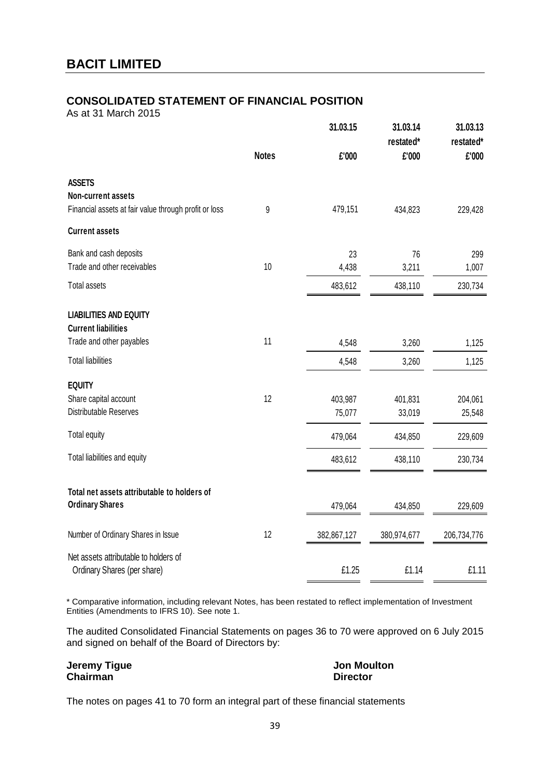# **CONSOLIDATED STATEMENT OF FINANCIAL POSITION**

As at 31 March 2015

|                                                                      | 31.03.15     |             | 31.03.14<br>restated* | 31.03.13<br>restated* |  |
|----------------------------------------------------------------------|--------------|-------------|-----------------------|-----------------------|--|
|                                                                      | <b>Notes</b> | £'000       | £'000                 | £'000                 |  |
| <b>ASSETS</b><br><b>Non-current assets</b>                           |              |             |                       |                       |  |
| Financial assets at fair value through profit or loss                | 9            | 479,151     | 434,823               | 229,428               |  |
| <b>Current assets</b>                                                |              |             |                       |                       |  |
| Bank and cash deposits                                               |              | 23          | 76                    | 299                   |  |
| Trade and other receivables                                          | 10           | 4,438       | 3,211                 | 1,007                 |  |
| <b>Total assets</b>                                                  |              | 483,612     | 438,110               | 230,734               |  |
| <b>LIABILITIES AND EQUITY</b><br><b>Current liabilities</b>          |              |             |                       |                       |  |
| Trade and other payables                                             | 11           | 4,548       | 3,260                 | 1,125                 |  |
| <b>Total liabilities</b>                                             |              | 4,548       | 3,260                 | 1,125                 |  |
| <b>EQUITY</b>                                                        |              |             |                       |                       |  |
| Share capital account                                                | 12           | 403,987     | 401,831               | 204,061               |  |
| Distributable Reserves                                               |              | 75,077      | 33,019                | 25,548                |  |
| Total equity                                                         |              | 479,064     | 434,850               | 229,609               |  |
| Total liabilities and equity                                         |              | 483,612     | 438,110               | 230,734               |  |
| Total net assets attributable to holders of                          |              |             |                       |                       |  |
| <b>Ordinary Shares</b>                                               |              | 479,064     | 434,850               | 229,609               |  |
| Number of Ordinary Shares in Issue                                   | 12           | 382,867,127 | 380,974,677           | 206,734,776           |  |
| Net assets attributable to holders of<br>Ordinary Shares (per share) |              | £1.25       | £1.14                 | £1.11                 |  |
|                                                                      |              |             |                       |                       |  |

\* Comparative information, including relevant Notes, has been restated to reflect implementation of Investment Entities (Amendments to IFRS 10). See note 1.

The audited Consolidated Financial Statements on pages 36 to 70 were approved on 6 July 2015 and signed on behalf of the Board of Directors by:

**Jeremy Tigue Chairman**

**Jon Moulton Director**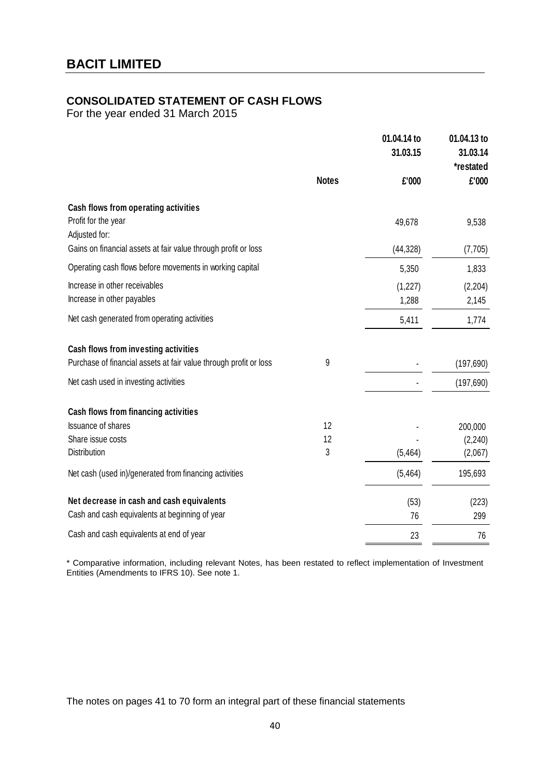# **CONSOLIDATED STATEMENT OF CASH FLOWS**

For the year ended 31 March 2015

|                                                                              |              | 01.04.14 to<br>31.03.15 | 01.04.13 to<br>31.03.14<br>*restated |
|------------------------------------------------------------------------------|--------------|-------------------------|--------------------------------------|
|                                                                              | <b>Notes</b> | £'000                   | £'000                                |
| Cash flows from operating activities<br>Profit for the year<br>Adjusted for: |              | 49,678                  | 9,538                                |
| Gains on financial assets at fair value through profit or loss               |              | (44, 328)               | (7, 705)                             |
| Operating cash flows before movements in working capital                     |              | 5,350                   | 1,833                                |
| Increase in other receivables<br>Increase in other payables                  |              | (1, 227)<br>1,288       | (2, 204)<br>2,145                    |
| Net cash generated from operating activities                                 |              | 5,411                   | 1,774                                |
| Cash flows from investing activities                                         |              |                         |                                      |
| Purchase of financial assets at fair value through profit or loss            | 9            |                         | (197, 690)                           |
| Net cash used in investing activities                                        |              |                         | (197, 690)                           |
| Cash flows from financing activities                                         |              |                         |                                      |
| <b>Issuance of shares</b>                                                    | 12           |                         | 200,000                              |
| Share issue costs                                                            | 12           |                         | (2, 240)                             |
| <b>Distribution</b>                                                          | 3            | (5, 464)                | (2,067)                              |
| Net cash (used in)/generated from financing activities                       |              | (5, 464)                | 195,693                              |
| Net decrease in cash and cash equivalents                                    |              | (53)                    | (223)                                |
| Cash and cash equivalents at beginning of year                               |              | 76                      | 299                                  |
| Cash and cash equivalents at end of year                                     |              | 23                      | 76                                   |

\* Comparative information, including relevant Notes, has been restated to reflect implementation of Investment Entities (Amendments to IFRS 10). See note 1.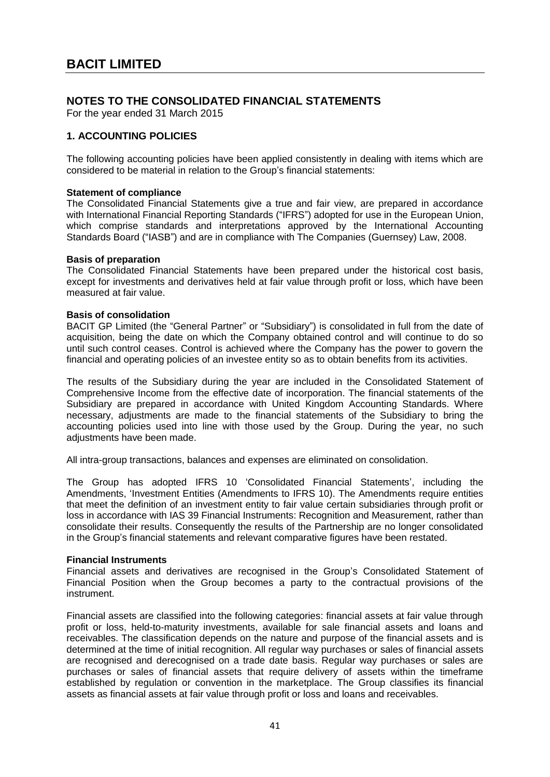# **NOTES TO THE CONSOLIDATED FINANCIAL STATEMENTS**

For the year ended 31 March 2015

### **1. ACCOUNTING POLICIES**

The following accounting policies have been applied consistently in dealing with items which are considered to be material in relation to the Group's financial statements:

#### **Statement of compliance**

The Consolidated Financial Statements give a true and fair view, are prepared in accordance with International Financial Reporting Standards ("IFRS") adopted for use in the European Union, which comprise standards and interpretations approved by the International Accounting Standards Board ("IASB") and are in compliance with The Companies (Guernsey) Law, 2008.

#### **Basis of preparation**

The Consolidated Financial Statements have been prepared under the historical cost basis, except for investments and derivatives held at fair value through profit or loss, which have been measured at fair value.

#### **Basis of consolidation**

BACIT GP Limited (the "General Partner" or "Subsidiary") is consolidated in full from the date of acquisition, being the date on which the Company obtained control and will continue to do so until such control ceases. Control is achieved where the Company has the power to govern the financial and operating policies of an investee entity so as to obtain benefits from its activities.

The results of the Subsidiary during the year are included in the Consolidated Statement of Comprehensive Income from the effective date of incorporation. The financial statements of the Subsidiary are prepared in accordance with United Kingdom Accounting Standards. Where necessary, adjustments are made to the financial statements of the Subsidiary to bring the accounting policies used into line with those used by the Group. During the year, no such adjustments have been made.

All intra-group transactions, balances and expenses are eliminated on consolidation.

The Group has adopted IFRS 10 'Consolidated Financial Statements', including the Amendments, 'Investment Entities (Amendments to IFRS 10). The Amendments require entities that meet the definition of an investment entity to fair value certain subsidiaries through profit or loss in accordance with IAS 39 Financial Instruments: Recognition and Measurement, rather than consolidate their results. Consequently the results of the Partnership are no longer consolidated in the Group's financial statements and relevant comparative figures have been restated.

#### **Financial Instruments**

Financial assets and derivatives are recognised in the Group's Consolidated Statement of Financial Position when the Group becomes a party to the contractual provisions of the instrument.

Financial assets are classified into the following categories: financial assets at fair value through profit or loss, held-to-maturity investments, available for sale financial assets and loans and receivables. The classification depends on the nature and purpose of the financial assets and is determined at the time of initial recognition. All regular way purchases or sales of financial assets are recognised and derecognised on a trade date basis. Regular way purchases or sales are purchases or sales of financial assets that require delivery of assets within the timeframe established by regulation or convention in the marketplace. The Group classifies its financial assets as financial assets at fair value through profit or loss and loans and receivables.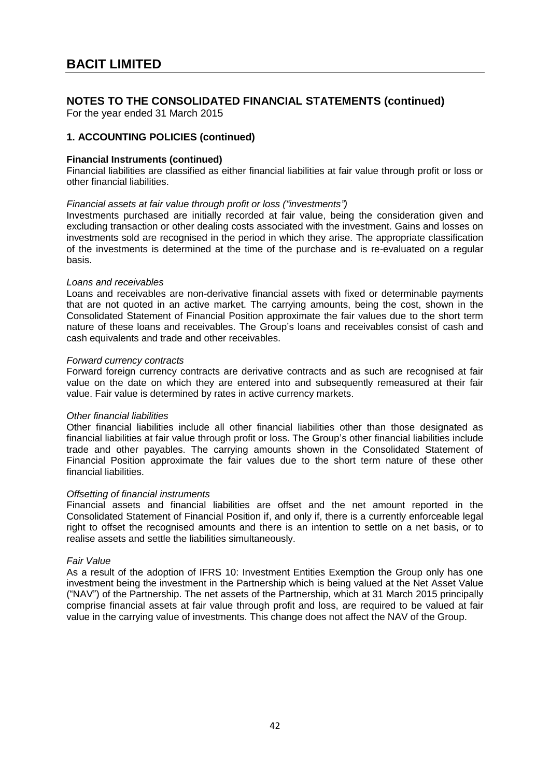For the year ended 31 March 2015

### **1. ACCOUNTING POLICIES (continued)**

#### **Financial Instruments (continued)**

Financial liabilities are classified as either financial liabilities at fair value through profit or loss or other financial liabilities.

#### *Financial assets at fair value through profit or loss ("investments")*

Investments purchased are initially recorded at fair value, being the consideration given and excluding transaction or other dealing costs associated with the investment. Gains and losses on investments sold are recognised in the period in which they arise. The appropriate classification of the investments is determined at the time of the purchase and is re-evaluated on a regular basis.

#### *Loans and receivables*

Loans and receivables are non-derivative financial assets with fixed or determinable payments that are not quoted in an active market. The carrying amounts, being the cost, shown in the Consolidated Statement of Financial Position approximate the fair values due to the short term nature of these loans and receivables. The Group's loans and receivables consist of cash and cash equivalents and trade and other receivables.

### *Forward currency contracts*

Forward foreign currency contracts are derivative contracts and as such are recognised at fair value on the date on which they are entered into and subsequently remeasured at their fair value. Fair value is determined by rates in active currency markets.

#### *Other financial liabilities*

Other financial liabilities include all other financial liabilities other than those designated as financial liabilities at fair value through profit or loss. The Group's other financial liabilities include trade and other payables. The carrying amounts shown in the Consolidated Statement of Financial Position approximate the fair values due to the short term nature of these other financial liabilities.

#### *Offsetting of financial instruments*

Financial assets and financial liabilities are offset and the net amount reported in the Consolidated Statement of Financial Position if, and only if, there is a currently enforceable legal right to offset the recognised amounts and there is an intention to settle on a net basis, or to realise assets and settle the liabilities simultaneously.

#### *Fair Value*

As a result of the adoption of IFRS 10: Investment Entities Exemption the Group only has one investment being the investment in the Partnership which is being valued at the Net Asset Value ("NAV") of the Partnership. The net assets of the Partnership, which at 31 March 2015 principally comprise financial assets at fair value through profit and loss, are required to be valued at fair value in the carrying value of investments. This change does not affect the NAV of the Group.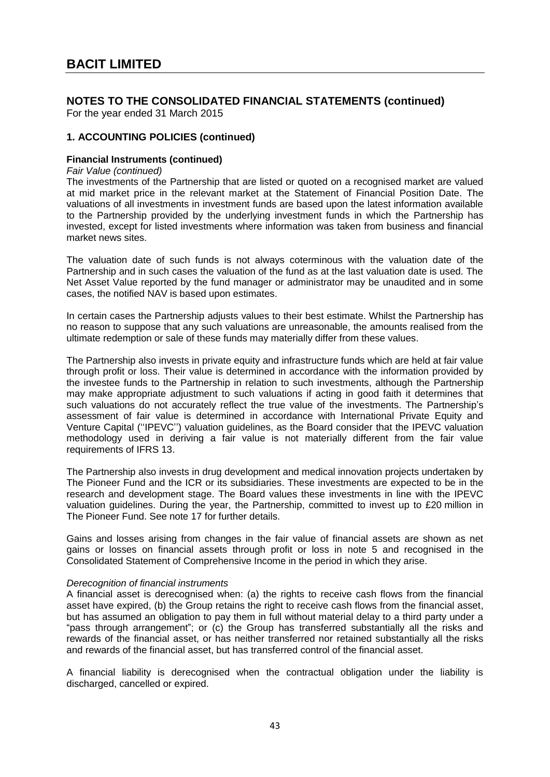For the year ended 31 March 2015

### **1. ACCOUNTING POLICIES (continued)**

### **Financial Instruments (continued)**

*Fair Value (continued)*

The investments of the Partnership that are listed or quoted on a recognised market are valued at mid market price in the relevant market at the Statement of Financial Position Date. The valuations of all investments in investment funds are based upon the latest information available to the Partnership provided by the underlying investment funds in which the Partnership has invested, except for listed investments where information was taken from business and financial market news sites.

The valuation date of such funds is not always coterminous with the valuation date of the Partnership and in such cases the valuation of the fund as at the last valuation date is used. The Net Asset Value reported by the fund manager or administrator may be unaudited and in some cases, the notified NAV is based upon estimates.

In certain cases the Partnership adjusts values to their best estimate. Whilst the Partnership has no reason to suppose that any such valuations are unreasonable, the amounts realised from the ultimate redemption or sale of these funds may materially differ from these values.

The Partnership also invests in private equity and infrastructure funds which are held at fair value through profit or loss. Their value is determined in accordance with the information provided by the investee funds to the Partnership in relation to such investments, although the Partnership may make appropriate adjustment to such valuations if acting in good faith it determines that such valuations do not accurately reflect the true value of the investments. The Partnership's assessment of fair value is determined in accordance with International Private Equity and Venture Capital (''IPEVC'') valuation guidelines, as the Board consider that the IPEVC valuation methodology used in deriving a fair value is not materially different from the fair value requirements of IFRS 13.

The Partnership also invests in drug development and medical innovation projects undertaken by The Pioneer Fund and the ICR or its subsidiaries. These investments are expected to be in the research and development stage. The Board values these investments in line with the IPEVC valuation guidelines. During the year, the Partnership, committed to invest up to £20 million in The Pioneer Fund. See note 17 for further details.

Gains and losses arising from changes in the fair value of financial assets are shown as net gains or losses on financial assets through profit or loss in note 5 and recognised in the Consolidated Statement of Comprehensive Income in the period in which they arise.

#### *Derecognition of financial instruments*

A financial asset is derecognised when: (a) the rights to receive cash flows from the financial asset have expired, (b) the Group retains the right to receive cash flows from the financial asset, but has assumed an obligation to pay them in full without material delay to a third party under a "pass through arrangement"; or (c) the Group has transferred substantially all the risks and rewards of the financial asset, or has neither transferred nor retained substantially all the risks and rewards of the financial asset, but has transferred control of the financial asset.

A financial liability is derecognised when the contractual obligation under the liability is discharged, cancelled or expired.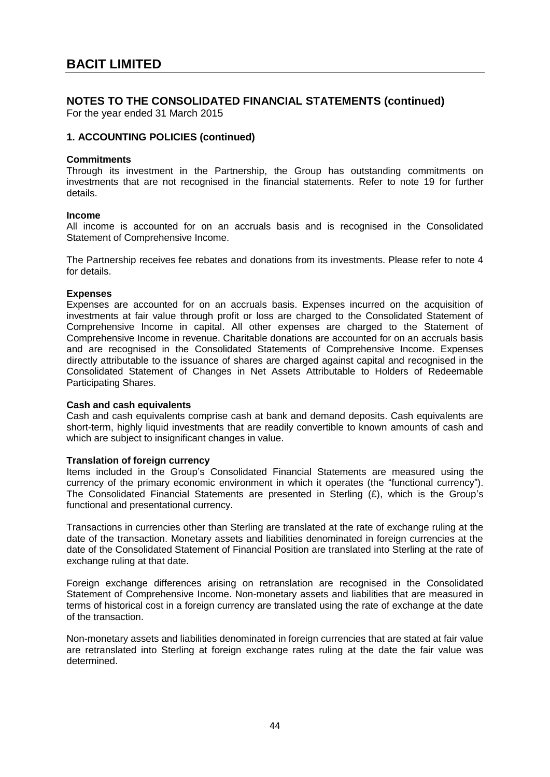For the year ended 31 March 2015

### **1. ACCOUNTING POLICIES (continued)**

#### **Commitments**

Through its investment in the Partnership, the Group has outstanding commitments on investments that are not recognised in the financial statements. Refer to note 19 for further details.

#### **Income**

All income is accounted for on an accruals basis and is recognised in the Consolidated Statement of Comprehensive Income.

The Partnership receives fee rebates and donations from its investments. Please refer to note 4 for details.

#### **Expenses**

Expenses are accounted for on an accruals basis. Expenses incurred on the acquisition of investments at fair value through profit or loss are charged to the Consolidated Statement of Comprehensive Income in capital. All other expenses are charged to the Statement of Comprehensive Income in revenue. Charitable donations are accounted for on an accruals basis and are recognised in the Consolidated Statements of Comprehensive Income. Expenses directly attributable to the issuance of shares are charged against capital and recognised in the Consolidated Statement of Changes in Net Assets Attributable to Holders of Redeemable Participating Shares.

#### **Cash and cash equivalents**

Cash and cash equivalents comprise cash at bank and demand deposits. Cash equivalents are short-term, highly liquid investments that are readily convertible to known amounts of cash and which are subject to insignificant changes in value.

#### **Translation of foreign currency**

Items included in the Group's Consolidated Financial Statements are measured using the currency of the primary economic environment in which it operates (the "functional currency"). The Consolidated Financial Statements are presented in Sterling (£), which is the Group's functional and presentational currency.

Transactions in currencies other than Sterling are translated at the rate of exchange ruling at the date of the transaction. Monetary assets and liabilities denominated in foreign currencies at the date of the Consolidated Statement of Financial Position are translated into Sterling at the rate of exchange ruling at that date.

Foreign exchange differences arising on retranslation are recognised in the Consolidated Statement of Comprehensive Income. Non-monetary assets and liabilities that are measured in terms of historical cost in a foreign currency are translated using the rate of exchange at the date of the transaction.

Non-monetary assets and liabilities denominated in foreign currencies that are stated at fair value are retranslated into Sterling at foreign exchange rates ruling at the date the fair value was determined.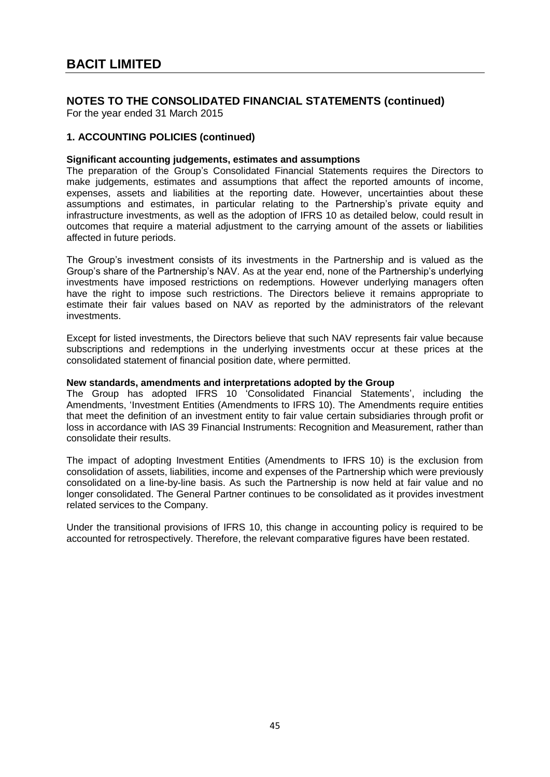For the year ended 31 March 2015

### **1. ACCOUNTING POLICIES (continued)**

#### **Significant accounting judgements, estimates and assumptions**

The preparation of the Group's Consolidated Financial Statements requires the Directors to make judgements, estimates and assumptions that affect the reported amounts of income, expenses, assets and liabilities at the reporting date. However, uncertainties about these assumptions and estimates, in particular relating to the Partnership's private equity and infrastructure investments, as well as the adoption of IFRS 10 as detailed below, could result in outcomes that require a material adjustment to the carrying amount of the assets or liabilities affected in future periods.

The Group's investment consists of its investments in the Partnership and is valued as the Group's share of the Partnership's NAV. As at the year end, none of the Partnership's underlying investments have imposed restrictions on redemptions. However underlying managers often have the right to impose such restrictions. The Directors believe it remains appropriate to estimate their fair values based on NAV as reported by the administrators of the relevant investments.

Except for listed investments, the Directors believe that such NAV represents fair value because subscriptions and redemptions in the underlying investments occur at these prices at the consolidated statement of financial position date, where permitted.

#### **New standards, amendments and interpretations adopted by the Group**

The Group has adopted IFRS 10 'Consolidated Financial Statements', including the Amendments, 'Investment Entities (Amendments to IFRS 10). The Amendments require entities that meet the definition of an investment entity to fair value certain subsidiaries through profit or loss in accordance with IAS 39 Financial Instruments: Recognition and Measurement, rather than consolidate their results.

The impact of adopting Investment Entities (Amendments to IFRS 10) is the exclusion from consolidation of assets, liabilities, income and expenses of the Partnership which were previously consolidated on a line-by-line basis. As such the Partnership is now held at fair value and no longer consolidated. The General Partner continues to be consolidated as it provides investment related services to the Company.

Under the transitional provisions of IFRS 10, this change in accounting policy is required to be accounted for retrospectively. Therefore, the relevant comparative figures have been restated.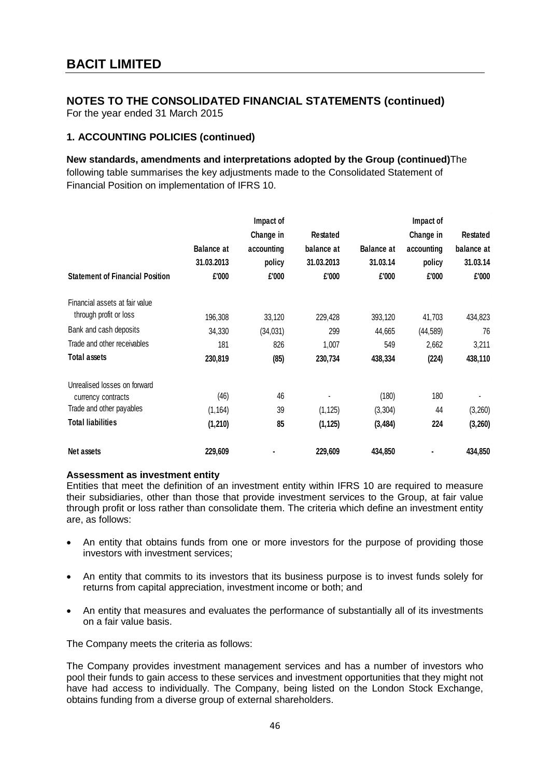For the year ended 31 March 2015

### **1. ACCOUNTING POLICIES (continued)**

**New standards, amendments and interpretations adopted by the Group (continued)**The following table summarises the key adjustments made to the Consolidated Statement of Financial Position on implementation of IFRS 10.

|                                        |                   | Impact of  |                 |                   | Impact of  |                |
|----------------------------------------|-------------------|------------|-----------------|-------------------|------------|----------------|
|                                        |                   | Change in  | <b>Restated</b> |                   | Change in  | Restated       |
|                                        | <b>Balance at</b> | accounting | balance at      | <b>Balance at</b> | accounting | balance at     |
|                                        | 31.03.2013        | policy     | 31.03.2013      | 31.03.14          | policy     | 31.03.14       |
| <b>Statement of Financial Position</b> | £'000             | £'000      | £'000           | £'000             | £'000      | £'000          |
| Financial assets at fair value         |                   |            |                 |                   |            |                |
| through profit or loss                 | 196,308           | 33,120     | 229,428         | 393,120           | 41,703     | 434,823        |
| Bank and cash deposits                 | 34,330            | (34, 031)  | 299             | 44,665            | (44, 589)  | 76             |
| Trade and other receivables            | 181               | 826        | 1,007           | 549               | 2,662      | 3,211          |
| <b>Total assets</b>                    | 230,819           | (85)       | 230,734         | 438,334           | (224)      | 438,110        |
| Unrealised losses on forward           |                   |            |                 |                   |            |                |
| currency contracts                     | (46)              | 46         |                 | (180)             | 180        | $\blacksquare$ |
| Trade and other payables               | (1, 164)          | 39         | (1, 125)        | (3,304)           | 44         | (3,260)        |
| <b>Total liabilities</b>               | (1, 210)          | 85         | (1, 125)        | (3, 484)          | 224        | (3, 260)       |
| Net assets                             | 229,609           |            | 229,609         | 434,850           |            | 434,850        |

#### **Assessment as investment entity**

Entities that meet the definition of an investment entity within IFRS 10 are required to measure their subsidiaries, other than those that provide investment services to the Group, at fair value through profit or loss rather than consolidate them. The criteria which define an investment entity are, as follows:

- An entity that obtains funds from one or more investors for the purpose of providing those investors with investment services;
- An entity that commits to its investors that its business purpose is to invest funds solely for returns from capital appreciation, investment income or both; and
- An entity that measures and evaluates the performance of substantially all of its investments on a fair value basis.

The Company meets the criteria as follows:

The Company provides investment management services and has a number of investors who pool their funds to gain access to these services and investment opportunities that they might not have had access to individually. The Company, being listed on the London Stock Exchange, obtains funding from a diverse group of external shareholders.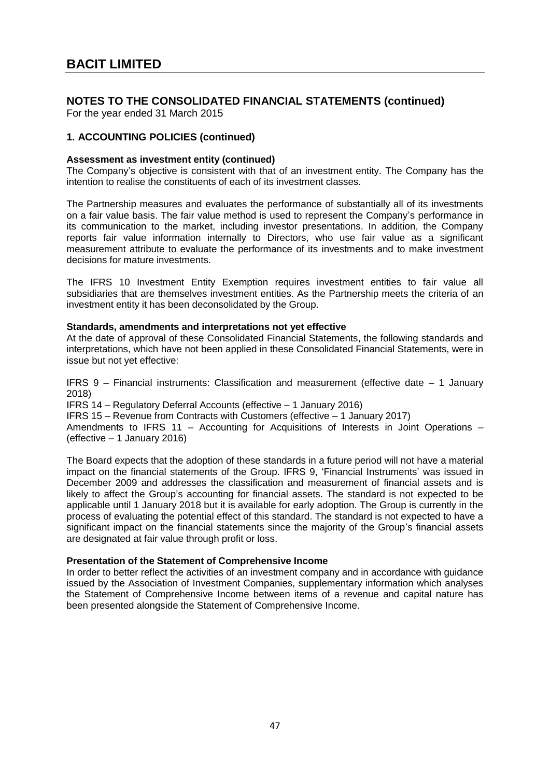For the year ended 31 March 2015

### **1. ACCOUNTING POLICIES (continued)**

#### **Assessment as investment entity (continued)**

The Company's objective is consistent with that of an investment entity. The Company has the intention to realise the constituents of each of its investment classes.

The Partnership measures and evaluates the performance of substantially all of its investments on a fair value basis. The fair value method is used to represent the Company's performance in its communication to the market, including investor presentations. In addition, the Company reports fair value information internally to Directors, who use fair value as a significant measurement attribute to evaluate the performance of its investments and to make investment decisions for mature investments.

The IFRS 10 Investment Entity Exemption requires investment entities to fair value all subsidiaries that are themselves investment entities. As the Partnership meets the criteria of an investment entity it has been deconsolidated by the Group.

#### **Standards, amendments and interpretations not yet effective**

At the date of approval of these Consolidated Financial Statements, the following standards and interpretations, which have not been applied in these Consolidated Financial Statements, were in issue but not yet effective:

IFRS 9 – Financial instruments: Classification and measurement (effective date – 1 January 2018)

IFRS 14 – Regulatory Deferral Accounts (effective – 1 January 2016)

IFRS 15 – Revenue from Contracts with Customers (effective – 1 January 2017)

Amendments to IFRS 11 – Accounting for Acquisitions of Interests in Joint Operations – (effective – 1 January 2016)

The Board expects that the adoption of these standards in a future period will not have a material impact on the financial statements of the Group. IFRS 9, 'Financial Instruments' was issued in December 2009 and addresses the classification and measurement of financial assets and is likely to affect the Group's accounting for financial assets. The standard is not expected to be applicable until 1 January 2018 but it is available for early adoption. The Group is currently in the process of evaluating the potential effect of this standard. The standard is not expected to have a significant impact on the financial statements since the majority of the Group's financial assets are designated at fair value through profit or loss.

#### **Presentation of the Statement of Comprehensive Income**

In order to better reflect the activities of an investment company and in accordance with guidance issued by the Association of Investment Companies, supplementary information which analyses the Statement of Comprehensive Income between items of a revenue and capital nature has been presented alongside the Statement of Comprehensive Income.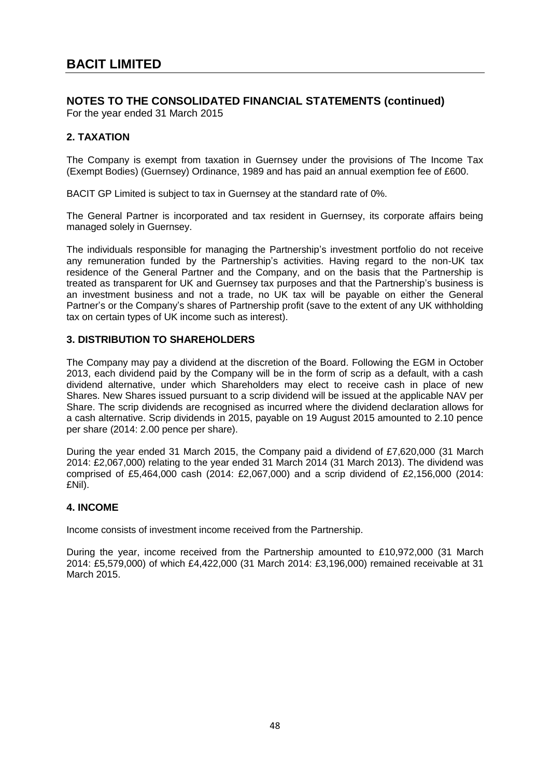For the year ended 31 March 2015

### **2. TAXATION**

The Company is exempt from taxation in Guernsey under the provisions of The Income Tax (Exempt Bodies) (Guernsey) Ordinance, 1989 and has paid an annual exemption fee of £600.

BACIT GP Limited is subject to tax in Guernsey at the standard rate of 0%.

The General Partner is incorporated and tax resident in Guernsey, its corporate affairs being managed solely in Guernsey.

The individuals responsible for managing the Partnership's investment portfolio do not receive any remuneration funded by the Partnership's activities. Having regard to the non-UK tax residence of the General Partner and the Company, and on the basis that the Partnership is treated as transparent for UK and Guernsey tax purposes and that the Partnership's business is an investment business and not a trade, no UK tax will be payable on either the General Partner's or the Company's shares of Partnership profit (save to the extent of any UK withholding tax on certain types of UK income such as interest).

### **3. DISTRIBUTION TO SHAREHOLDERS**

The Company may pay a dividend at the discretion of the Board. Following the EGM in October 2013, each dividend paid by the Company will be in the form of scrip as a default, with a cash dividend alternative, under which Shareholders may elect to receive cash in place of new Shares. New Shares issued pursuant to a scrip dividend will be issued at the applicable NAV per Share. The scrip dividends are recognised as incurred where the dividend declaration allows for a cash alternative. Scrip dividends in 2015, payable on 19 August 2015 amounted to 2.10 pence per share (2014: 2.00 pence per share).

During the year ended 31 March 2015, the Company paid a dividend of £7,620,000 (31 March 2014: £2,067,000) relating to the year ended 31 March 2014 (31 March 2013). The dividend was comprised of £5,464,000 cash (2014: £2,067,000) and a scrip dividend of £2,156,000 (2014: £Nil).

### **4. INCOME**

Income consists of investment income received from the Partnership.

During the year, income received from the Partnership amounted to £10,972,000 (31 March 2014: £5,579,000) of which £4,422,000 (31 March 2014: £3,196,000) remained receivable at 31 March 2015.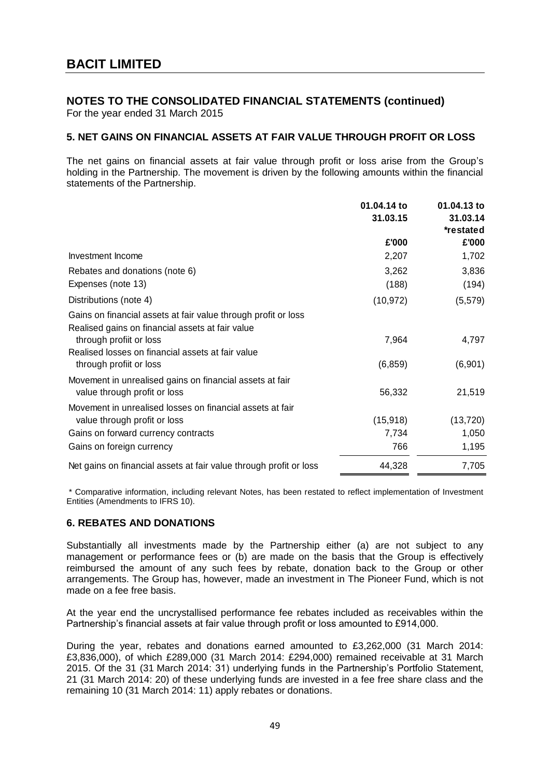For the year ended 31 March 2015

### **5. NET GAINS ON FINANCIAL ASSETS AT FAIR VALUE THROUGH PROFIT OR LOSS**

The net gains on financial assets at fair value through profit or loss arise from the Group's holding in the Partnership. The movement is driven by the following amounts within the financial statements of the Partnership.

|                                                                                                                    | 01.04.14 to<br>31.03.15 | 01.04.13 to<br>31.03.14<br>*restated |
|--------------------------------------------------------------------------------------------------------------------|-------------------------|--------------------------------------|
|                                                                                                                    | £'000                   | £'000                                |
| Investment Income                                                                                                  | 2,207                   | 1,702                                |
| Rebates and donations (note 6)                                                                                     | 3,262                   | 3,836                                |
| Expenses (note 13)                                                                                                 | (188)                   | (194)                                |
| Distributions (note 4)                                                                                             | (10, 972)               | (5, 579)                             |
| Gains on financial assets at fair value through profit or loss<br>Realised gains on financial assets at fair value |                         |                                      |
| through profiit or loss                                                                                            | 7,964                   | 4,797                                |
| Realised losses on financial assets at fair value<br>through profiit or loss                                       | (6, 859)                | (6,901)                              |
| Movement in unrealised gains on financial assets at fair<br>value through profit or loss                           | 56,332                  | 21,519                               |
| Movement in unrealised losses on financial assets at fair                                                          |                         |                                      |
| value through profit or loss                                                                                       | (15, 918)               | (13, 720)                            |
| Gains on forward currency contracts                                                                                | 7,734                   | 1,050                                |
| Gains on foreign currency                                                                                          | 766                     | 1,195                                |
| Net gains on financial assets at fair value through profit or loss                                                 | 44,328                  | 7,705                                |

\* Comparative information, including relevant Notes, has been restated to reflect implementation of Investment Entities (Amendments to IFRS 10).

### **6. REBATES AND DONATIONS**

Substantially all investments made by the Partnership either (a) are not subject to any management or performance fees or (b) are made on the basis that the Group is effectively reimbursed the amount of any such fees by rebate, donation back to the Group or other arrangements. The Group has, however, made an investment in The Pioneer Fund, which is not made on a fee free basis.

At the year end the uncrystallised performance fee rebates included as receivables within the Partnership's financial assets at fair value through profit or loss amounted to £914,000.

During the year, rebates and donations earned amounted to £3,262,000 (31 March 2014: £3,836,000), of which £289,000 (31 March 2014: £294,000) remained receivable at 31 March 2015. Of the 31 (31 March 2014: 31) underlying funds in the Partnership's Portfolio Statement, 21 (31 March 2014: 20) of these underlying funds are invested in a fee free share class and the remaining 10 (31 March 2014: 11) apply rebates or donations.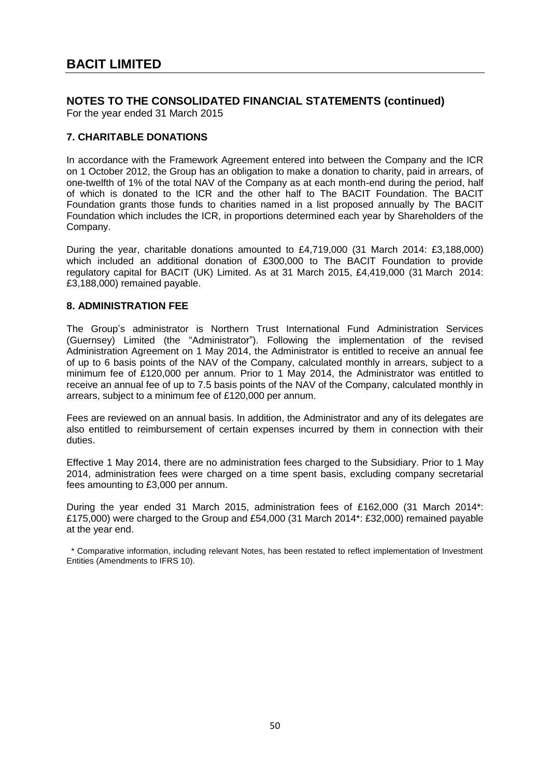For the year ended 31 March 2015

### **7. CHARITABLE DONATIONS**

In accordance with the Framework Agreement entered into between the Company and the ICR on 1 October 2012, the Group has an obligation to make a donation to charity, paid in arrears, of one-twelfth of 1% of the total NAV of the Company as at each month-end during the period, half of which is donated to the ICR and the other half to The BACIT Foundation. The BACIT Foundation grants those funds to charities named in a list proposed annually by The BACIT Foundation which includes the ICR, in proportions determined each year by Shareholders of the Company.

During the year, charitable donations amounted to £4,719,000 (31 March 2014: £3,188,000) which included an additional donation of £300,000 to The BACIT Foundation to provide regulatory capital for BACIT (UK) Limited. As at 31 March 2015, £4,419,000 (31 March 2014: £3,188,000) remained payable.

### **8. ADMINISTRATION FEE**

The Group's administrator is Northern Trust International Fund Administration Services (Guernsey) Limited (the "Administrator"). Following the implementation of the revised Administration Agreement on 1 May 2014, the Administrator is entitled to receive an annual fee of up to 6 basis points of the NAV of the Company, calculated monthly in arrears, subject to a minimum fee of £120,000 per annum. Prior to 1 May 2014, the Administrator was entitled to receive an annual fee of up to 7.5 basis points of the NAV of the Company, calculated monthly in arrears, subject to a minimum fee of £120,000 per annum.

Fees are reviewed on an annual basis. In addition, the Administrator and any of its delegates are also entitled to reimbursement of certain expenses incurred by them in connection with their duties.

Effective 1 May 2014, there are no administration fees charged to the Subsidiary. Prior to 1 May 2014, administration fees were charged on a time spent basis, excluding company secretarial fees amounting to £3,000 per annum.

During the year ended 31 March 2015, administration fees of £162,000 (31 March 2014\*: £175,000) were charged to the Group and £54,000 (31 March 2014\*: £32,000) remained payable at the year end.

 \* Comparative information, including relevant Notes, has been restated to reflect implementation of Investment Entities (Amendments to IFRS 10).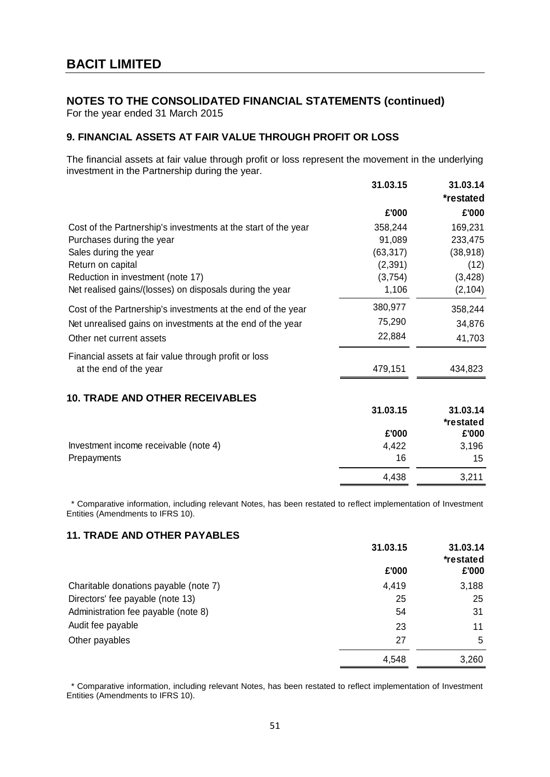For the year ended 31 March 2015

### **9. FINANCIAL ASSETS AT FAIR VALUE THROUGH PROFIT OR LOSS**

The financial assets at fair value through profit or loss represent the movement in the underlying investment in the Partnership during the year.

|                                                                | 31.03.15  | 31.03.14<br>*restated |
|----------------------------------------------------------------|-----------|-----------------------|
|                                                                | £'000     | £'000                 |
| Cost of the Partnership's investments at the start of the year | 358,244   | 169,231               |
| Purchases during the year                                      | 91,089    | 233,475               |
| Sales during the year                                          | (63, 317) | (38, 918)             |
| Return on capital                                              | (2, 391)  | (12)                  |
| Reduction in investment (note 17)                              | (3,754)   | (3, 428)              |
| Net realised gains/(losses) on disposals during the year       | 1,106     | (2, 104)              |
| Cost of the Partnership's investments at the end of the year   | 380,977   | 358,244               |
| Net unrealised gains on investments at the end of the year     | 75,290    | 34,876                |
| Other net current assets                                       | 22,884    | 41,703                |
| Financial assets at fair value through profit or loss          |           |                       |
| at the end of the year                                         | 479,151   | 434,823               |
| <b>10. TRADE AND OTHER RECEIVABLES</b>                         |           |                       |
|                                                                | 31.03.15  | 31.03.14              |
|                                                                |           | *restated             |
|                                                                | £'000     | £'000                 |
| Investment income receivable (note 4)                          | 4,422     | 3,196                 |
| Prepayments                                                    | 16        | 15                    |
|                                                                | 4,438     | 3,211                 |

 \* Comparative information, including relevant Notes, has been restated to reflect implementation of Investment Entities (Amendments to IFRS 10).

### **11. TRADE AND OTHER PAYABLES**

|                                       | 31.03.15 | 31.03.14<br>*restated |
|---------------------------------------|----------|-----------------------|
|                                       | £'000    | £'000                 |
| Charitable donations payable (note 7) | 4,419    | 3,188                 |
| Directors' fee payable (note 13)      | 25       | 25                    |
| Administration fee payable (note 8)   | 54       | 31                    |
| Audit fee payable                     | 23       | 11                    |
| Other payables                        | 27       | 5                     |
|                                       | 4,548    | 3,260                 |

 \* Comparative information, including relevant Notes, has been restated to reflect implementation of Investment Entities (Amendments to IFRS 10).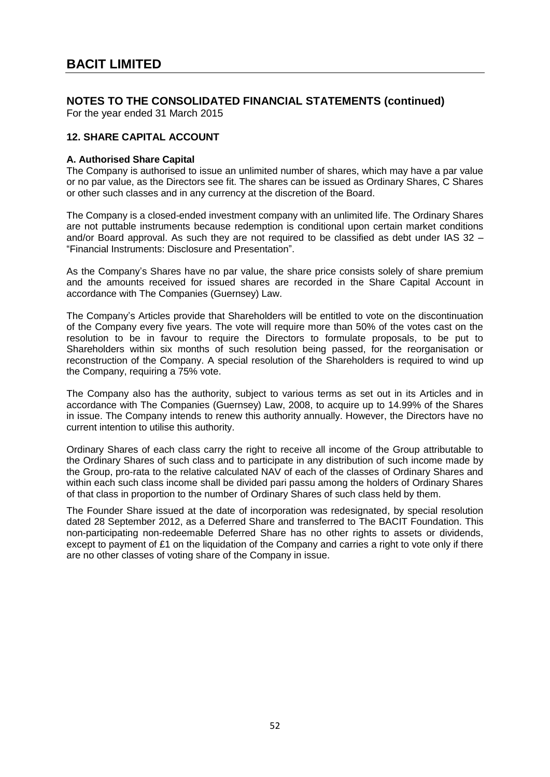For the year ended 31 March 2015

### **12. SHARE CAPITAL ACCOUNT**

#### **A. Authorised Share Capital**

The Company is authorised to issue an unlimited number of shares, which may have a par value or no par value, as the Directors see fit. The shares can be issued as Ordinary Shares, C Shares or other such classes and in any currency at the discretion of the Board.

The Company is a closed-ended investment company with an unlimited life. The Ordinary Shares are not puttable instruments because redemption is conditional upon certain market conditions and/or Board approval. As such they are not required to be classified as debt under IAS 32 – "Financial Instruments: Disclosure and Presentation".

As the Company's Shares have no par value, the share price consists solely of share premium and the amounts received for issued shares are recorded in the Share Capital Account in accordance with The Companies (Guernsey) Law.

The Company's Articles provide that Shareholders will be entitled to vote on the discontinuation of the Company every five years. The vote will require more than 50% of the votes cast on the resolution to be in favour to require the Directors to formulate proposals, to be put to Shareholders within six months of such resolution being passed, for the reorganisation or reconstruction of the Company. A special resolution of the Shareholders is required to wind up the Company, requiring a 75% vote.

The Company also has the authority, subject to various terms as set out in its Articles and in accordance with The Companies (Guernsey) Law, 2008, to acquire up to 14.99% of the Shares in issue. The Company intends to renew this authority annually. However, the Directors have no current intention to utilise this authority.

Ordinary Shares of each class carry the right to receive all income of the Group attributable to the Ordinary Shares of such class and to participate in any distribution of such income made by the Group, pro-rata to the relative calculated NAV of each of the classes of Ordinary Shares and within each such class income shall be divided pari passu among the holders of Ordinary Shares of that class in proportion to the number of Ordinary Shares of such class held by them.

The Founder Share issued at the date of incorporation was redesignated, by special resolution dated 28 September 2012, as a Deferred Share and transferred to The BACIT Foundation. This non-participating non-redeemable Deferred Share has no other rights to assets or dividends, except to payment of £1 on the liquidation of the Company and carries a right to vote only if there are no other classes of voting share of the Company in issue.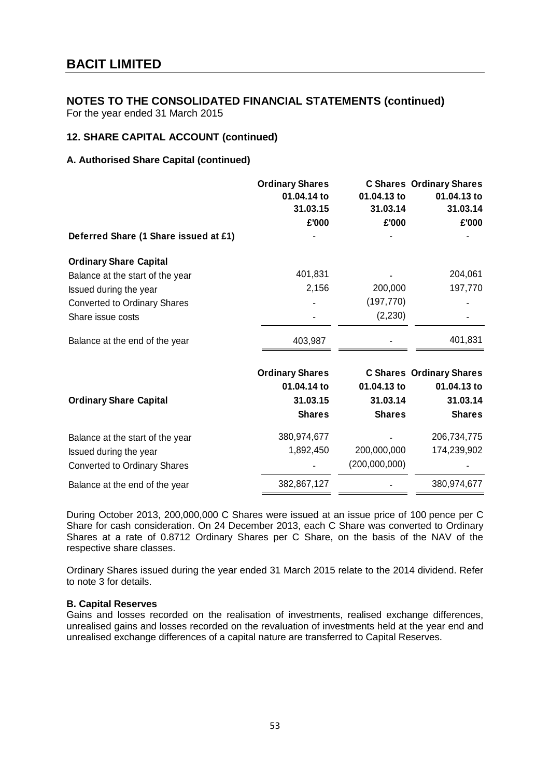For the year ended 31 March 2015

### **12. SHARE CAPITAL ACCOUNT (continued)**

### **A. Authorised Share Capital (continued)**

|                                       | <b>Ordinary Shares</b><br>01.04.14 to<br>31.03.15 | 01.04.13 to<br>31.03.14 | <b>C Shares Ordinary Shares</b><br>01.04.13 to<br>31.03.14 |
|---------------------------------------|---------------------------------------------------|-------------------------|------------------------------------------------------------|
|                                       | £'000                                             | £'000                   | £'000                                                      |
| Deferred Share (1 Share issued at £1) |                                                   |                         |                                                            |
| <b>Ordinary Share Capital</b>         |                                                   |                         |                                                            |
| Balance at the start of the year      | 401,831                                           |                         | 204,061                                                    |
| Issued during the year                | 2,156                                             | 200,000                 | 197,770                                                    |
| <b>Converted to Ordinary Shares</b>   |                                                   | (197, 770)              |                                                            |
| Share issue costs                     |                                                   | (2, 230)                |                                                            |
| Balance at the end of the year        | 403,987                                           |                         | 401,831                                                    |
|                                       | <b>Ordinary Shares</b>                            |                         | <b>C Shares Ordinary Shares</b>                            |
|                                       | 01.04.14 to                                       | 01.04.13 to             | 01.04.13 to                                                |
| <b>Ordinary Share Capital</b>         | 31.03.15                                          | 31.03.14                | 31.03.14                                                   |
|                                       | <b>Shares</b>                                     | <b>Shares</b>           | <b>Shares</b>                                              |
| Balance at the start of the year      | 380,974,677                                       |                         | 206,734,775                                                |
| Issued during the year                | 1,892,450                                         | 200,000,000             | 174,239,902                                                |
| <b>Converted to Ordinary Shares</b>   |                                                   | (200,000,000)           |                                                            |
| Balance at the end of the year        | 382,867,127                                       |                         | 380,974,677                                                |

During October 2013, 200,000,000 C Shares were issued at an issue price of 100 pence per C Share for cash consideration. On 24 December 2013, each C Share was converted to Ordinary Shares at a rate of 0.8712 Ordinary Shares per C Share, on the basis of the NAV of the respective share classes.

Ordinary Shares issued during the year ended 31 March 2015 relate to the 2014 dividend. Refer to note 3 for details.

#### **B. Capital Reserves**

Gains and losses recorded on the realisation of investments, realised exchange differences, unrealised gains and losses recorded on the revaluation of investments held at the year end and unrealised exchange differences of a capital nature are transferred to Capital Reserves.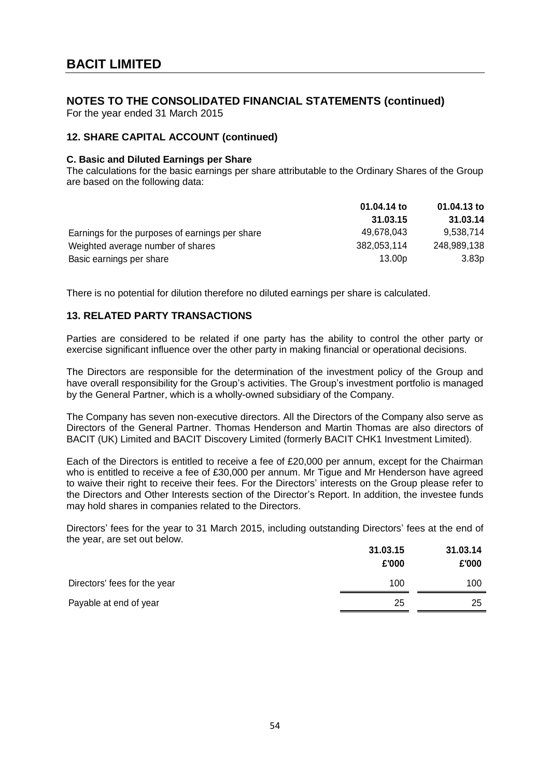For the year ended 31 March 2015

### **12. SHARE CAPITAL ACCOUNT (continued)**

#### **C. Basic and Diluted Earnings per Share**

The calculations for the basic earnings per share attributable to the Ordinary Shares of the Group are based on the following data:

|                                                 | 01.04.14 to        | 01.04.13 to       |  |
|-------------------------------------------------|--------------------|-------------------|--|
|                                                 | 31.03.15           | 31.03.14          |  |
| Earnings for the purposes of earnings per share | 49,678,043         | 9,538,714         |  |
| Weighted average number of shares               | 382,053,114        | 248,989,138       |  |
| Basic earnings per share                        | 13.00 <sub>p</sub> | 3.83 <sub>p</sub> |  |

There is no potential for dilution therefore no diluted earnings per share is calculated.

#### **13. RELATED PARTY TRANSACTIONS**

Parties are considered to be related if one party has the ability to control the other party or exercise significant influence over the other party in making financial or operational decisions.

The Directors are responsible for the determination of the investment policy of the Group and have overall responsibility for the Group's activities. The Group's investment portfolio is managed by the General Partner, which is a wholly-owned subsidiary of the Company.

The Company has seven non-executive directors. All the Directors of the Company also serve as Directors of the General Partner. Thomas Henderson and Martin Thomas are also directors of BACIT (UK) Limited and BACIT Discovery Limited (formerly BACIT CHK1 Investment Limited).

Each of the Directors is entitled to receive a fee of £20,000 per annum, except for the Chairman who is entitled to receive a fee of £30,000 per annum. Mr Tigue and Mr Henderson have agreed to waive their right to receive their fees. For the Directors' interests on the Group please refer to the Directors and Other Interests section of the Director's Report. In addition, the investee funds may hold shares in companies related to the Directors.

Directors' fees for the year to 31 March 2015, including outstanding Directors' fees at the end of the year, are set out below.

|                              | 31.03.15 | 31.03.14 |
|------------------------------|----------|----------|
|                              | £'000    | £'000    |
| Directors' fees for the year | 100      | 100      |
| Payable at end of year       | 25       | 25       |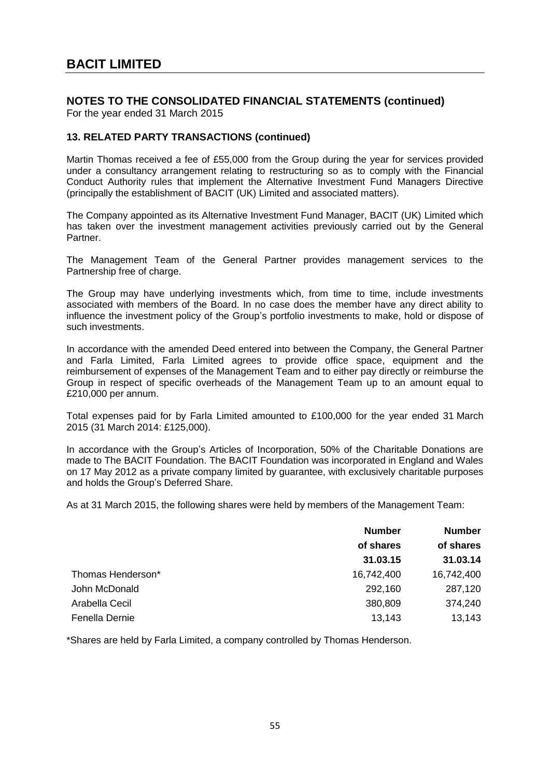For the year ended 31 March 2015

### **13. RELATED PARTY TRANSACTIONS (continued)**

Martin Thomas received a fee of £55,000 from the Group during the year for services provided under a consultancy arrangement relating to restructuring so as to comply with the Financial Conduct Authority rules that implement the Alternative Investment Fund Managers Directive (principally the establishment of BACIT (UK) Limited and associated matters).

The Company appointed as its Alternative Investment Fund Manager, BACIT (UK) Limited which has taken over the investment management activities previously carried out by the General Partner.

The Management Team of the General Partner provides management services to the Partnership free of charge.

The Group may have underlying investments which, from time to time, include investments associated with members of the Board. In no case does the member have any direct ability to influence the investment policy of the Group's portfolio investments to make, hold or dispose of such investments.

In accordance with the amended Deed entered into between the Company, the General Partner and Farla Limited, Farla Limited agrees to provide office space, equipment and the reimbursement of expenses of the Management Team and to either pay directly or reimburse the Group in respect of specific overheads of the Management Team up to an amount equal to £210,000 per annum.

Total expenses paid for by Farla Limited amounted to £100,000 for the year ended 31 March 2015 (31 March 2014: £125,000).

In accordance with the Group's Articles of Incorporation, 50% of the Charitable Donations are made to The BACIT Foundation. The BACIT Foundation was incorporated in England and Wales on 17 May 2012 as a private company limited by guarantee, with exclusively charitable purposes and holds the Group's Deferred Share.

As at 31 March 2015, the following shares were held by members of the Management Team:

|                   | <b>Number</b> | <b>Number</b><br>of shares |  |
|-------------------|---------------|----------------------------|--|
|                   | of shares     |                            |  |
|                   | 31.03.15      | 31.03.14                   |  |
| Thomas Henderson* | 16,742,400    | 16,742,400                 |  |
| John McDonald     | 292,160       | 287,120                    |  |
| Arabella Cecil    | 380,809       | 374,240                    |  |
| Fenella Dernie    | 13,143        | 13,143                     |  |

\*Shares are held by Farla Limited, a company controlled by Thomas Henderson.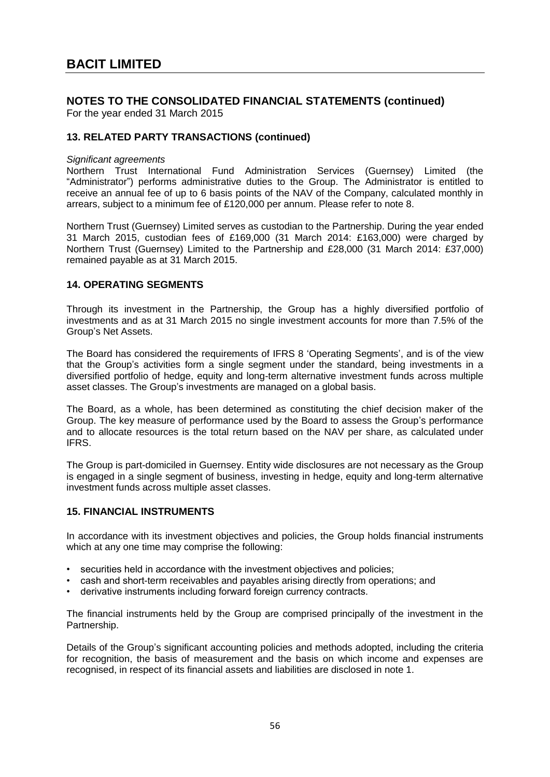For the year ended 31 March 2015

### **13. RELATED PARTY TRANSACTIONS (continued)**

#### *Significant agreements*

Northern Trust International Fund Administration Services (Guernsey) Limited (the "Administrator") performs administrative duties to the Group. The Administrator is entitled to receive an annual fee of up to 6 basis points of the NAV of the Company, calculated monthly in arrears, subject to a minimum fee of £120,000 per annum. Please refer to note 8.

Northern Trust (Guernsey) Limited serves as custodian to the Partnership. During the year ended 31 March 2015, custodian fees of £169,000 (31 March 2014: £163,000) were charged by Northern Trust (Guernsey) Limited to the Partnership and £28,000 (31 March 2014: £37,000) remained payable as at 31 March 2015.

#### **14. OPERATING SEGMENTS**

Through its investment in the Partnership, the Group has a highly diversified portfolio of investments and as at 31 March 2015 no single investment accounts for more than 7.5% of the Group's Net Assets.

The Board has considered the requirements of IFRS 8 'Operating Segments', and is of the view that the Group's activities form a single segment under the standard, being investments in a diversified portfolio of hedge, equity and long-term alternative investment funds across multiple asset classes. The Group's investments are managed on a global basis.

The Board, as a whole, has been determined as constituting the chief decision maker of the Group. The key measure of performance used by the Board to assess the Group's performance and to allocate resources is the total return based on the NAV per share, as calculated under IFRS.

The Group is part-domiciled in Guernsey. Entity wide disclosures are not necessary as the Group is engaged in a single segment of business, investing in hedge, equity and long-term alternative investment funds across multiple asset classes.

#### **15. FINANCIAL INSTRUMENTS**

In accordance with its investment objectives and policies, the Group holds financial instruments which at any one time may comprise the following:

- securities held in accordance with the investment objectives and policies;
- cash and short-term receivables and payables arising directly from operations; and
- derivative instruments including forward foreign currency contracts.

The financial instruments held by the Group are comprised principally of the investment in the Partnership.

Details of the Group's significant accounting policies and methods adopted, including the criteria for recognition, the basis of measurement and the basis on which income and expenses are recognised, in respect of its financial assets and liabilities are disclosed in note 1.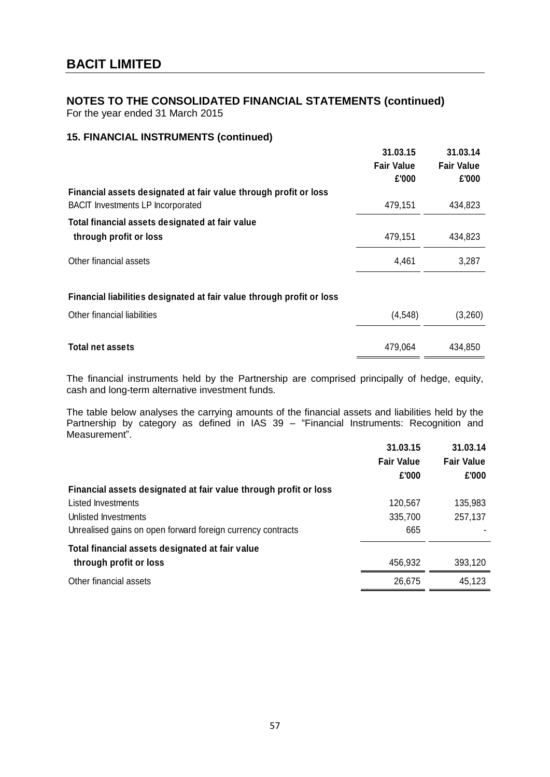For the year ended 31 March 2015

### **15. FINANCIAL INSTRUMENTS (continued)**

|                                                                           | 31.03.15<br><b>Fair Value</b><br>£'000 | 31.03.14<br><b>Fair Value</b><br>£'000 |
|---------------------------------------------------------------------------|----------------------------------------|----------------------------------------|
| Financial assets designated at fair value through profit or loss          |                                        |                                        |
| <b>BACIT Investments LP Incorporated</b>                                  | 479,151                                | 434,823                                |
| Total financial assets designated at fair value<br>through profit or loss | 479,151                                | 434,823                                |
| Other financial assets                                                    | 4,461                                  | 3,287                                  |
| Financial liabilities designated at fair value through profit or loss     |                                        |                                        |
| Other financial liabilities                                               | (4, 548)                               | (3,260)                                |
| <b>Total net assets</b>                                                   | 479,064                                | 434,850                                |

The financial instruments held by the Partnership are comprised principally of hedge, equity, cash and long-term alternative investment funds.

The table below analyses the carrying amounts of the financial assets and liabilities held by the Partnership by category as defined in IAS 39 – "Financial Instruments: Recognition and Measurement".

|                                                                  | 31.03.15          | 31.03.14          |
|------------------------------------------------------------------|-------------------|-------------------|
|                                                                  | <b>Fair Value</b> | <b>Fair Value</b> |
|                                                                  | £'000             | £'000             |
| Financial assets designated at fair value through profit or loss |                   |                   |
| Listed Investments                                               | 120,567           | 135,983           |
| Unlisted Investments                                             | 335,700           | 257,137           |
| Unrealised gains on open forward foreign currency contracts      | 665               |                   |
| Total financial assets designated at fair value                  |                   |                   |
| through profit or loss                                           | 456,932           | 393,120           |
| Other financial assets                                           | 26,675            | 45,123            |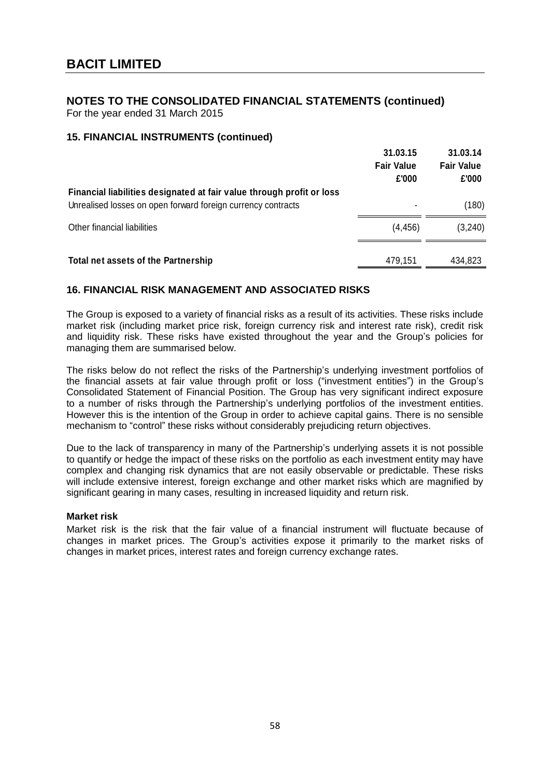For the year ended 31 March 2015

### **15. FINANCIAL INSTRUMENTS (continued)**

|                                                                                                                                       | 31.03.15<br><b>Fair Value</b><br>£'000 | 31.03.14<br><b>Fair Value</b><br>£'000 |
|---------------------------------------------------------------------------------------------------------------------------------------|----------------------------------------|----------------------------------------|
| Financial liabilities designated at fair value through profit or loss<br>Unrealised losses on open forward foreign currency contracts | ۰                                      | (180)                                  |
| Other financial liabilities                                                                                                           | (4, 456)                               | (3, 240)                               |
| Total net assets of the Partnership                                                                                                   | 479,151                                | 434,823                                |

### **16. FINANCIAL RISK MANAGEMENT AND ASSOCIATED RISKS**

The Group is exposed to a variety of financial risks as a result of its activities. These risks include market risk (including market price risk, foreign currency risk and interest rate risk), credit risk and liquidity risk. These risks have existed throughout the year and the Group's policies for managing them are summarised below.

The risks below do not reflect the risks of the Partnership's underlying investment portfolios of the financial assets at fair value through profit or loss ("investment entities") in the Group's Consolidated Statement of Financial Position. The Group has very significant indirect exposure to a number of risks through the Partnership's underlying portfolios of the investment entities. However this is the intention of the Group in order to achieve capital gains. There is no sensible mechanism to "control" these risks without considerably prejudicing return objectives.

Due to the lack of transparency in many of the Partnership's underlying assets it is not possible to quantify or hedge the impact of these risks on the portfolio as each investment entity may have complex and changing risk dynamics that are not easily observable or predictable. These risks will include extensive interest, foreign exchange and other market risks which are magnified by significant gearing in many cases, resulting in increased liquidity and return risk.

### **Market risk**

Market risk is the risk that the fair value of a financial instrument will fluctuate because of changes in market prices. The Group's activities expose it primarily to the market risks of changes in market prices, interest rates and foreign currency exchange rates.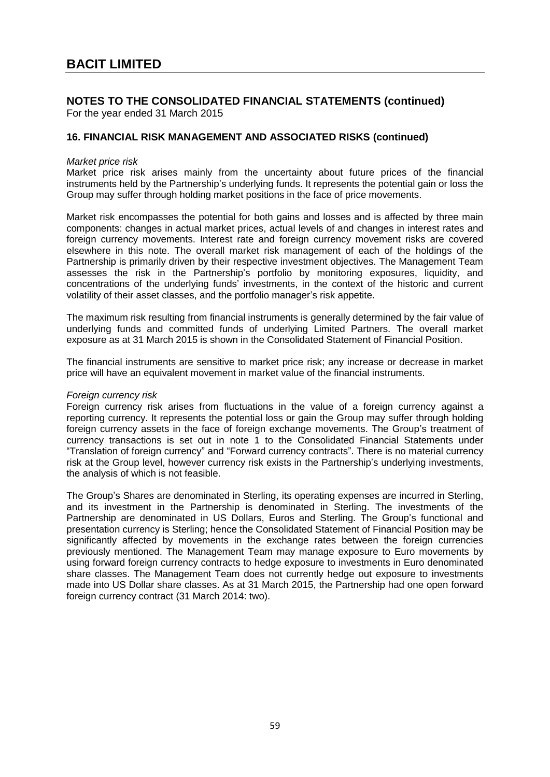For the year ended 31 March 2015

### **16. FINANCIAL RISK MANAGEMENT AND ASSOCIATED RISKS (continued)**

#### *Market price risk*

Market price risk arises mainly from the uncertainty about future prices of the financial instruments held by the Partnership's underlying funds. It represents the potential gain or loss the Group may suffer through holding market positions in the face of price movements.

Market risk encompasses the potential for both gains and losses and is affected by three main components: changes in actual market prices, actual levels of and changes in interest rates and foreign currency movements. Interest rate and foreign currency movement risks are covered elsewhere in this note. The overall market risk management of each of the holdings of the Partnership is primarily driven by their respective investment objectives. The Management Team assesses the risk in the Partnership's portfolio by monitoring exposures, liquidity, and concentrations of the underlying funds' investments, in the context of the historic and current volatility of their asset classes, and the portfolio manager's risk appetite.

The maximum risk resulting from financial instruments is generally determined by the fair value of underlying funds and committed funds of underlying Limited Partners. The overall market exposure as at 31 March 2015 is shown in the Consolidated Statement of Financial Position.

The financial instruments are sensitive to market price risk; any increase or decrease in market price will have an equivalent movement in market value of the financial instruments.

#### *Foreign currency risk*

Foreign currency risk arises from fluctuations in the value of a foreign currency against a reporting currency. It represents the potential loss or gain the Group may suffer through holding foreign currency assets in the face of foreign exchange movements. The Group's treatment of currency transactions is set out in note 1 to the Consolidated Financial Statements under "Translation of foreign currency" and "Forward currency contracts". There is no material currency risk at the Group level, however currency risk exists in the Partnership's underlying investments, the analysis of which is not feasible.

The Group's Shares are denominated in Sterling, its operating expenses are incurred in Sterling, and its investment in the Partnership is denominated in Sterling. The investments of the Partnership are denominated in US Dollars, Euros and Sterling. The Group's functional and presentation currency is Sterling; hence the Consolidated Statement of Financial Position may be significantly affected by movements in the exchange rates between the foreign currencies previously mentioned. The Management Team may manage exposure to Euro movements by using forward foreign currency contracts to hedge exposure to investments in Euro denominated share classes. The Management Team does not currently hedge out exposure to investments made into US Dollar share classes. As at 31 March 2015, the Partnership had one open forward foreign currency contract (31 March 2014: two).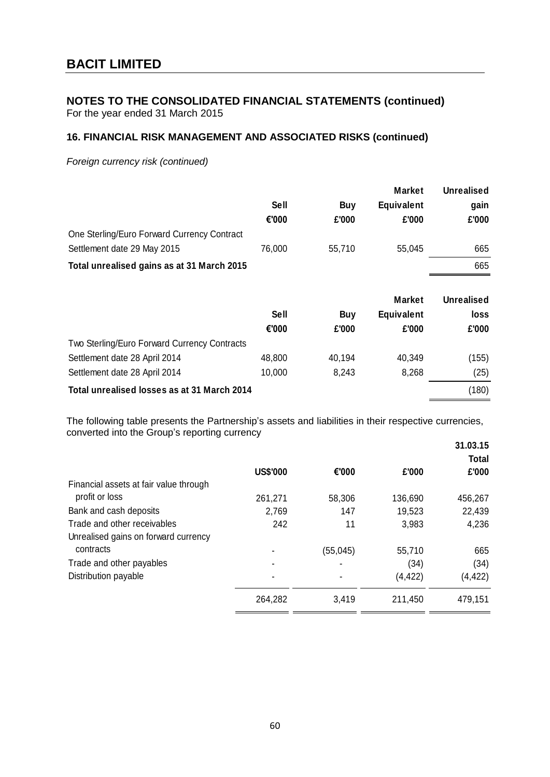For the year ended 31 March 2015

# **16. FINANCIAL RISK MANAGEMENT AND ASSOCIATED RISKS (continued)**

*Foreign currency risk (continued)*

|                                              |             |            | <b>Market</b>     | <b>Unrealised</b> |
|----------------------------------------------|-------------|------------|-------------------|-------------------|
|                                              | <b>Sell</b> | <b>Buy</b> | <b>Equivalent</b> | gain              |
|                                              | €'000       | £'000      | £'000             | £'000             |
| One Sterling/Euro Forward Currency Contract  |             |            |                   |                   |
| Settlement date 29 May 2015                  | 76,000      | 55,710     | 55,045            | 665               |
| Total unrealised gains as at 31 March 2015   |             |            |                   | 665               |
|                                              |             |            |                   |                   |
|                                              |             |            | <b>Market</b>     | <b>Unrealised</b> |
|                                              | <b>Sell</b> | <b>Buy</b> | <b>Equivalent</b> | loss              |
|                                              | €'000       | £'000      | £'000             | £'000             |
| Two Sterling/Euro Forward Currency Contracts |             |            |                   |                   |
| Settlement date 28 April 2014                | 48,800      | 40,194     | 40,349            | (155)             |
| Settlement date 28 April 2014                | 10,000      | 8,243      | 8,268             | (25)              |

The following table presents the Partnership's assets and liabilities in their respective currencies, converted into the Group's reporting currency

|                                        | <b>US\$'000</b> | €'000                    | £'000    | 31.03.15<br><b>Total</b><br>£'000 |
|----------------------------------------|-----------------|--------------------------|----------|-----------------------------------|
| Financial assets at fair value through |                 |                          |          |                                   |
| profit or loss                         | 261,271         | 58,306                   | 136,690  | 456,267                           |
| Bank and cash deposits                 | 2,769           | 147                      | 19,523   | 22,439                            |
| Trade and other receivables            | 242             | 11                       | 3,983    | 4,236                             |
| Unrealised gains on forward currency   |                 |                          |          |                                   |
| contracts                              |                 | (55, 045)                | 55,710   | 665                               |
| Trade and other payables               |                 | $\overline{\phantom{0}}$ | (34)     | (34)                              |
| Distribution payable                   |                 |                          | (4, 422) | (4,422)                           |
|                                        | 264,282         | 3,419                    | 211,450  | 479,151                           |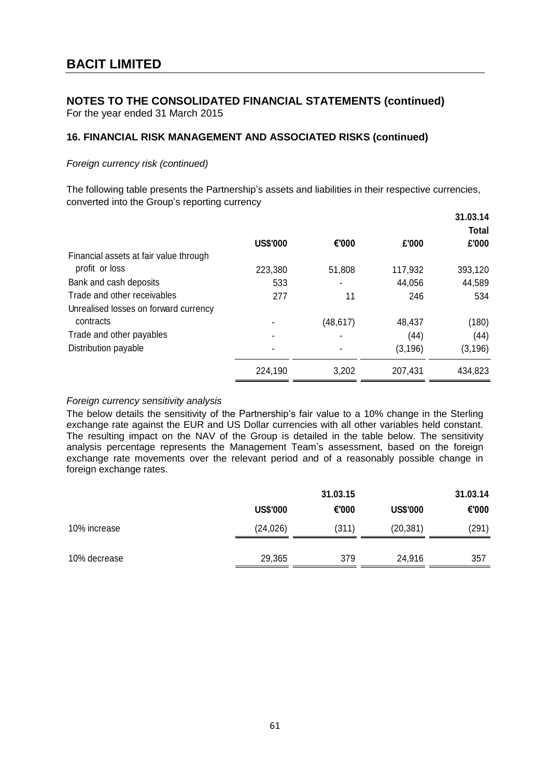For the year ended 31 March 2015

# **16. FINANCIAL RISK MANAGEMENT AND ASSOCIATED RISKS (continued)**

### *Foreign currency risk (continued)*

The following table presents the Partnership's assets and liabilities in their respective currencies, converted into the Group's reporting currency

|                                        |                 |           |          | 31.03.14<br><b>Total</b> |
|----------------------------------------|-----------------|-----------|----------|--------------------------|
|                                        | <b>US\$'000</b> | €'000     | £'000    | £'000                    |
| Financial assets at fair value through |                 |           |          |                          |
| profit or loss                         | 223,380         | 51,808    | 117,932  | 393,120                  |
| Bank and cash deposits                 | 533             |           | 44,056   | 44,589                   |
| Trade and other receivables            | 277             | 11        | 246      | 534                      |
| Unrealised losses on forward currency  |                 |           |          |                          |
| contracts                              |                 | (48, 617) | 48,437   | (180)                    |
| Trade and other payables               |                 |           | (44)     | (44)                     |
| Distribution payable                   |                 |           | (3, 196) | (3, 196)                 |
|                                        | 224,190         | 3,202     | 207,431  | 434,823                  |

### *Foreign currency sensitivity analysis*

The below details the sensitivity of the Partnership's fair value to a 10% change in the Sterling exchange rate against the EUR and US Dollar currencies with all other variables held constant. The resulting impact on the NAV of the Group is detailed in the table below. The sensitivity analysis percentage represents the Management Team's assessment, based on the foreign exchange rate movements over the relevant period and of a reasonably possible change in foreign exchange rates.

|              |                 | 31.03.15 |                 | 31.03.14 |  |
|--------------|-----------------|----------|-----------------|----------|--|
|              | <b>US\$'000</b> | €'000    | <b>US\$'000</b> | €'000    |  |
| 10% increase | (24, 026)       | (311)    | (20, 381)       | (291)    |  |
| 10% decrease | 29,365          | 379      | 24,916          | 357      |  |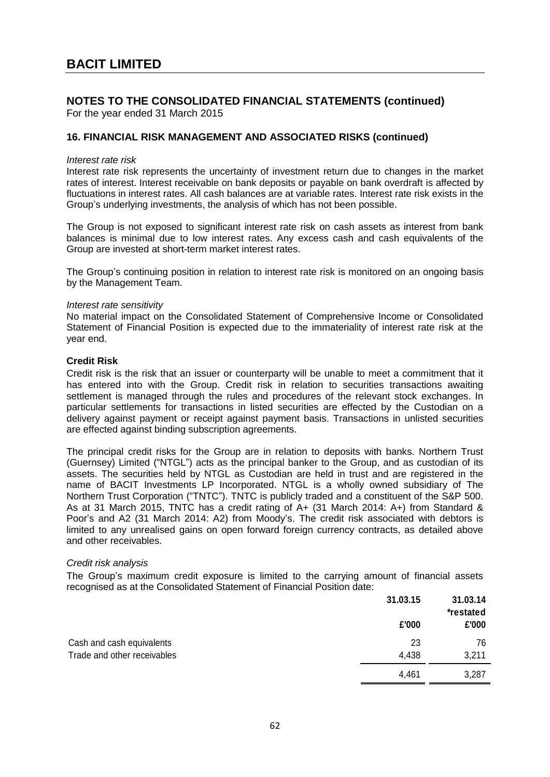For the year ended 31 March 2015

### **16. FINANCIAL RISK MANAGEMENT AND ASSOCIATED RISKS (continued)**

#### *Interest rate risk*

Interest rate risk represents the uncertainty of investment return due to changes in the market rates of interest. Interest receivable on bank deposits or payable on bank overdraft is affected by fluctuations in interest rates. All cash balances are at variable rates. Interest rate risk exists in the Group's underlying investments, the analysis of which has not been possible.

The Group is not exposed to significant interest rate risk on cash assets as interest from bank balances is minimal due to low interest rates. Any excess cash and cash equivalents of the Group are invested at short-term market interest rates.

The Group's continuing position in relation to interest rate risk is monitored on an ongoing basis by the Management Team.

#### *Interest rate sensitivity*

No material impact on the Consolidated Statement of Comprehensive Income or Consolidated Statement of Financial Position is expected due to the immateriality of interest rate risk at the year end.

#### **Credit Risk**

Credit risk is the risk that an issuer or counterparty will be unable to meet a commitment that it has entered into with the Group. Credit risk in relation to securities transactions awaiting settlement is managed through the rules and procedures of the relevant stock exchanges. In particular settlements for transactions in listed securities are effected by the Custodian on a delivery against payment or receipt against payment basis. Transactions in unlisted securities are effected against binding subscription agreements.

The principal credit risks for the Group are in relation to deposits with banks. Northern Trust (Guernsey) Limited ("NTGL") acts as the principal banker to the Group, and as custodian of its assets. The securities held by NTGL as Custodian are held in trust and are registered in the name of BACIT Investments LP Incorporated. NTGL is a wholly owned subsidiary of The Northern Trust Corporation ("TNTC"). TNTC is publicly traded and a constituent of the S&P 500. As at 31 March 2015, TNTC has a credit rating of A+ (31 March 2014: A+) from Standard & Poor's and A2 (31 March 2014: A2) from Moody's. The credit risk associated with debtors is limited to any unrealised gains on open forward foreign currency contracts, as detailed above and other receivables.

#### *Credit risk analysis*

The Group's maximum credit exposure is limited to the carrying amount of financial assets recognised as at the Consolidated Statement of Financial Position date:

|                             | 31.03.15 | 31.03.14<br>*restated |
|-----------------------------|----------|-----------------------|
|                             | £'000    | £'000                 |
| Cash and cash equivalents   | 23       | 76                    |
| Trade and other receivables | 4,438    | 3,211                 |
|                             | 4,461    | 3,287                 |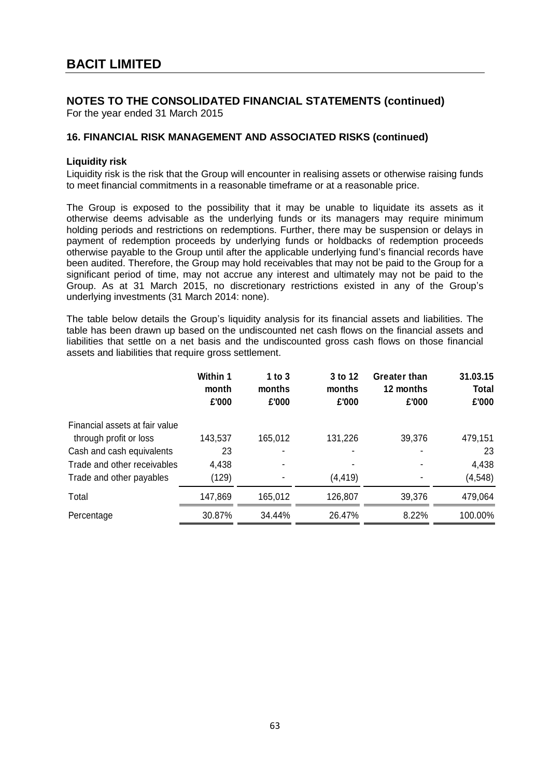For the year ended 31 March 2015

### **16. FINANCIAL RISK MANAGEMENT AND ASSOCIATED RISKS (continued)**

### **Liquidity risk**

Liquidity risk is the risk that the Group will encounter in realising assets or otherwise raising funds to meet financial commitments in a reasonable timeframe or at a reasonable price.

The Group is exposed to the possibility that it may be unable to liquidate its assets as it otherwise deems advisable as the underlying funds or its managers may require minimum holding periods and restrictions on redemptions. Further, there may be suspension or delays in payment of redemption proceeds by underlying funds or holdbacks of redemption proceeds otherwise payable to the Group until after the applicable underlying fund's financial records have been audited. Therefore, the Group may hold receivables that may not be paid to the Group for a significant period of time, may not accrue any interest and ultimately may not be paid to the Group. As at 31 March 2015, no discretionary restrictions existed in any of the Group's underlying investments (31 March 2014: none).

The table below details the Group's liquidity analysis for its financial assets and liabilities. The table has been drawn up based on the undiscounted net cash flows on the financial assets and liabilities that settle on a net basis and the undiscounted gross cash flows on those financial assets and liabilities that require gross settlement.

|                                | Within 1<br>month<br>£'000 | 1 to $3$<br>months<br>£'000 | 3 to 12<br>months<br>£'000 | <b>Greater than</b><br>12 months<br>£'000 | 31.03.15<br><b>Total</b><br>£'000 |
|--------------------------------|----------------------------|-----------------------------|----------------------------|-------------------------------------------|-----------------------------------|
| Financial assets at fair value |                            |                             |                            |                                           |                                   |
| through profit or loss         | 143,537                    | 165,012                     | 131,226                    | 39,376                                    | 479,151                           |
| Cash and cash equivalents      | 23                         |                             |                            |                                           | 23                                |
| Trade and other receivables    | 4,438                      |                             |                            |                                           | 4,438                             |
| Trade and other payables       | (129)                      |                             | (4,419)                    |                                           | (4, 548)                          |
| Total                          | 147,869                    | 165,012                     | 126,807                    | 39,376                                    | 479,064                           |
| Percentage                     | 30.87%                     | 34.44%                      | 26.47%                     | 8.22%                                     | 100.00%                           |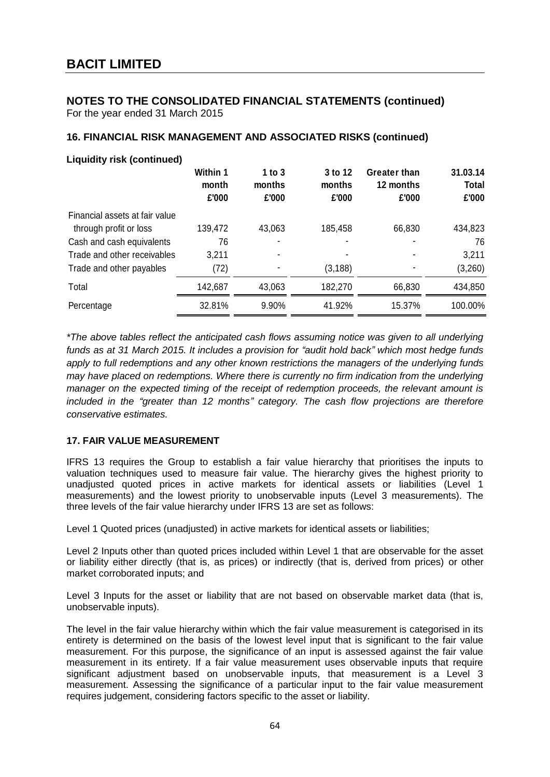For the year ended 31 March 2015

# **16. FINANCIAL RISK MANAGEMENT AND ASSOCIATED RISKS (continued)**

| <b>Liquidity risk (continued)</b> |                            |                             |                            |                                           |                                   |
|-----------------------------------|----------------------------|-----------------------------|----------------------------|-------------------------------------------|-----------------------------------|
|                                   | Within 1<br>month<br>£'000 | 1 to $3$<br>months<br>£'000 | 3 to 12<br>months<br>£'000 | <b>Greater than</b><br>12 months<br>£'000 | 31.03.14<br><b>Total</b><br>£'000 |
| Financial assets at fair value    |                            |                             |                            |                                           |                                   |
| through profit or loss            | 139,472                    | 43,063                      | 185,458                    | 66,830                                    | 434,823                           |
| Cash and cash equivalents         | 76                         |                             |                            |                                           | 76                                |
| Trade and other receivables       | 3,211                      |                             |                            |                                           | 3,211                             |
| Trade and other payables          | (72)                       |                             | (3, 188)                   |                                           | (3,260)                           |
| Total                             | 142,687                    | 43,063                      | 182,270                    | 66,830                                    | 434,850                           |
| Percentage                        | 32.81%                     | 9.90%                       | 41.92%                     | 15.37%                                    | 100.00%                           |

*\*The above tables reflect the anticipated cash flows assuming notice was given to all underlying funds as at 31 March 2015. It includes a provision for "audit hold back" which most hedge funds apply to full redemptions and any other known restrictions the managers of the underlying funds may have placed on redemptions. Where there is currently no firm indication from the underlying manager on the expected timing of the receipt of redemption proceeds, the relevant amount is included in the "greater than 12 months" category. The cash flow projections are therefore conservative estimates.*

### **17. FAIR VALUE MEASUREMENT**

IFRS 13 requires the Group to establish a fair value hierarchy that prioritises the inputs to valuation techniques used to measure fair value. The hierarchy gives the highest priority to unadjusted quoted prices in active markets for identical assets or liabilities (Level 1 measurements) and the lowest priority to unobservable inputs (Level 3 measurements). The three levels of the fair value hierarchy under IFRS 13 are set as follows:

Level 1 Quoted prices (unadjusted) in active markets for identical assets or liabilities;

Level 2 Inputs other than quoted prices included within Level 1 that are observable for the asset or liability either directly (that is, as prices) or indirectly (that is, derived from prices) or other market corroborated inputs; and

Level 3 Inputs for the asset or liability that are not based on observable market data (that is, unobservable inputs).

The level in the fair value hierarchy within which the fair value measurement is categorised in its entirety is determined on the basis of the lowest level input that is significant to the fair value measurement. For this purpose, the significance of an input is assessed against the fair value measurement in its entirety. If a fair value measurement uses observable inputs that require significant adjustment based on unobservable inputs, that measurement is a Level 3 measurement. Assessing the significance of a particular input to the fair value measurement requires judgement, considering factors specific to the asset or liability.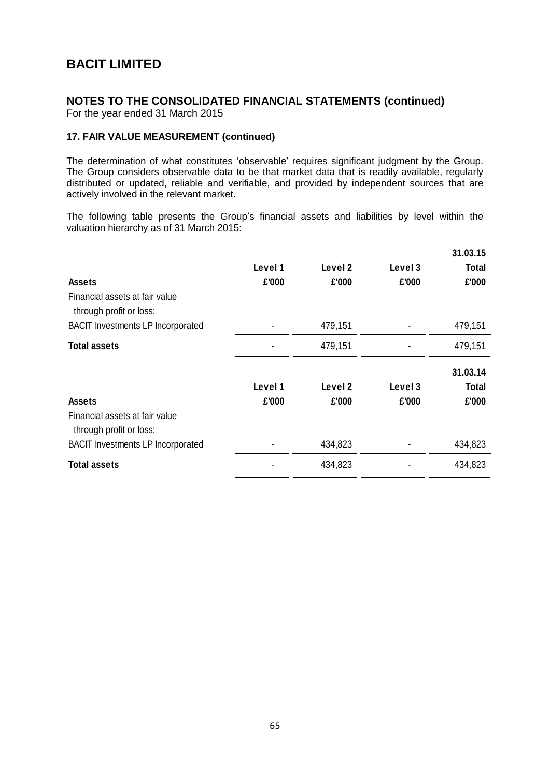For the year ended 31 March 2015

### **17. FAIR VALUE MEASUREMENT (continued)**

The determination of what constitutes 'observable' requires significant judgment by the Group. The Group considers observable data to be that market data that is readily available, regularly distributed or updated, reliable and verifiable, and provided by independent sources that are actively involved in the relevant market.

The following table presents the Group's financial assets and liabilities by level within the valuation hierarchy as of 31 March 2015:

| <b>Assets</b><br>Financial assets at fair value<br>through profit or loss:<br><b>BACIT Investments LP Incorporated</b> | Level 1<br>£'000 | Level 2<br>£'000<br>479,151 | Level 3<br>£'000 | 31.03.15<br><b>Total</b><br>£'000<br>479,151 |
|------------------------------------------------------------------------------------------------------------------------|------------------|-----------------------------|------------------|----------------------------------------------|
|                                                                                                                        |                  |                             |                  |                                              |
| <b>Total assets</b>                                                                                                    |                  | 479,151                     |                  | 479,151                                      |
| <b>Assets</b>                                                                                                          | Level 1<br>£'000 | Level 2<br>£'000            | Level 3<br>£'000 | 31.03.14<br><b>Total</b><br>£'000            |
| Financial assets at fair value<br>through profit or loss:                                                              |                  |                             |                  |                                              |
| <b>BACIT Investments LP Incorporated</b>                                                                               |                  | 434,823                     |                  | 434,823                                      |
|                                                                                                                        |                  |                             |                  |                                              |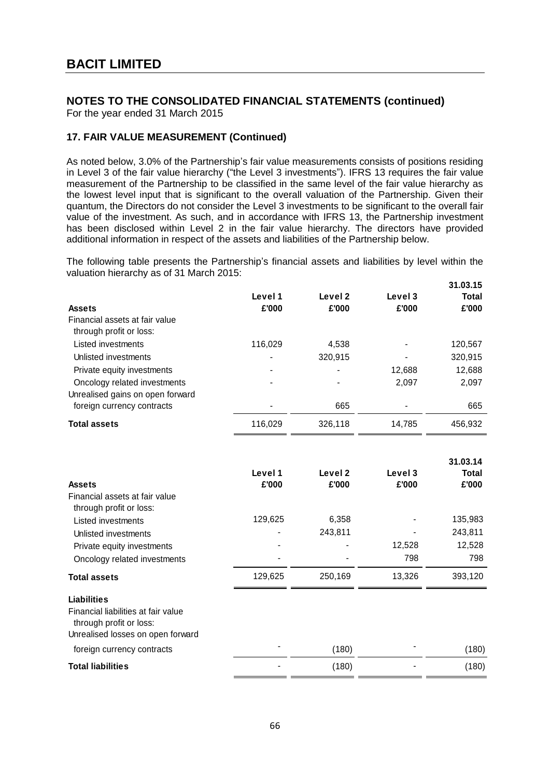For the year ended 31 March 2015

### **17. FAIR VALUE MEASUREMENT (Continued)**

As noted below, 3.0% of the Partnership's fair value measurements consists of positions residing in Level 3 of the fair value hierarchy ("the Level 3 investments"). IFRS 13 requires the fair value measurement of the Partnership to be classified in the same level of the fair value hierarchy as the lowest level input that is significant to the overall valuation of the Partnership. Given their quantum, the Directors do not consider the Level 3 investments to be significant to the overall fair value of the investment. As such, and in accordance with IFRS 13, the Partnership investment has been disclosed within Level 2 in the fair value hierarchy. The directors have provided additional information in respect of the assets and liabilities of the Partnership below.

The following table presents the Partnership's financial assets and liabilities by level within the valuation hierarchy as of 31 March 2015:

|                                                                  |                  |                  |                  | 31.03.15              |
|------------------------------------------------------------------|------------------|------------------|------------------|-----------------------|
| <b>Assets</b>                                                    | Level 1<br>£'000 | Level 2<br>£'000 | Level 3<br>£'000 | <b>Total</b><br>£'000 |
| Financial assets at fair value<br>through profit or loss:        |                  |                  |                  |                       |
| Listed investments                                               | 116,029          | 4.538            | $\blacksquare$   | 120,567               |
| Unlisted investments                                             | $\blacksquare$   | 320,915          | $\blacksquare$   | 320,915               |
| Private equity investments                                       | $\blacksquare$   | ۰                | 12,688           | 12,688                |
| Oncology related investments<br>Unrealised gains on open forward | $\blacksquare$   | $\blacksquare$   | 2,097            | 2,097                 |
| foreign currency contracts                                       | $\blacksquare$   | 665              | $\blacksquare$   | 665                   |
| <b>Total assets</b>                                              | 116,029          | 326.118          | 14,785           | 456,932               |

|                                                                |         |         |         | 31.03.14     |
|----------------------------------------------------------------|---------|---------|---------|--------------|
|                                                                | Level 1 | Level 2 | Level 3 | <b>Total</b> |
| <b>Assets</b>                                                  | £'000   | £'000   | £'000   | £'000        |
| Financial assets at fair value                                 |         |         |         |              |
| through profit or loss:                                        |         |         |         |              |
| Listed investments                                             | 129,625 | 6,358   |         | 135,983      |
| Unlisted investments                                           |         | 243,811 |         | 243,811      |
| Private equity investments                                     |         |         | 12,528  | 12,528       |
| Oncology related investments                                   |         |         | 798     | 798          |
| <b>Total assets</b>                                            | 129,625 | 250,169 | 13,326  | 393,120      |
| <b>Liabilities</b>                                             |         |         |         |              |
| Financial liabilities at fair value<br>through profit or loss: |         |         |         |              |
| Unrealised losses on open forward                              |         |         |         |              |
| foreign currency contracts                                     |         | (180)   |         | (180)        |
| <b>Total liabilities</b>                                       |         | (180)   |         | (180)        |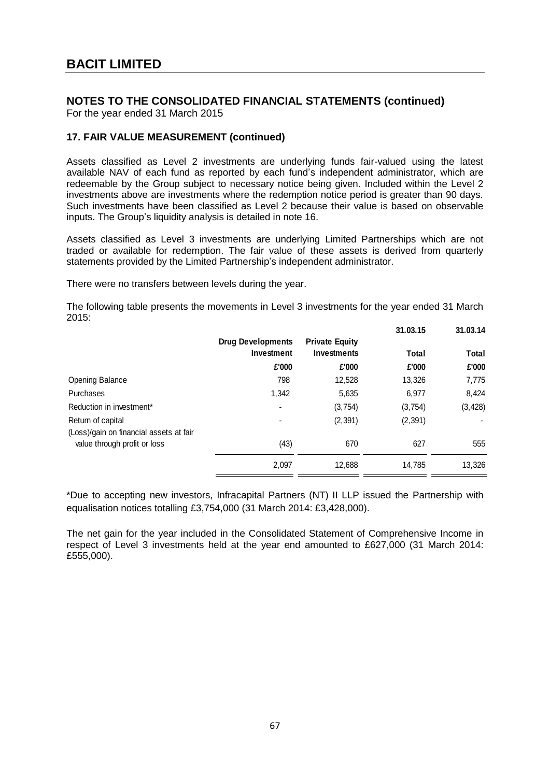For the year ended 31 March 2015

### **17. FAIR VALUE MEASUREMENT (continued)**

Assets classified as Level 2 investments are underlying funds fair-valued using the latest available NAV of each fund as reported by each fund's independent administrator, which are redeemable by the Group subject to necessary notice being given. Included within the Level 2 investments above are investments where the redemption notice period is greater than 90 days. Such investments have been classified as Level 2 because their value is based on observable inputs. The Group's liquidity analysis is detailed in note 16.

Assets classified as Level 3 investments are underlying Limited Partnerships which are not traded or available for redemption. The fair value of these assets is derived from quarterly statements provided by the Limited Partnership's independent administrator.

There were no transfers between levels during the year.

The following table presents the movements in Level 3 investments for the year ended 31 March 2015:

|                                         |                          |                       | 31.03.15 | 31.03.14 |
|-----------------------------------------|--------------------------|-----------------------|----------|----------|
|                                         | <b>Drug Developments</b> | <b>Private Equity</b> |          |          |
|                                         | Investment               | Investments           | Total    | Total    |
|                                         | £'000                    | £'000                 | £'000    | £'000    |
| <b>Opening Balance</b>                  | 798                      | 12,528                | 13,326   | 7,775    |
| Purchases                               | 1,342                    | 5,635                 | 6,977    | 8,424    |
| Reduction in investment*                | Ξ.                       | (3,754)               | (3,754)  | (3, 428) |
| Return of capital                       |                          | (2, 391)              | (2, 391) |          |
| (Loss)/gain on financial assets at fair |                          |                       |          |          |
| value through profit or loss            | (43)                     | 670                   | 627      | 555      |
|                                         | 2,097                    | 12,688                | 14,785   | 13,326   |

\*Due to accepting new investors, Infracapital Partners (NT) II LLP issued the Partnership with equalisation notices totalling £3,754,000 (31 March 2014: £3,428,000).

The net gain for the year included in the Consolidated Statement of Comprehensive Income in respect of Level 3 investments held at the year end amounted to £627,000 (31 March 2014: £555,000).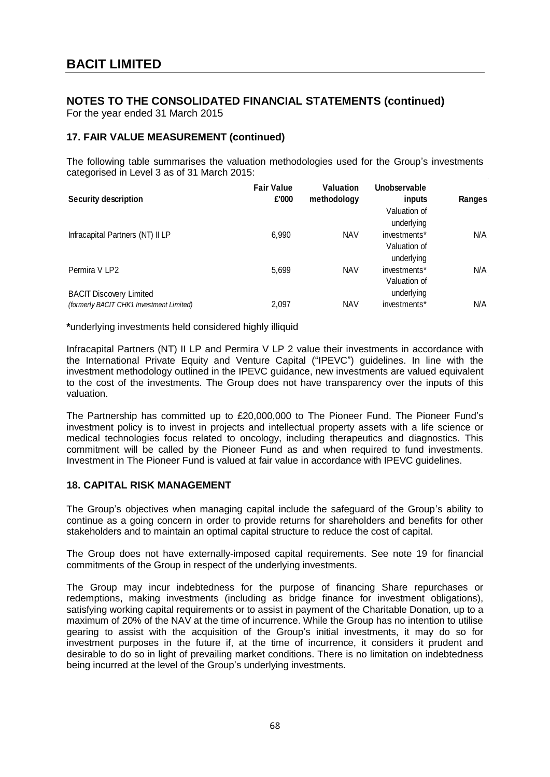For the year ended 31 March 2015

### **17. FAIR VALUE MEASUREMENT (continued)**

The following table summarises the valuation methodologies used for the Group's investments categorised in Level 3 as of 31 March 2015:

| <b>Security description</b>              | <b>Fair Value</b><br>£'000 | <b>Valuation</b><br>methodology | Unobservable<br>inputs<br>Valuation of | Ranges |
|------------------------------------------|----------------------------|---------------------------------|----------------------------------------|--------|
|                                          |                            |                                 | underlying                             |        |
| Infracapital Partners (NT) II LP         | 6,990                      | <b>NAV</b>                      | investments*                           | N/A    |
|                                          |                            |                                 | Valuation of<br>underlying             |        |
| Permira V LP2                            | 5,699                      | <b>NAV</b>                      | investments*<br>Valuation of           | N/A    |
| <b>BACIT Discovery Limited</b>           |                            |                                 | underlying                             |        |
| (formerly BACIT CHK1 Investment Limited) | 2,097                      | <b>NAV</b>                      | investments*                           | N/A    |

**\***underlying investments held considered highly illiquid

Infracapital Partners (NT) II LP and Permira V LP 2 value their investments in accordance with the International Private Equity and Venture Capital ("IPEVC") guidelines. In line with the investment methodology outlined in the IPEVC guidance, new investments are valued equivalent to the cost of the investments. The Group does not have transparency over the inputs of this valuation.

The Partnership has committed up to £20,000,000 to The Pioneer Fund. The Pioneer Fund's investment policy is to invest in projects and intellectual property assets with a life science or medical technologies focus related to oncology, including therapeutics and diagnostics. This commitment will be called by the Pioneer Fund as and when required to fund investments. Investment in The Pioneer Fund is valued at fair value in accordance with IPEVC guidelines.

### **18. CAPITAL RISK MANAGEMENT**

The Group's objectives when managing capital include the safeguard of the Group's ability to continue as a going concern in order to provide returns for shareholders and benefits for other stakeholders and to maintain an optimal capital structure to reduce the cost of capital.

The Group does not have externally-imposed capital requirements. See note 19 for financial commitments of the Group in respect of the underlying investments.

The Group may incur indebtedness for the purpose of financing Share repurchases or redemptions, making investments (including as bridge finance for investment obligations), satisfying working capital requirements or to assist in payment of the Charitable Donation, up to a maximum of 20% of the NAV at the time of incurrence. While the Group has no intention to utilise gearing to assist with the acquisition of the Group's initial investments, it may do so for investment purposes in the future if, at the time of incurrence, it considers it prudent and desirable to do so in light of prevailing market conditions. There is no limitation on indebtedness being incurred at the level of the Group's underlying investments.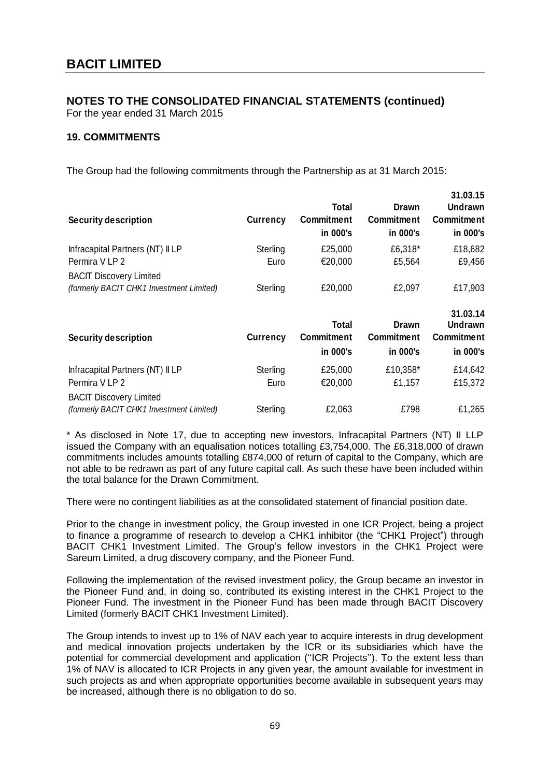For the year ended 31 March 2015

### **19. COMMITMENTS**

The Group had the following commitments through the Partnership as at 31 March 2015:

| <b>Security description</b>                                                | <b>Currency</b> | Total<br><b>Commitment</b><br>in 000's | Drawn<br><b>Commitment</b><br>in 000's        | <u>JI.VJ.IJ</u><br><b>Undrawn</b><br><b>Commitment</b><br>in 000's |
|----------------------------------------------------------------------------|-----------------|----------------------------------------|-----------------------------------------------|--------------------------------------------------------------------|
| Infracapital Partners (NT) II LP                                           | Sterling        | £25,000                                | £6,318*                                       | £18,682                                                            |
| Permira V LP 2                                                             | Euro            | €20,000                                | £5,564                                        | £9,456                                                             |
| <b>BACIT Discovery Limited</b><br>(formerly BACIT CHK1 Investment Limited) | Sterling        | £20,000                                | £2,097                                        | £17,903                                                            |
| <b>Security description</b>                                                | <b>Currency</b> | Total<br><b>Commitment</b><br>in 000's | <b>Drawn</b><br><b>Commitment</b><br>in 000's | 31.03.14<br><b>Undrawn</b><br><b>Commitment</b><br>in 000's        |
| Infracapital Partners (NT) II LP                                           | Sterling        | £25,000                                | £10,358*                                      | £14,642                                                            |
| Permira V LP 2                                                             | Euro            | €20,000                                | £1,157                                        | £15,372                                                            |
| <b>BACIT Discovery Limited</b>                                             |                 |                                        |                                               |                                                                    |
| (formerly BACIT CHK1 Investment Limited)                                   | Sterling        | £2,063                                 | £798                                          | £1,265                                                             |

 **31.03.15** 

\* As disclosed in Note 17, due to accepting new investors, Infracapital Partners (NT) II LLP issued the Company with an equalisation notices totalling £3,754,000. The £6,318,000 of drawn commitments includes amounts totalling £874,000 of return of capital to the Company, which are not able to be redrawn as part of any future capital call. As such these have been included within the total balance for the Drawn Commitment.

There were no contingent liabilities as at the consolidated statement of financial position date.

Prior to the change in investment policy, the Group invested in one ICR Project, being a project to finance a programme of research to develop a CHK1 inhibitor (the "CHK1 Project") through BACIT CHK1 Investment Limited. The Group's fellow investors in the CHK1 Project were Sareum Limited, a drug discovery company, and the Pioneer Fund.

Following the implementation of the revised investment policy, the Group became an investor in the Pioneer Fund and, in doing so, contributed its existing interest in the CHK1 Project to the Pioneer Fund. The investment in the Pioneer Fund has been made through BACIT Discovery Limited (formerly BACIT CHK1 Investment Limited).

The Group intends to invest up to 1% of NAV each year to acquire interests in drug development and medical innovation projects undertaken by the ICR or its subsidiaries which have the potential for commercial development and application (''ICR Projects''). To the extent less than 1% of NAV is allocated to ICR Projects in any given year, the amount available for investment in such projects as and when appropriate opportunities become available in subsequent years may be increased, although there is no obligation to do so.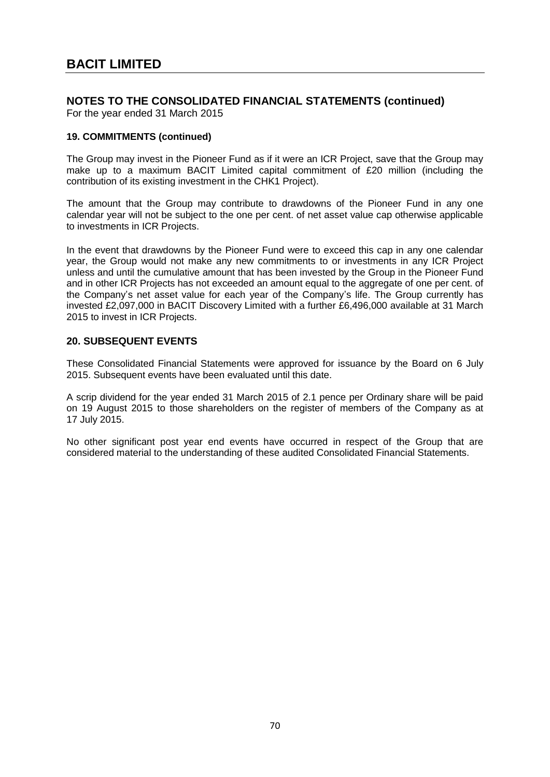For the year ended 31 March 2015

#### **19. COMMITMENTS (continued)**

The Group may invest in the Pioneer Fund as if it were an ICR Project, save that the Group may make up to a maximum BACIT Limited capital commitment of £20 million (including the contribution of its existing investment in the CHK1 Project).

The amount that the Group may contribute to drawdowns of the Pioneer Fund in any one calendar year will not be subject to the one per cent. of net asset value cap otherwise applicable to investments in ICR Projects.

In the event that drawdowns by the Pioneer Fund were to exceed this cap in any one calendar year, the Group would not make any new commitments to or investments in any ICR Project unless and until the cumulative amount that has been invested by the Group in the Pioneer Fund and in other ICR Projects has not exceeded an amount equal to the aggregate of one per cent. of the Company's net asset value for each year of the Company's life. The Group currently has invested £2,097,000 in BACIT Discovery Limited with a further £6,496,000 available at 31 March 2015 to invest in ICR Projects.

### **20. SUBSEQUENT EVENTS**

These Consolidated Financial Statements were approved for issuance by the Board on 6 July 2015. Subsequent events have been evaluated until this date.

A scrip dividend for the year ended 31 March 2015 of 2.1 pence per Ordinary share will be paid on 19 August 2015 to those shareholders on the register of members of the Company as at 17 July 2015.

No other significant post year end events have occurred in respect of the Group that are considered material to the understanding of these audited Consolidated Financial Statements.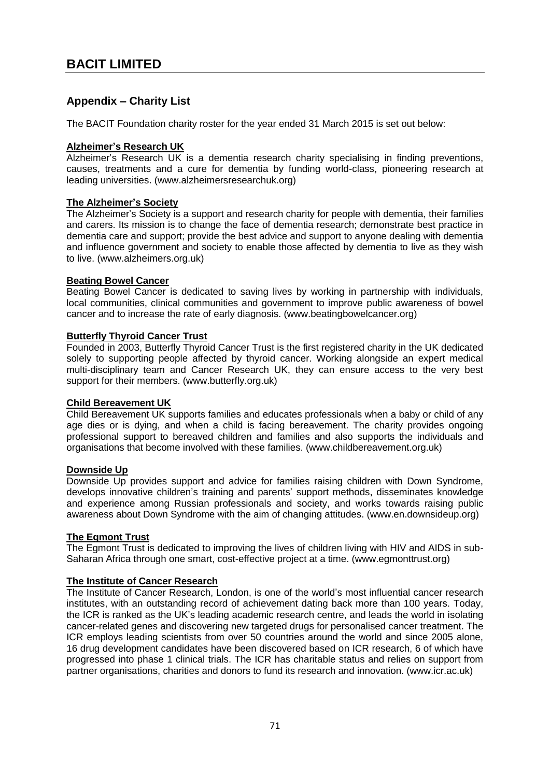# **Appendix – Charity List**

The BACIT Foundation charity roster for the year ended 31 March 2015 is set out below:

## **Alzheimer's Research UK**

Alzheimer's Research UK is a dementia research charity specialising in finding preventions, causes, treatments and a cure for dementia by funding world-class, pioneering research at leading universities. (www.alzheimersresearchuk.org)

## **The Alzheimer's Society**

The Alzheimer's Society is a support and research charity for people with dementia, their families and carers. Its mission is to change the face of dementia research; demonstrate best practice in dementia care and support; provide the best advice and support to anyone dealing with dementia and influence government and society to enable those affected by dementia to live as they wish to live. (www.alzheimers.org.uk)

## **Beating Bowel Cancer**

Beating Bowel Cancer is dedicated to saving lives by working in partnership with individuals, local communities, clinical communities and government to improve public awareness of bowel cancer and to increase the rate of early diagnosis. (www.beatingbowelcancer.org)

## **Butterfly Thyroid Cancer Trust**

Founded in 2003, Butterfly Thyroid Cancer Trust is the first registered charity in the UK dedicated solely to supporting people affected by thyroid cancer. Working alongside an expert medical multi-disciplinary team and Cancer Research UK, they can ensure access to the very best support for their members. (www.butterfly.org.uk)

#### **Child Bereavement UK**

Child Bereavement UK supports families and educates professionals when a baby or child of any age dies or is dying, and when a child is facing bereavement. The charity provides ongoing professional support to bereaved children and families and also supports the individuals and organisations that become involved with these families. (www.childbereavement.org.uk)

# **Downside Up**

Downside Up provides support and advice for families raising children with Down Syndrome, develops innovative children's training and parents' support methods, disseminates knowledge and experience among Russian professionals and society, and works towards raising public awareness about Down Syndrome with the aim of changing attitudes. (www.en.downsideup.org)

# **The Egmont Trust**

The Egmont Trust is dedicated to improving the lives of children living with HIV and AIDS in sub-Saharan Africa through one smart, cost-effective project at a time. [\(www.egmonttrust.org\)](http://www.egmonttrust.org/)

#### **The Institute of Cancer Research**

The Institute of Cancer Research, London, is one of the world's most influential cancer research institutes, with an outstanding record of achievement dating back more than 100 years. Today, the ICR is ranked as the UK's leading academic research centre, and leads the world in isolating cancer-related genes and discovering new targeted drugs for personalised cancer treatment. The ICR employs leading scientists from over 50 countries around the world and since 2005 alone, 16 drug development candidates have been discovered based on ICR research, 6 of which have progressed into phase 1 clinical trials. The ICR has charitable status and relies on support from partner organisations, charities and donors to fund its research and innovation. (www.icr.ac.uk)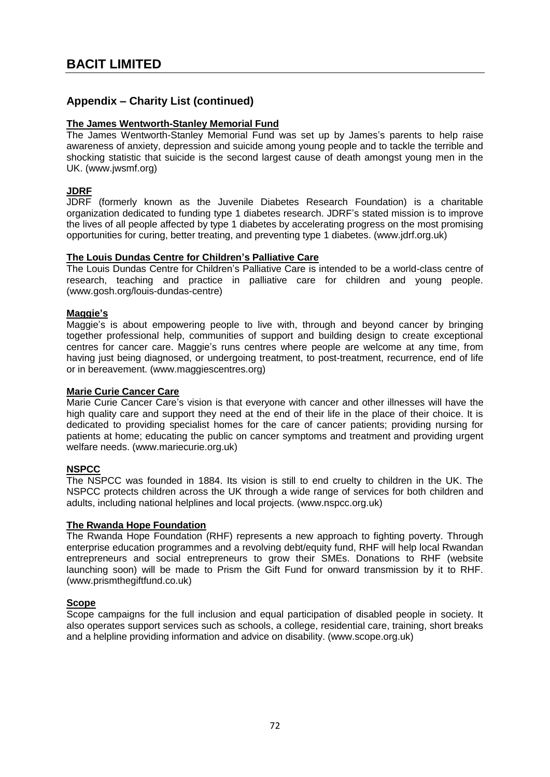# **Appendix – Charity List (continued)**

## **The James Wentworth-Stanley Memorial Fund**

The James Wentworth-Stanley Memorial Fund was set up by James's parents to help raise awareness of anxiety, depression and suicide among young people and to tackle the terrible and shocking statistic that suicide is the second largest cause of death amongst young men in the UK. (www.jwsmf.org)

## **JDRF**

JDRF (formerly known as the Juvenile Diabetes Research Foundation) is a charitable organization dedicated to funding type 1 diabetes research. JDRF's stated mission is to improve the lives of all people affected by type 1 diabetes by accelerating progress on the most promising opportunities for curing, better treating, and preventing type 1 diabetes. (www.jdrf.org.uk)

#### **The Louis Dundas Centre for Children's Palliative Care**

The Louis Dundas Centre for Children's Palliative Care is intended to be a world-class centre of research, teaching and practice in palliative care for children and young people. (www.gosh.org/louis-dundas-centre)

## **Maggie's**

Maggie's is about empowering people to live with, through and beyond cancer by bringing together professional help, communities of support and building design to create exceptional centres for cancer care. Maggie's runs centres where people are welcome at any time, from having just being diagnosed, or undergoing treatment, to post-treatment, recurrence, end of life or in bereavement. (www.maggiescentres.org)

#### **Marie Curie Cancer Care**

Marie Curie Cancer Care's vision is that everyone with cancer and other illnesses will have the high quality care and support they need at the end of their life in the place of their choice. It is dedicated to providing specialist homes for the care of cancer patients; providing nursing for patients at home; educating the public on cancer symptoms and treatment and providing urgent welfare needs. (www.mariecurie.org.uk)

# **NSPCC**

The NSPCC was founded in 1884. Its vision is still to end cruelty to children in the UK. The NSPCC protects children across the UK through a wide range of services for both children and adults, including national helplines and local projects. (www.nspcc.org.uk)

#### **The Rwanda Hope Foundation**

The Rwanda Hope Foundation (RHF) represents a new approach to fighting poverty. Through enterprise education programmes and a revolving debt/equity fund, RHF will help local Rwandan entrepreneurs and social entrepreneurs to grow their SMEs. Donations to RHF (website launching soon) will be made to Prism the Gift Fund for onward transmission by it to RHF. [\(www.prismthegiftfund.co.uk\)](http://www.prismthegiftfund.co.uk/)

# **Scope**

Scope campaigns for the full inclusion and equal participation of disabled people in society. It also operates support services such as schools, a college, residential care, training, short breaks and a helpline providing information and advice on disability. (www.scope.org.uk)